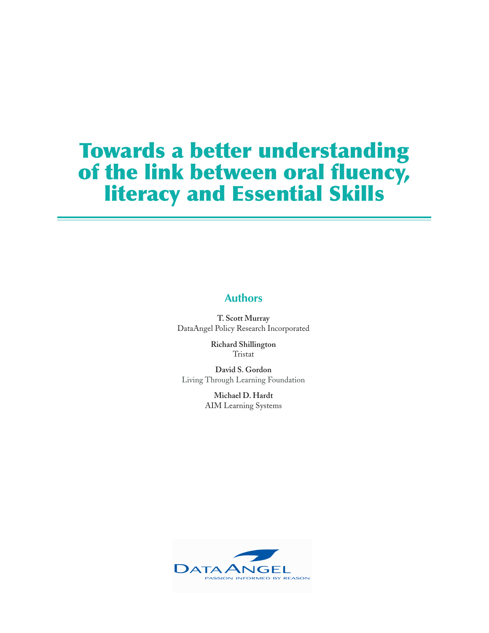## **Authors**

**T. Scott Murray** DataAngel Policy Research Incorporated

> **Richard Shillington** Tristat

**David S. Gordon** Living Through Learning Foundation

> **Michael D. Hardt** AIM Learning Systems

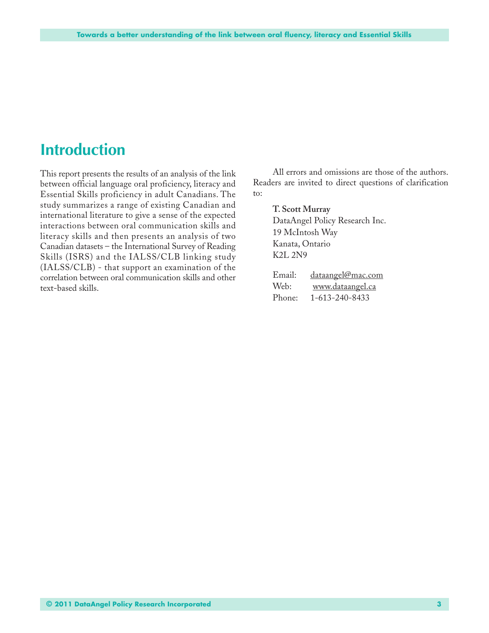## **Introduction**

This report presents the results of an analysis of the link between official language oral proficiency, literacy and Essential Skills proficiency in adult Canadians. The study summarizes a range of existing Canadian and international literature to give a sense of the expected interactions between oral communication skills and literacy skills and then presents an analysis of two Canadian datasets – the International Survey of Reading Skills (ISRS) and the IALSS/CLB linking study (IALSS/CLB) - that support an examination of the correlation between oral communication skills and other text-based skills.

All errors and omissions are those of the authors. Readers are invited to direct questions of clarification to:

> **T. Scott Murray** DataAngel Policy Research Inc. 19 McIntosh Way Kanata, Ontario K2L 2N9

| Email: | <u>dataangel@mac.com</u> |
|--------|--------------------------|
| Web:   | www.dataangel.ca         |
| Phone: | 1-613-240-8433           |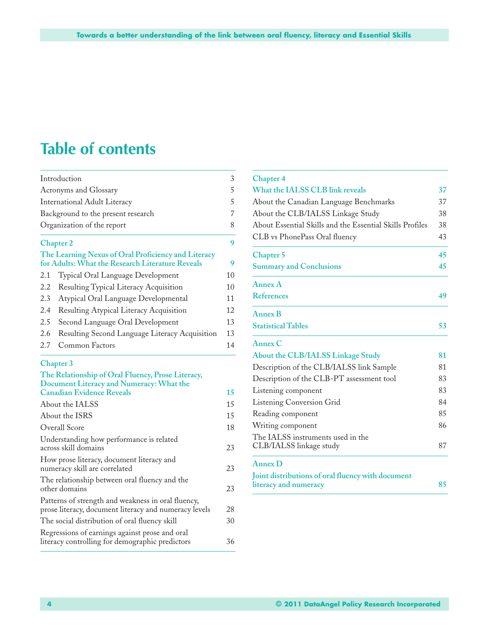# **Table of contents**

|     | Introduction                                                                                                                      | 3              |
|-----|-----------------------------------------------------------------------------------------------------------------------------------|----------------|
|     | Acronyms and Glossary                                                                                                             | 5              |
|     | <b>International Adult Literacy</b>                                                                                               | 5              |
|     | Background to the present research                                                                                                | $\overline{7}$ |
|     | Organization of the report                                                                                                        | 8              |
|     | <b>Chapter 2</b>                                                                                                                  | 9              |
|     | The Learning Nexus of Oral Proficiency and Literacy<br>for Adults: What the Research Literature Reveals                           | 9              |
| 2.1 | Typical Oral Language Development                                                                                                 | 10             |
| 2.2 | Resulting Typical Literacy Acquisition                                                                                            | 10             |
| 2.3 | Atypical Oral Language Developmental                                                                                              | 11             |
| 2.4 | Resulting Atypical Literacy Acquisition                                                                                           | 12             |
| 2.5 | Second Language Oral Development                                                                                                  | 13             |
| 2.6 | Resulting Second Language Literacy Acquisition                                                                                    | 13             |
| 2.7 | <b>Common Factors</b>                                                                                                             | 14             |
|     | <b>Chapter 3</b>                                                                                                                  |                |
|     | The Relationship of Oral Fluency, Prose Literacy,<br>Document Literacy and Numeracy: What the<br><b>Canadian Evidence Reveals</b> | 15             |
|     | About the IALSS                                                                                                                   | 15             |
|     | About the ISRS                                                                                                                    | 15             |
|     | Overall Score                                                                                                                     | 18             |
|     | Understanding how performance is related<br>across skill domains                                                                  | 23             |
|     | How prose literacy, document literacy and<br>numeracy skill are correlated                                                        | 23             |
|     | The relationship between oral fluency and the<br>other domains                                                                    | 23             |
|     | Patterns of strength and weakness in oral fluency,<br>prose literacy, document literacy and numeracy levels                       | 28             |
|     | The social distribution of oral fluency skill                                                                                     | 30             |
|     | Regressions of earnings against prose and oral<br>literacy controlling for demographic predictors                                 | 36             |

| <b>Chapter 4</b>                                         |    |
|----------------------------------------------------------|----|
| What the IALSS CLB link reveals                          | 37 |
| About the Canadian Language Benchmarks                   | 37 |
| About the CLB/IALSS Linkage Study                        | 38 |
| About Essential Skills and the Essential Skills Profiles | 38 |
| CLB vs PhonePass Oral fluency                            | 43 |
| Chapter 5                                                | 45 |
| <b>Summary and Conclusions</b>                           | 45 |
| Annex A                                                  |    |
| <b>References</b>                                        | 49 |
| <b>Annex B</b>                                           |    |
| <b>Statistical Tables</b>                                | 53 |
| Annex C                                                  |    |
| About the CLB/IALSS Linkage Study                        | 81 |
| Description of the CLB/IALSS link Sample                 | 81 |
| Description of the CLB-PT assessment tool                | 83 |
| Listening component                                      | 83 |
| Listening Conversion Grid                                | 84 |
| Reading component                                        | 85 |
| Writing component                                        | 86 |
| The IALSS instruments used in the                        |    |
| CLB/IALSS linkage study                                  | 87 |
| Annex D                                                  |    |
| Joint distributions of oral fluency with document        |    |
| literacy and numeracy                                    | 85 |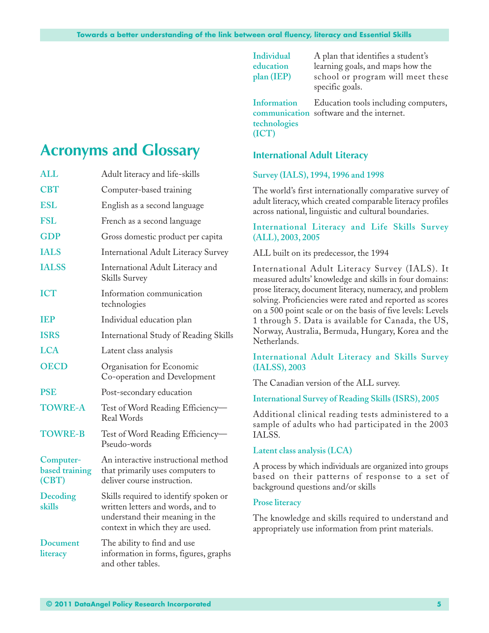**Individual** A plan that identifies a student's **education** learning goals, and maps how the **plan (IEP)** school or program will meet these specific goals.

**Information** Education tools including computers, **communication** software and the internet. **technologies (ICT)**

## **International Adult Literacy**

#### **Survey (IALS), 1994, 1996 and 1998**

The world's first internationally comparative survey of adult literacy, which created comparable literacy profiles across national, linguistic and cultural boundaries.

### **International Literacy and Life Skills Survey (ALL), 2003, 2005**

#### ALL built on its predecessor, the 1994

International Adult Literacy Survey (IALS). It measured adults' knowledge and skills in four domains: prose literacy, document literacy, numeracy, and problem solving. Proficiencies were rated and reported as scores on a 500 point scale or on the basis of five levels: Levels 1 through 5. Data is available for Canada, the US, Norway, Australia, Bermuda, Hungary, Korea and the Netherlands.

### **International Adult Literacy and Skills Survey (IALSS), 2003**

The Canadian version of the ALL survey.

#### **International Survey of Reading Skills (ISRS), 2005**

Additional clinical reading tests administered to a sample of adults who had participated in the 2003 IALSS.

#### **Latent class analysis (LCA)**

A process by which individuals are organized into groups based on their patterns of response to a set of background questions and/or skills

#### **Prose literacy**

The knowledge and skills required to understand and appropriately use information from print materials.

## **Acronyms and Glossary**

| <b>ALL</b>                                  | Adult literacy and life-skills                                                                                                                   |
|---------------------------------------------|--------------------------------------------------------------------------------------------------------------------------------------------------|
| <b>CBT</b>                                  | Computer-based training                                                                                                                          |
| <b>ESL</b>                                  | English as a second language                                                                                                                     |
| <b>FSL</b>                                  | French as a second language                                                                                                                      |
| <b>GDP</b>                                  | Gross domestic product per capita                                                                                                                |
| <b>IALS</b>                                 | <b>International Adult Literacy Survey</b>                                                                                                       |
| <b>IALSS</b>                                | International Adult Literacy and<br>Skills Survey                                                                                                |
| <b>ICT</b>                                  | Information communication<br>technologies                                                                                                        |
| <b>TEP</b>                                  | Individual education plan                                                                                                                        |
| <b>ISRS</b>                                 | <b>International Study of Reading Skills</b>                                                                                                     |
| <b>LCA</b>                                  | Latent class analysis                                                                                                                            |
| <b>OECD</b>                                 | Organisation for Economic<br>Co-operation and Development                                                                                        |
| <b>PSE</b>                                  | Post-secondary education                                                                                                                         |
| <b>TOWRE-A</b>                              | Test of Word Reading Efficiency-<br><b>Real Words</b>                                                                                            |
| <b>TOWRE-B</b>                              | Test of Word Reading Efficiency-<br>Pseudo-words                                                                                                 |
| Computer-<br><b>based training</b><br>(CBT) | An interactive instructional method<br>that primarily uses computers to<br>deliver course instruction.                                           |
| Decoding<br>skills                          | Skills required to identify spoken or<br>written letters and words, and to<br>understand their meaning in the<br>context in which they are used. |
| <b>Document</b><br>literacy                 | The ability to find and use<br>information in forms, figures, graphs<br>and other tables.                                                        |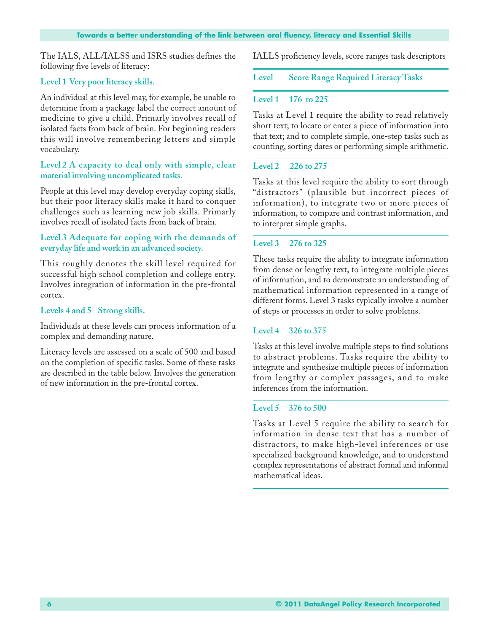The IALS, ALL/IALSS and ISRS studies defines the following five levels of literacy:

## **Level 1 Very poor literacy skills.**

An individual at this level may, for example, be unable to determine from a package label the correct amount of medicine to give a child. Primarly involves recall of isolated facts from back of brain. For beginning readers this will involve remembering letters and simple vocabulary.

## **Level 2 A capacity to deal only with simple, clear material involving uncomplicated tasks.**

People at this level may develop everyday coping skills, but their poor literacy skills make it hard to conquer challenges such as learning new job skills. Primarly involves recall of isolated facts from back of brain.

## **Level 3 Adequate for coping with the demands of everyday life and work in an advanced society.**

This roughly denotes the skill level required for successful high school completion and college entry. Involves integration of information in the pre-frontal cortex.

## **Levels 4 and 5 Strong skills.**

Individuals at these levels can process information of a complex and demanding nature.

Literacy levels are assessed on a scale of 500 and based on the completion of specific tasks. Some of these tasks are described in the table below. Involves the generation of new information in the pre-frontal cortex.

IALLS proficiency levels, score ranges task descriptors

**Level Score Range Required Literacy Tasks**

## **Level 1 176 to 225**

Tasks at Level 1 require the ability to read relatively short text; to locate or enter a piece of information into that text; and to complete simple, one-step tasks such as counting, sorting dates or performing simple arithmetic.

## **Level 2 226 to 275**

Tasks at this level require the ability to sort through "distractors" (plausible but incorrect pieces of information), to integrate two or more pieces of information, to compare and contrast information, and to interpret simple graphs.

## **Level 3 276 to 325**

These tasks require the ability to integrate information from dense or lengthy text, to integrate multiple pieces of information, and to demonstrate an understanding of mathematical information represented in a range of different forms. Level 3 tasks typically involve a number of steps or processes in order to solve problems.

## **Level 4 326 to 375**

Tasks at this level involve multiple steps to find solutions to abstract problems. Tasks require the ability to integrate and synthesize multiple pieces of information from lengthy or complex passages, and to make inferences from the information.

#### **Level 5 376 to 500**

Tasks at Level 5 require the ability to search for information in dense text that has a number of distractors, to make high-level inferences or use specialized background knowledge, and to understand complex representations of abstract formal and informal mathematical ideas.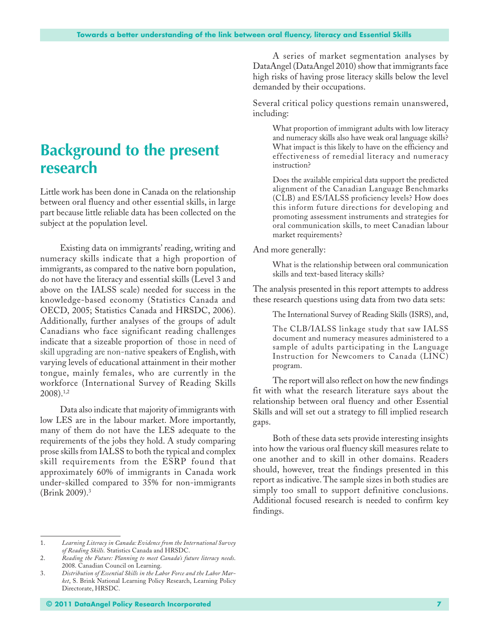## **Background to the present research**

Little work has been done in Canada on the relationship between oral fluency and other essential skills, in large part because little reliable data has been collected on the subject at the population level.

Existing data on immigrants' reading, writing and numeracy skills indicate that a high proportion of immigrants, as compared to the native born population, do not have the literacy and essential skills (Level 3 and above on the IALSS scale) needed for success in the knowledge-based economy (Statistics Canada and OECD, 2005; Statistics Canada and HRSDC, 2006). Additionally, further analyses of the groups of adult Canadians who face significant reading challenges indicate that a sizeable proportion of those in need of skill upgrading are non-native speakers of English, with varying levels of educational attainment in their mother tongue, mainly females, who are currently in the workforce (International Survey of Reading Skills 2008).1,2

Data also indicate that majority of immigrants with low LES are in the labour market. More importantly, many of them do not have the LES adequate to the requirements of the jobs they hold. A study comparing prose skills from IALSS to both the typical and complex skill requirements from the ESRP found that approximately 60% of immigrants in Canada work under-skilled compared to 35% for non-immigrants (Brink 2009).3

A series of market segmentation analyses by DataAngel (DataAngel 2010) show that immigrants face high risks of having prose literacy skills below the level demanded by their occupations.

Several critical policy questions remain unanswered, including:

> What proportion of immigrant adults with low literacy and numeracy skills also have weak oral language skills? What impact is this likely to have on the efficiency and effectiveness of remedial literacy and numeracy instruction?

> Does the available empirical data support the predicted alignment of the Canadian Language Benchmarks (CLB) and ES/IALSS proficiency levels? How does this inform future directions for developing and promoting assessment instruments and strategies for oral communication skills, to meet Canadian labour market requirements?

And more generally:

What is the relationship between oral communication skills and text-based literacy skills?

The analysis presented in this report attempts to address these research questions using data from two data sets:

The International Survey of Reading Skills (ISRS), and,

The CLB/IALSS linkage study that saw IALSS document and numeracy measures administered to a sample of adults participating in the Language Instruction for Newcomers to Canada (LINC) program.

The report will also reflect on how the new findings fit with what the research literature says about the relationship between oral fluency and other Essential Skills and will set out a strategy to fill implied research gaps.

Both of these data sets provide interesting insights into how the various oral fluency skill measures relate to one another and to skill in other domains. Readers should, however, treat the findings presented in this report as indicative. The sample sizes in both studies are simply too small to support definitive conclusions. Additional focused research is needed to confirm key findings.

<sup>1.</sup> *Learning Literacy in Canada: Evidence from the International Survey of Reading Skills.* Statistics Canada and HRSDC.

<sup>2.</sup> *Reading the Future: Planning to meet Canada's future literacy needs*. 2008. Canadian Council on Learning.

<sup>3.</sup> *Distribution of Essential Skills in the Labor Force and the Labor Market*, S. Brink National Learning Policy Research, Learning Policy Directorate, HRSDC.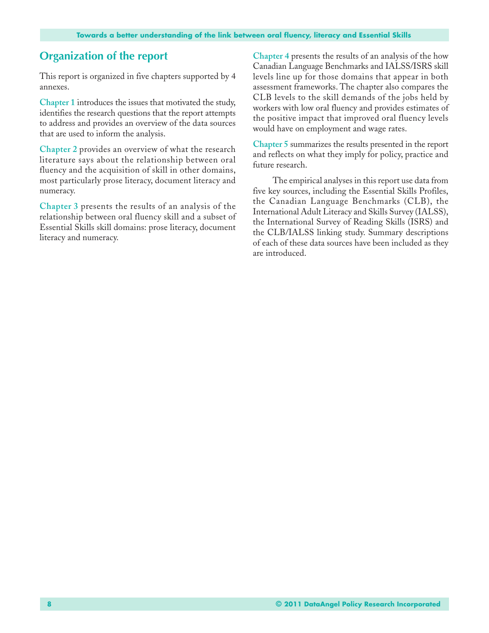## **Organization of the report**

This report is organized in five chapters supported by 4 annexes.

**Chapter 1** introduces the issues that motivated the study, identifies the research questions that the report attempts to address and provides an overview of the data sources that are used to inform the analysis.

**Chapter 2** provides an overview of what the research literature says about the relationship between oral fluency and the acquisition of skill in other domains, most particularly prose literacy, document literacy and numeracy.

**Chapter 3** presents the results of an analysis of the relationship between oral fluency skill and a subset of Essential Skills skill domains: prose literacy, document literacy and numeracy.

**Chapter 4** presents the results of an analysis of the how Canadian Language Benchmarks and IALSS/ISRS skill levels line up for those domains that appear in both assessment frameworks. The chapter also compares the CLB levels to the skill demands of the jobs held by workers with low oral fluency and provides estimates of the positive impact that improved oral fluency levels would have on employment and wage rates.

**Chapter 5** summarizes the results presented in the report and reflects on what they imply for policy, practice and future research.

The empirical analyses in this report use data from five key sources, including the Essential Skills Profiles, the Canadian Language Benchmarks (CLB), the International Adult Literacy and Skills Survey (IALSS), the International Survey of Reading Skills (ISRS) and the CLB/IALSS linking study. Summary descriptions of each of these data sources have been included as they are introduced.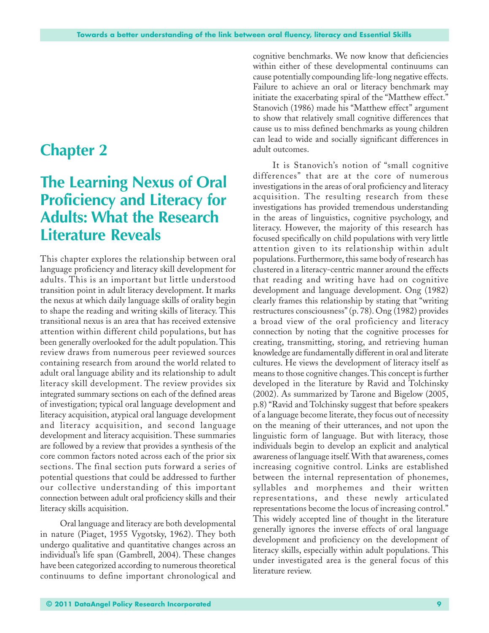## **Chapter 2**

## **The Learning Nexus of Oral Proficiency and Literacy for Adults: What the Research Literature Reveals**

This chapter explores the relationship between oral language proficiency and literacy skill development for adults. This is an important but little understood transition point in adult literacy development. It marks the nexus at which daily language skills of orality begin to shape the reading and writing skills of literacy. This transitional nexus is an area that has received extensive attention within different child populations, but has been generally overlooked for the adult population. This review draws from numerous peer reviewed sources containing research from around the world related to adult oral language ability and its relationship to adult literacy skill development. The review provides six integrated summary sections on each of the defined areas of investigation; typical oral language development and literacy acquisition, atypical oral language development and literacy acquisition, and second language development and literacy acquisition. These summaries are followed by a review that provides a synthesis of the core common factors noted across each of the prior six sections. The final section puts forward a series of potential questions that could be addressed to further our collective understanding of this important connection between adult oral proficiency skills and their literacy skills acquisition.

Oral language and literacy are both developmental in nature (Piaget, 1955 Vygotsky, 1962). They both undergo qualitative and quantitative changes across an individual's life span (Gambrell, 2004). These changes have been categorized according to numerous theoretical continuums to define important chronological and

cognitive benchmarks. We now know that deficiencies within either of these developmental continuums can cause potentially compounding life-long negative effects. Failure to achieve an oral or literacy benchmark may initiate the exacerbating spiral of the "Matthew effect." Stanovich (1986) made his "Matthew effect" argument to show that relatively small cognitive differences that cause us to miss defined benchmarks as young children can lead to wide and socially significant differences in adult outcomes.

It is Stanovich's notion of "small cognitive differences" that are at the core of numerous investigations in the areas of oral proficiency and literacy acquisition. The resulting research from these investigations has provided tremendous understanding in the areas of linguistics, cognitive psychology, and literacy. However, the majority of this research has focused specifically on child populations with very little attention given to its relationship within adult populations. Furthermore, this same body of research has clustered in a literacy-centric manner around the effects that reading and writing have had on cognitive development and language development. Ong (1982) clearly frames this relationship by stating that "writing restructures consciousness" (p. 78). Ong (1982) provides a broad view of the oral proficiency and literacy connection by noting that the cognitive processes for creating, transmitting, storing, and retrieving human knowledge are fundamentally different in oral and literate cultures. He views the development of literacy itself as means to those cognitive changes. This concept is further developed in the literature by Ravid and Tolchinsky (2002). As summarized by Tarone and Bigelow (2005, p.8) "Ravid and Tolchinsky suggest that before speakers of a language become literate, they focus out of necessity on the meaning of their utterances, and not upon the linguistic form of language. But with literacy, those individuals begin to develop an explicit and analytical awareness of language itself. With that awareness, comes increasing cognitive control. Links are established between the internal representation of phonemes, syllables and morphemes and their written representations, and these newly articulated representations become the locus of increasing control." This widely accepted line of thought in the literature generally ignores the inverse effects of oral language development and proficiency on the development of literacy skills, especially within adult populations. This under investigated area is the general focus of this literature review.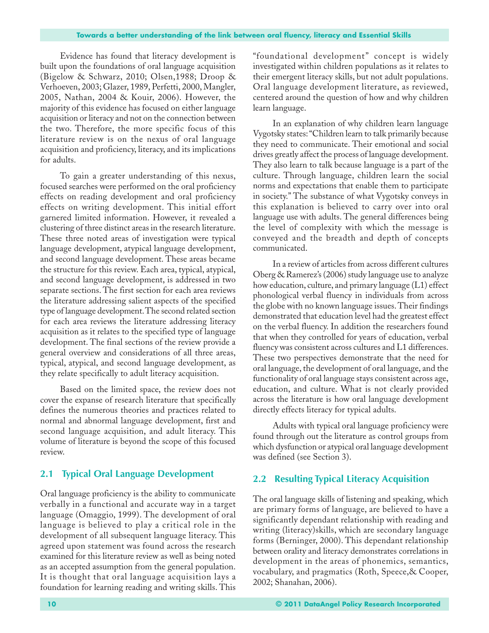Evidence has found that literacy development is built upon the foundations of oral language acquisition (Bigelow & Schwarz, 2010; Olsen,1988; Droop & Verhoeven, 2003; Glazer, 1989, Perfetti, 2000, Mangler, 2005, Nathan, 2004 & Kouir, 2006). However, the majority of this evidence has focused on either language acquisition or literacy and not on the connection between the two. Therefore, the more specific focus of this literature review is on the nexus of oral language acquisition and proficiency, literacy, and its implications for adults.

To gain a greater understanding of this nexus, focused searches were performed on the oral proficiency effects on reading development and oral proficiency effects on writing development. This initial effort garnered limited information. However, it revealed a clustering of three distinct areas in the research literature. These three noted areas of investigation were typical language development, atypical language development, and second language development. These areas became the structure for this review. Each area, typical, atypical, and second language development, is addressed in two separate sections. The first section for each area reviews the literature addressing salient aspects of the specified type of language development. The second related section for each area reviews the literature addressing literacy acquisition as it relates to the specified type of language development. The final sections of the review provide a general overview and considerations of all three areas, typical, atypical, and second language development, as they relate specifically to adult literacy acquisition.

Based on the limited space, the review does not cover the expanse of research literature that specifically defines the numerous theories and practices related to normal and abnormal language development, first and second language acquisition, and adult literacy. This volume of literature is beyond the scope of this focused review.

## **2.1 Typical Oral Language Development**

Oral language proficiency is the ability to communicate verbally in a functional and accurate way in a target language (Omaggio, 1999). The development of oral language is believed to play a critical role in the development of all subsequent language literacy. This agreed upon statement was found across the research examined for this literature review as well as being noted as an accepted assumption from the general population. It is thought that oral language acquisition lays a foundation for learning reading and writing skills. This "foundational development" concept is widely investigated within children populations as it relates to their emergent literacy skills, but not adult populations. Oral language development literature, as reviewed, centered around the question of how and why children learn language.

In an explanation of why children learn language Vygotsky states: "Children learn to talk primarily because they need to communicate. Their emotional and social drives greatly affect the process of language development. They also learn to talk because language is a part of the culture. Through language, children learn the social norms and expectations that enable them to participate in society." The substance of what Vygotsky conveys in this explanation is believed to carry over into oral language use with adults. The general differences being the level of complexity with which the message is conveyed and the breadth and depth of concepts communicated.

In a review of articles from across different cultures Oberg & Ramerez's (2006) study language use to analyze how education, culture, and primary language (L1) effect phonological verbal fluency in individuals from across the globe with no known language issues. Their findings demonstrated that education level had the greatest effect on the verbal fluency. In addition the researchers found that when they controlled for years of education, verbal fluency was consistent across cultures and L1 differences. These two perspectives demonstrate that the need for oral language, the development of oral language, and the functionality of oral language stays consistent across age, education, and culture. What is not clearly provided across the literature is how oral language development directly effects literacy for typical adults.

Adults with typical oral language proficiency were found through out the literature as control groups from which dysfunction or atypical oral language development was defined (see Section 3).

## **2.2 Resulting Typical Literacy Acquisition**

The oral language skills of listening and speaking, which are primary forms of language, are believed to have a significantly dependant relationship with reading and writing (literacy)skills, which are secondary language forms (Berninger, 2000). This dependant relationship between orality and literacy demonstrates correlations in development in the areas of phonemics, semantics, vocabulary, and pragmatics (Roth, Speece,& Cooper, 2002; Shanahan, 2006).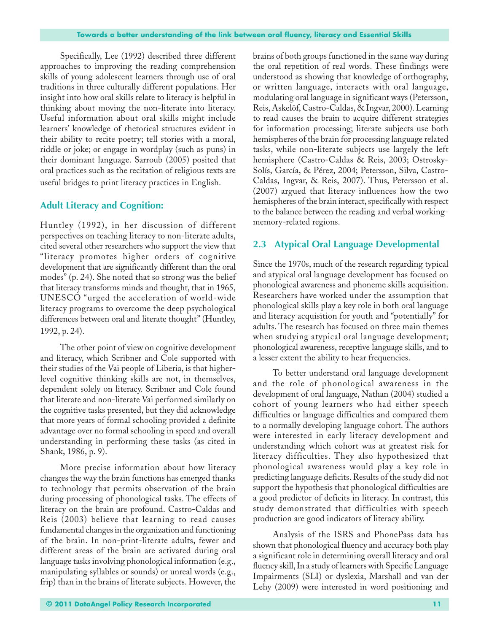Specifically, Lee (1992) described three different approaches to improving the reading comprehension skills of young adolescent learners through use of oral traditions in three culturally different populations. Her insight into how oral skills relate to literacy is helpful in thinking about moving the non-literate into literacy. Useful information about oral skills might include learners' knowledge of rhetorical structures evident in their ability to recite poetry; tell stories with a moral, riddle or joke; or engage in wordplay (such as puns) in their dominant language. Sarroub (2005) posited that oral practices such as the recitation of religious texts are useful bridges to print literacy practices in English.

## **Adult Literacy and Cognition:**

Huntley (1992), in her discussion of different perspectives on teaching literacy to non-literate adults, cited several other researchers who support the view that "literacy promotes higher orders of cognitive development that are significantly different than the oral modes" (p. 24). She noted that so strong was the belief that literacy transforms minds and thought, that in 1965, UNESCO "urged the acceleration of world-wide literacy programs to overcome the deep psychological differences between oral and literate thought" (Huntley, 1992, p. 24).

The other point of view on cognitive development and literacy, which Scribner and Cole supported with their studies of the Vai people of Liberia, is that higherlevel cognitive thinking skills are not, in themselves, dependent solely on literacy. Scribner and Cole found that literate and non-literate Vai performed similarly on the cognitive tasks presented, but they did acknowledge that more years of formal schooling provided a definite advantage over no formal schooling in speed and overall understanding in performing these tasks (as cited in Shank, 1986, p. 9).

More precise information about how literacy changes the way the brain functions has emerged thanks to technology that permits observation of the brain during processing of phonological tasks. The effects of literacy on the brain are profound. Castro-Caldas and Reis (2003) believe that learning to read causes fundamental changes in the organization and functioning of the brain. In non-print-literate adults, fewer and different areas of the brain are activated during oral language tasks involving phonological information (e.g., manipulating syllables or sounds) or unreal words (e.g., frip) than in the brains of literate subjects. However, the

brains of both groups functioned in the same way during the oral repetition of real words. These findings were understood as showing that knowledge of orthography, or written language, interacts with oral language, modulating oral language in significant ways (Petersson, Reis, Askelöf, Castro-Caldas, & Ingvar, 2000). Learning to read causes the brain to acquire different strategies for information processing; literate subjects use both hemispheres of the brain for processing language related tasks, while non-literate subjects use largely the left hemisphere (Castro-Caldas & Reis, 2003; Ostrosky-Solís, García, & Pérez, 2004; Petersson, Silva, Castro-Caldas, Ingvar, & Reis, 2007). Thus, Petersson et al. (2007) argued that literacy influences how the two hemispheres of the brain interact, specifically with respect to the balance between the reading and verbal workingmemory-related regions.

## **2.3 Atypical Oral Language Developmental**

Since the 1970s, much of the research regarding typical and atypical oral language development has focused on phonological awareness and phoneme skills acquisition. Researchers have worked under the assumption that phonological skills play a key role in both oral language and literacy acquisition for youth and "potentially" for adults. The research has focused on three main themes when studying atypical oral language development; phonological awareness, receptive language skills, and to a lesser extent the ability to hear frequencies.

To better understand oral language development and the role of phonological awareness in the development of oral language, Nathan (2004) studied a cohort of young learners who had either speech difficulties or language difficulties and compared them to a normally developing language cohort. The authors were interested in early literacy development and understanding which cohort was at greatest risk for literacy difficulties. They also hypothesized that phonological awareness would play a key role in predicting language deficits. Results of the study did not support the hypothesis that phonological difficulties are a good predictor of deficits in literacy. In contrast, this study demonstrated that difficulties with speech production are good indicators of literacy ability.

Analysis of the ISRS and PhonePass data has shown that phonological fluency and accuracy both play a significant role in determining overall literacy and oral fluency skill, In a study of learners with Specific Language Impairments (SLI) or dyslexia, Marshall and van der Lehy (2009) were interested in word positioning and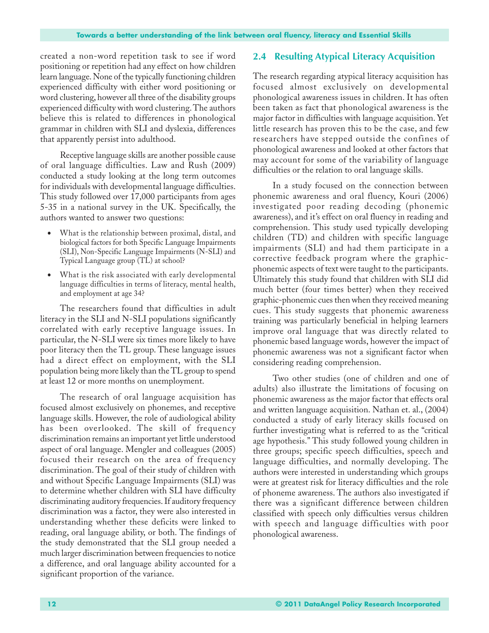created a non-word repetition task to see if word positioning or repetition had any effect on how children learn language. None of the typically functioning children experienced difficulty with either word positioning or word clustering, however all three of the disability groups experienced difficulty with word clustering. The authors believe this is related to differences in phonological grammar in children with SLI and dyslexia, differences that apparently persist into adulthood.

Receptive language skills are another possible cause of oral language difficulties. Law and Rush (2009) conducted a study looking at the long term outcomes for individuals with developmental language difficulties. This study followed over 17,000 participants from ages 5-35 in a national survey in the UK. Specifically, the authors wanted to answer two questions:

- What is the relationship between proximal, distal, and biological factors for both Specific Language Impairments (SLI), Non-Specific Language Impairments (N-SLI) and Typical Language group (TL) at school?
- What is the risk associated with early developmental language difficulties in terms of literacy, mental health, and employment at age 34?

The researchers found that difficulties in adult literacy in the SLI and N-SLI populations significantly correlated with early receptive language issues. In particular, the N-SLI were six times more likely to have poor literacy then the TL group. These language issues had a direct effect on employment, with the SLI population being more likely than the TL group to spend at least 12 or more months on unemployment.

The research of oral language acquisition has focused almost exclusively on phonemes, and receptive language skills. However, the role of audiological ability has been overlooked. The skill of frequency discrimination remains an important yet little understood aspect of oral language. Mengler and colleagues (2005) focused their research on the area of frequency discrimination. The goal of their study of children with and without Specific Language Impairments (SLI) was to determine whether children with SLI have difficulty discriminating auditory frequencies. If auditory frequency discrimination was a factor, they were also interested in understanding whether these deficits were linked to reading, oral language ability, or both. The findings of the study demonstrated that the SLI group needed a much larger discrimination between frequencies to notice a difference, and oral language ability accounted for a significant proportion of the variance.

## **2.4 Resulting Atypical Literacy Acquisition**

The research regarding atypical literacy acquisition has focused almost exclusively on developmental phonological awareness issues in children. It has often been taken as fact that phonological awareness is the major factor in difficulties with language acquisition. Yet little research has proven this to be the case, and few researchers have stepped outside the confines of phonological awareness and looked at other factors that may account for some of the variability of language difficulties or the relation to oral language skills.

In a study focused on the connection between phonemic awareness and oral fluency, Kouri (2006) investigated poor reading decoding (phonemic awareness), and it's effect on oral fluency in reading and comprehension. This study used typically developing children (TD) and children with specific language impairments (SLI) and had them participate in a corrective feedback program where the graphicphonemic aspects of text were taught to the participants. Ultimately this study found that children with SLI did much better (four times better) when they received graphic-phonemic cues then when they received meaning cues. This study suggests that phonemic awareness training was particularly beneficial in helping learners improve oral language that was directly related to phonemic based language words, however the impact of phonemic awareness was not a significant factor when considering reading comprehension.

Two other studies (one of children and one of adults) also illustrate the limitations of focusing on phonemic awareness as the major factor that effects oral and written language acquisition. Nathan et. al., (2004) conducted a study of early literacy skills focused on further investigating what is referred to as the "critical age hypothesis." This study followed young children in three groups; specific speech difficulties, speech and language difficulties, and normally developing. The authors were interested in understanding which groups were at greatest risk for literacy difficulties and the role of phoneme awareness. The authors also investigated if there was a significant difference between children classified with speech only difficulties versus children with speech and language difficulties with poor phonological awareness.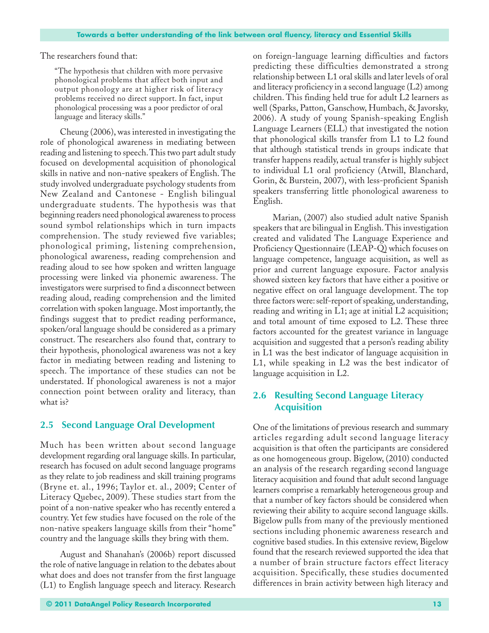The researchers found that:

"The hypothesis that children with more pervasive phonological problems that affect both input and output phonology are at higher risk of literacy problems received no direct support. In fact, input phonological processing was a poor predictor of oral language and literacy skills."

Cheung (2006), was interested in investigating the role of phonological awareness in mediating between reading and listening to speech. This two part adult study focused on developmental acquisition of phonological skills in native and non-native speakers of English. The study involved undergraduate psychology students from New Zealand and Cantonese - English bilingual undergraduate students. The hypothesis was that beginning readers need phonological awareness to process sound symbol relationships which in turn impacts comprehension. The study reviewed five variables; phonological priming, listening comprehension, phonological awareness, reading comprehension and reading aloud to see how spoken and written language processing were linked via phonemic awareness. The investigators were surprised to find a disconnect between reading aloud, reading comprehension and the limited correlation with spoken language. Most importantly, the findings suggest that to predict reading performance, spoken/oral language should be considered as a primary construct. The researchers also found that, contrary to their hypothesis, phonological awareness was not a key factor in mediating between reading and listening to speech. The importance of these studies can not be understated. If phonological awareness is not a major connection point between orality and literacy, than what is?

## **2.5 Second Language Oral Development**

Much has been written about second language development regarding oral language skills. In particular, research has focused on adult second language programs as they relate to job readiness and skill training programs (Bryne et. al., 1996; Taylor et. al., 2009; Center of Literacy Quebec, 2009). These studies start from the point of a non-native speaker who has recently entered a country. Yet few studies have focused on the role of the non-native speakers language skills from their "home" country and the language skills they bring with them.

August and Shanahan's (2006b) report discussed the role of native language in relation to the debates about what does and does not transfer from the first language (L1) to English language speech and literacy. Research on foreign-language learning difficulties and factors predicting these difficulties demonstrated a strong relationship between L1 oral skills and later levels of oral and literacy proficiency in a second language (L2) among children. This finding held true for adult L2 learners as well (Sparks, Patton, Ganschow, Humbach, & Javorsky, 2006). A study of young Spanish-speaking English Language Learners (ELL) that investigated the notion that phonological skills transfer from L1 to L2 found that although statistical trends in groups indicate that transfer happens readily, actual transfer is highly subject to individual L1 oral proficiency (Atwill, Blanchard, Gorin, & Burstein, 2007), with less-proficient Spanish speakers transferring little phonological awareness to English.

Marian, (2007) also studied adult native Spanish speakers that are bilingual in English. This investigation created and validated The Language Experience and Proficiency Questionnaire (LEAP-Q) which focuses on language competence, language acquisition, as well as prior and current language exposure. Factor analysis showed sixteen key factors that have either a positive or negative effect on oral language development. The top three factors were: self-report of speaking, understanding, reading and writing in L1; age at initial L2 acquisition; and total amount of time exposed to L2. These three factors accounted for the greatest variance in language acquisition and suggested that a person's reading ability in L1 was the best indicator of language acquisition in L1, while speaking in L2 was the best indicator of language acquisition in L2.

## **2.6 Resulting Second Language Literacy Acquisition**

One of the limitations of previous research and summary articles regarding adult second language literacy acquisition is that often the participants are considered as one homogeneous group. Bigelow, (2010) conducted an analysis of the research regarding second language literacy acquisition and found that adult second language learners comprise a remarkably heterogeneous group and that a number of key factors should be considered when reviewing their ability to acquire second language skills. Bigelow pulls from many of the previously mentioned sections including phonemic awareness research and cognitive based studies. In this extensive review, Bigelow found that the research reviewed supported the idea that a number of brain structure factors effect literacy acquisition. Specifically, these studies documented differences in brain activity between high literacy and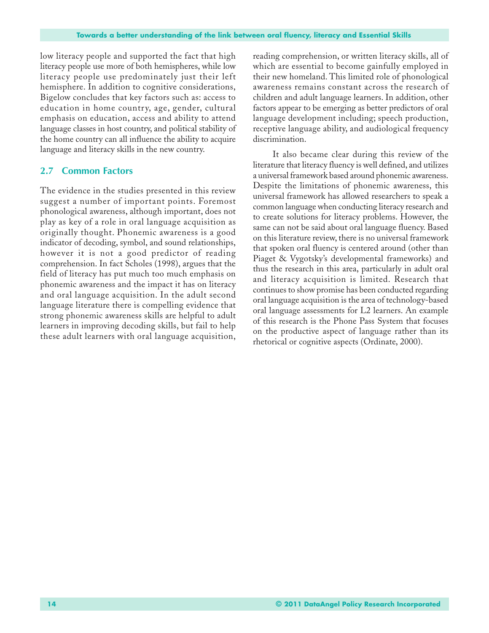low literacy people and supported the fact that high literacy people use more of both hemispheres, while low literacy people use predominately just their left hemisphere. In addition to cognitive considerations, Bigelow concludes that key factors such as: access to education in home country, age, gender, cultural emphasis on education, access and ability to attend language classes in host country, and political stability of the home country can all influence the ability to acquire language and literacy skills in the new country.

## **2.7 Common Factors**

The evidence in the studies presented in this review suggest a number of important points. Foremost phonological awareness, although important, does not play as key of a role in oral language acquisition as originally thought. Phonemic awareness is a good indicator of decoding, symbol, and sound relationships, however it is not a good predictor of reading comprehension. In fact Scholes (1998), argues that the field of literacy has put much too much emphasis on phonemic awareness and the impact it has on literacy and oral language acquisition. In the adult second language literature there is compelling evidence that strong phonemic awareness skills are helpful to adult learners in improving decoding skills, but fail to help these adult learners with oral language acquisition,

reading comprehension, or written literacy skills, all of which are essential to become gainfully employed in their new homeland. This limited role of phonological awareness remains constant across the research of children and adult language learners. In addition, other factors appear to be emerging as better predictors of oral language development including; speech production, receptive language ability, and audiological frequency discrimination.

It also became clear during this review of the literature that literacy fluency is well defined, and utilizes a universal framework based around phonemic awareness. Despite the limitations of phonemic awareness, this universal framework has allowed researchers to speak a common language when conducting literacy research and to create solutions for literacy problems. However, the same can not be said about oral language fluency. Based on this literature review, there is no universal framework that spoken oral fluency is centered around (other than Piaget & Vygotsky's developmental frameworks) and thus the research in this area, particularly in adult oral and literacy acquisition is limited. Research that continues to show promise has been conducted regarding oral language acquisition is the area of technology-based oral language assessments for L2 learners. An example of this research is the Phone Pass System that focuses on the productive aspect of language rather than its rhetorical or cognitive aspects (Ordinate, 2000).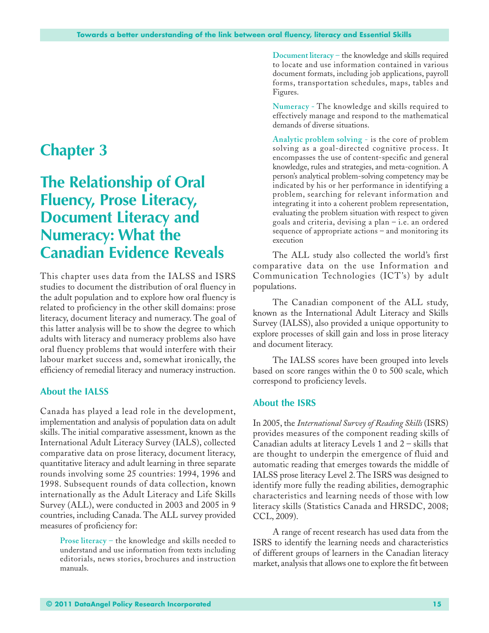## **Chapter 3**

## **The Relationship of Oral Fluency, Prose Literacy, Document Literacy and Numeracy: What the Canadian Evidence Reveals**

This chapter uses data from the IALSS and ISRS studies to document the distribution of oral fluency in the adult population and to explore how oral fluency is related to proficiency in the other skill domains: prose literacy, document literacy and numeracy. The goal of this latter analysis will be to show the degree to which adults with literacy and numeracy problems also have oral fluency problems that would interfere with their labour market success and, somewhat ironically, the efficiency of remedial literacy and numeracy instruction.

## **About the IALSS**

Canada has played a lead role in the development, implementation and analysis of population data on adult skills. The initial comparative assessment, known as the International Adult Literacy Survey (IALS), collected comparative data on prose literacy, document literacy, quantitative literacy and adult learning in three separate rounds involving some 25 countries: 1994, 1996 and 1998. Subsequent rounds of data collection, known internationally as the Adult Literacy and Life Skills Survey (ALL), were conducted in 2003 and 2005 in 9 countries, including Canada. The ALL survey provided measures of proficiency for:

**Prose literacy** – the knowledge and skills needed to understand and use information from texts including editorials, news stories, brochures and instruction manuals.

**Document literacy** – the knowledge and skills required to locate and use information contained in various document formats, including job applications, payroll forms, transportation schedules, maps, tables and Figures.

**Numeracy -** The knowledge and skills required to effectively manage and respond to the mathematical demands of diverse situations.

**Analytic problem solving** - is the core of problem solving as a goal-directed cognitive process. It encompasses the use of content-specific and general knowledge, rules and strategies, and meta-cognition. A person's analytical problem-solving competency may be indicated by his or her performance in identifying a problem, searching for relevant information and integrating it into a coherent problem representation, evaluating the problem situation with respect to given goals and criteria, devising a plan – i.e. an ordered sequence of appropriate actions – and monitoring its execution

The ALL study also collected the world's first comparative data on the use Information and Communication Technologies (ICT's) by adult populations.

The Canadian component of the ALL study, known as the International Adult Literacy and Skills Survey (IALSS), also provided a unique opportunity to explore processes of skill gain and loss in prose literacy and document literacy.

The IALSS scores have been grouped into levels based on score ranges within the 0 to 500 scale, which correspond to proficiency levels.

## **About the ISRS**

In 2005, the *International Survey of Reading Skills* (ISRS) provides measures of the component reading skills of Canadian adults at literacy Levels 1 and 2 – skills that are thought to underpin the emergence of fluid and automatic reading that emerges towards the middle of IALSS prose literacy Level 2. The ISRS was designed to identify more fully the reading abilities, demographic characteristics and learning needs of those with low literacy skills (Statistics Canada and HRSDC, 2008; CCL, 2009).

A range of recent research has used data from the ISRS to identify the learning needs and characteristics of different groups of learners in the Canadian literacy market, analysis that allows one to explore the fit between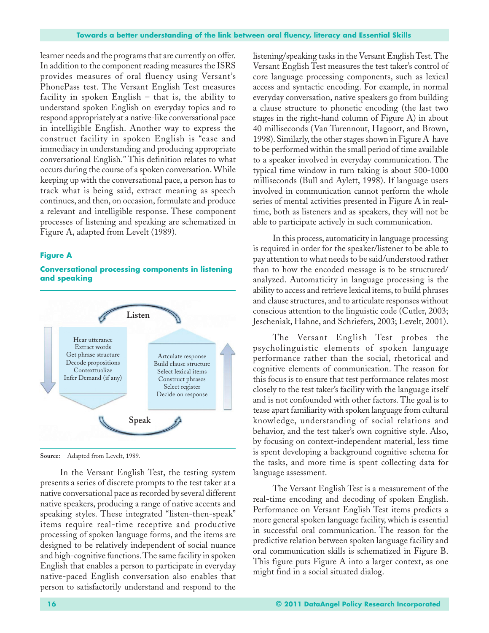learner needs and the programs that are currently on offer. In addition to the component reading measures the ISRS provides measures of oral fluency using Versant's PhonePass test. The Versant English Test measures facility in spoken English – that is, the ability to understand spoken English on everyday topics and to respond appropriately at a native-like conversational pace in intelligible English. Another way to express the construct facility in spoken English is "ease and immediacy in understanding and producing appropriate conversational English." This definition relates to what occurs during the course of a spoken conversation. While keeping up with the conversational pace, a person has to track what is being said, extract meaning as speech continues, and then, on occasion, formulate and produce a relevant and intelligible response. These component processes of listening and speaking are schematized in Figure A, adapted from Levelt (1989).

#### **Figure A**

#### **Conversational processing components in listening and speaking**



**Source:** Adapted from Levelt, 1989.

In the Versant English Test, the testing system presents a series of discrete prompts to the test taker at a native conversational pace as recorded by several different native speakers, producing a range of native accents and speaking styles. These integrated "listen-then-speak" items require real-time receptive and productive processing of spoken language forms, and the items are designed to be relatively independent of social nuance and high-cognitive functions. The same facility in spoken English that enables a person to participate in everyday native-paced English conversation also enables that person to satisfactorily understand and respond to the

listening/speaking tasks in the Versant English Test. The Versant English Test measures the test taker's control of core language processing components, such as lexical access and syntactic encoding. For example, in normal everyday conversation, native speakers go from building a clause structure to phonetic encoding (the last two stages in the right-hand column of Figure A) in about 40 milliseconds (Van Turennout, Hagoort, and Brown, 1998). Similarly, the other stages shown in Figure A have to be performed within the small period of time available to a speaker involved in everyday communication. The typical time window in turn taking is about 500-1000 milliseconds (Bull and Aylett, 1998). If language users involved in communication cannot perform the whole series of mental activities presented in Figure A in realtime, both as listeners and as speakers, they will not be able to participate actively in such communication.

In this process, automaticity in language processing is required in order for the speaker/listener to be able to pay attention to what needs to be said/understood rather than to how the encoded message is to be structured/ analyzed. Automaticity in language processing is the ability to access and retrieve lexical items, to build phrases and clause structures, and to articulate responses without conscious attention to the linguistic code (Cutler, 2003; Jescheniak, Hahne, and Schriefers, 2003; Levelt, 2001).

The Versant English Test probes the psycholinguistic elements of spoken language performance rather than the social, rhetorical and cognitive elements of communication. The reason for this focus is to ensure that test performance relates most closely to the test taker's facility with the language itself and is not confounded with other factors. The goal is to tease apart familiarity with spoken language from cultural knowledge, understanding of social relations and behavior, and the test taker's own cognitive style. Also, by focusing on context-independent material, less time is spent developing a background cognitive schema for the tasks, and more time is spent collecting data for language assessment.

The Versant English Test is a measurement of the real-time encoding and decoding of spoken English. Performance on Versant English Test items predicts a more general spoken language facility, which is essential in successful oral communication. The reason for the predictive relation between spoken language facility and oral communication skills is schematized in Figure B. This figure puts Figure A into a larger context, as one might find in a social situated dialog.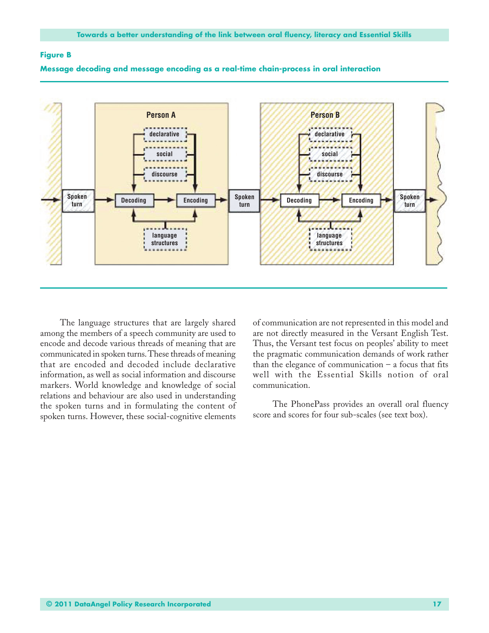#### **Figure B**



#### **Message decoding and message encoding as a real-time chain-process in oral interaction**

The language structures that are largely shared among the members of a speech community are used to encode and decode various threads of meaning that are communicated in spoken turns. These threads of meaning that are encoded and decoded include declarative information, as well as social information and discourse markers. World knowledge and knowledge of social relations and behaviour are also used in understanding the spoken turns and in formulating the content of spoken turns. However, these social-cognitive elements

of communication are not represented in this model and are not directly measured in the Versant English Test. Thus, the Versant test focus on peoples' ability to meet the pragmatic communication demands of work rather than the elegance of communication  $-$  a focus that fits well with the Essential Skills notion of oral communication.

The PhonePass provides an overall oral fluency score and scores for four sub-scales (see text box).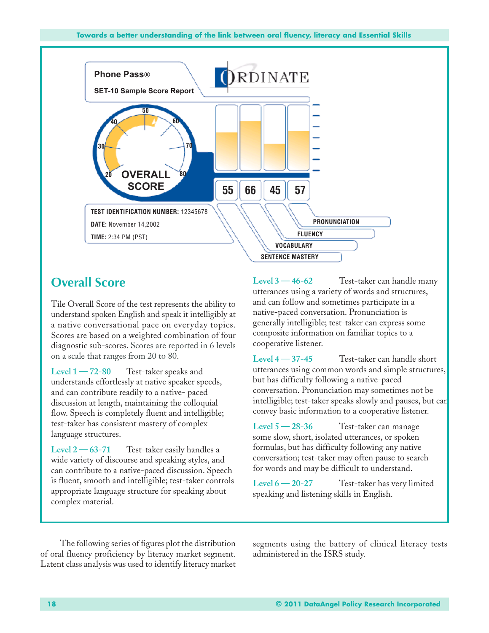

## **Overall Score**

Tile Overall Score of the test represents the ability to understand spoken English and speak it intelligibly at a native conversational pace on everyday topics. Scores are based on a weighted combination of four diagnostic sub-scores. Scores are reported in 6 levels on a scale that ranges from 20 to 80.

**Level 1 — 72-80** Test-taker speaks and understands effortlessly at native speaker speeds, and can contribute readily to a native- paced discussion at length, maintaining the colloquial flow. Speech is completely fluent and intelligible; test-taker has consistent mastery of complex language structures.

**Level 2 — 63-71** Test-taker easily handles a wide variety of discourse and speaking styles, and can contribute to a native-paced discussion. Speech is fluent, smooth and intelligible; test-taker controls appropriate language structure for speaking about complex material.

**Level 3 — 46-62** Test-taker can handle many utterances using a variety of words and structures, and can follow and sometimes participate in a native-paced conversation. Pronunciation is generally intelligible; test-taker can express some composite information on familiar topics to a cooperative listener.

**Level 4 — 37-45** Test-taker can handle short utterances using common words and simple structures, but has difficulty following a native-paced conversation. Pronunciation may sometimes not be intelligible; test-taker speaks slowly and pauses, but can convey basic information to a cooperative listener.

**Level 5 — 28-36** Test-taker can manage some slow, short, isolated utterances, or spoken formulas, but has difficulty following any native conversation; test-taker may often pause to search for words and may be difficult to understand.

**Level 6 — 20-27** Test-taker has very limited speaking and listening skills in English.

The following series of figures plot the distribution of oral fluency proficiency by literacy market segment. Latent class analysis was used to identify literacy market

segments using the battery of clinical literacy tests administered in the ISRS study.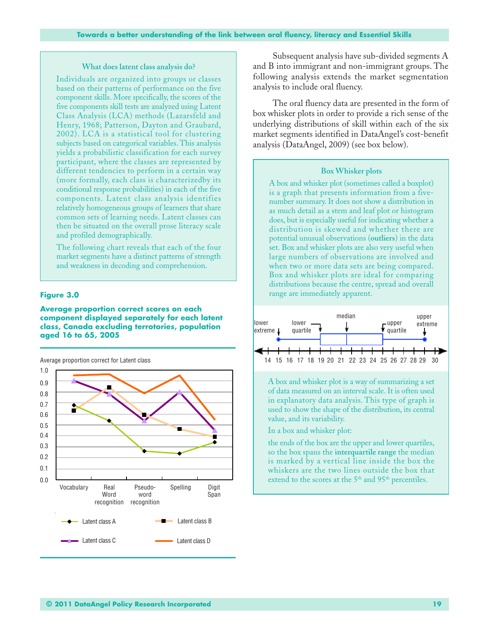#### **What does latent class analysis do?**

Individuals are organized into groups or classes based on their patterns of performance on the five component skills. More specifically, the scores of the five components skill tests are analyzed using Latent Class Analysis (LCA) methods (Lazarsfeld and Henry, 1968; Patterson, Dayton and Graubard, 2002). LCA is a statistical tool for clustering subjects based on categorical variables. This analysis yields a probabilistic classification for each survey participant, where the classes are represented by different tendencies to perform in a certain way (more formally, each class is characterizedby its conditional response probabilities) in each of the five components. Latent class analysis identifies relatively homogeneous groups of learners that share common sets of learning needs. Latent classes can then be situated on the overall prose literacy scale and profiled demographically.

The following chart reveals that each of the four market segments have a distinct patterns of strength and weakness in decoding and comprehension.

#### **Figure 3.0**

#### **Average proportion correct scores on each component displayed separately for each latent class, Canada excluding terrotories, population aged 16 to 65, 2005**

**v** Latent class A Latent class B Latent class C **Latent class D** 1.0 0.9 0.8 0.7 0.6 0.5 0.2 0.4 0.3 0.0 0.1 Vocabulary Real **Word** recognition recognition Pseudoword Spelling Digit Span Latent class D Average proportion correct for Latent class

Subsequent analysis have sub-divided segments A and B into immigrant and non-immigrant groups. The following analysis extends the market segmentation analysis to include oral fluency.

The oral fluency data are presented in the form of box whisker plots in order to provide a rich sense of the underlying distributions of skill within each of the six market segments identified in DataAngel's cost-benefit analysis (DataAngel, 2009) (see box below).

#### **Box Whisker plots**

A box and whisker plot (sometimes called a boxplot) is a graph that presents information from a fivenumber summary. It does not show a distribution in as much detail as a stem and leaf plot or histogram does, but is especially useful for indicating whether a distribution is skewed and whether there are potential unusual observations (**outliers**) in the data set. Box and whisker plots are also very useful when large numbers of observations are involved and when two or more data sets are being compared. Box and whisker plots are ideal for comparing distributions because the centre, spread and overall range are immediately apparent.



A box and whisker plot is a way of summarizing a set of data measured on an interval scale. It is often used in explanatory data analysis. This type of graph is used to show the shape of the distribution, its central value, and its variability.

In a box and whisker plot:

the ends of the box are the upper and lower quartiles, so the box spans the **interquartile range** the median is marked by a vertical line inside the box the whiskers are the two lines outside the box that extend to the scores at the 5<sup>th</sup> and 95<sup>th</sup> percentiles.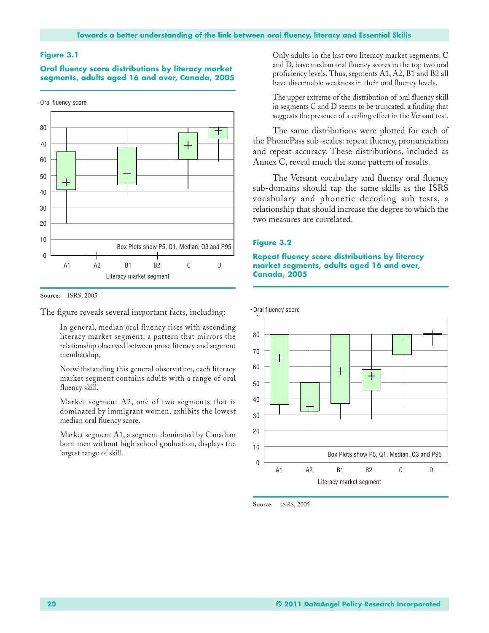**Oral fluency score distributions by literacy market segments, adults aged 16 and over, Canada, 2005**



**Source:** ISRS, 2005

The figure reveals several important facts, including:

In general, median oral fluency rises with ascending literacy market segment, a pattern that mirrors the relationship observed between prose literacy and segment membership,

Notwithstanding this general observation, each literacy market segment contains adults with a range of oral fluency skill,

Market segment A2, one of two segments that is dominated by immigrant women, exhibits the lowest median oral fluency score.

Market segment A1, a segment dominated by Canadian born men without high school graduation, displays the largest range of skill.

Only adults in the last two literacy market segments, C and D, have median oral fluency scores in the top two oral proficiency levels. Thus, segments A1, A2, B1 and B2 all have discernable weakness in their oral fluency levels.

The upper extreme of the distribution of oral fluency skill in segments C and D seems to be truncated, a finding that suggests the presence of a ceiling effect in the Versant test.

The same distributions were plotted for each of the PhonePass sub-scales: repeat fluency, pronunciation and repeat accuracy. These distributions, included as Annex C, reveal much the same pattern of results.

The Versant vocabulary and fluency oral fluency sub-domains should tap the same skills as the ISRS vocabulary and phonetic decoding sub-tests, a relationship that should increase the degree to which the two measures are correlated.

#### **Figure 3.2**

#### **Repeat fluency score distributions by literacy market segments, adults aged 16 and over, Canada, 2005**



**Source:** ISRS, 2005.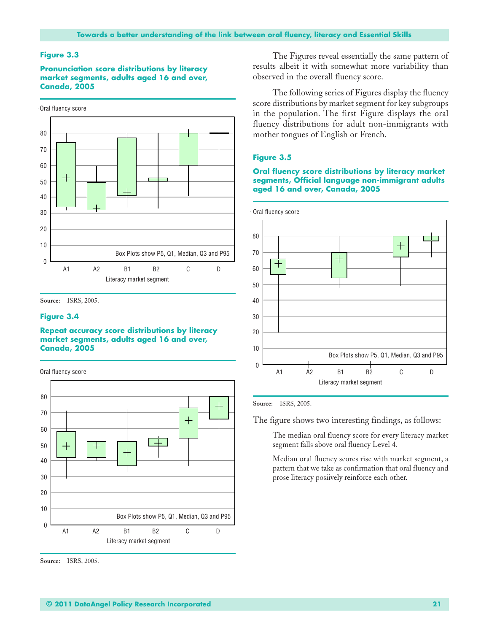**Pronunciation score distributions by literacy market segments, adults aged 16 and over, Canada, 2005**



**Source:** ISRS, 2005.

#### **Figure 3.4**

#### **Repeat accuracy score distributions by literacy market segments, adults aged 16 and over, Canada, 2005**



**Source:** ISRS, 2005.

The Figures reveal essentially the same pattern of results albeit it with somewhat more variability than observed in the overall fluency score.

The following series of Figures display the fluency score distributions by market segment for key subgroups in the population. The first Figure displays the oral fluency distributions for adult non-immigrants with mother tongues of English or French.

#### **Figure 3.5**

#### **Oral fluency score distributions by literacy market segments, Official language non-immigrant adults aged 16 and over, Canada, 2005**



**Source:** ISRS, 2005.

The figure shows two interesting findings, as follows:

The median oral fluency score for every literacy market segment falls above oral fluency Level 4.

Median oral fluency scores rise with market segment, a pattern that we take as confirmation that oral fluency and prose literacy posiively reinforce each other.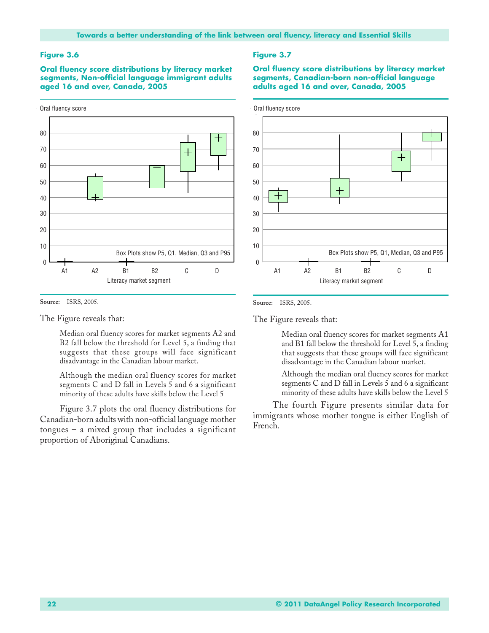**Oral fluency score distributions by literacy market segments, Non-official language immigrant adults aged 16 and over, Canada, 2005**



**Source:** ISRS, 2005.

The Figure reveals that:

Median oral fluency scores for market segments A2 and B2 fall below the threshold for Level 5, a finding that suggests that these groups will face significant disadvantage in the Canadian labour market.

Although the median oral fluency scores for market segments C and D fall in Levels 5 and 6 a significant minority of these adults have skills below the Level 5

Figure 3.7 plots the oral fluency distributions for Canadian-born adults with non-official language mother  $t$ ongues – a mixed group that includes a significant proportion of Aboriginal Canadians.

#### **Figure 3.7**

**Oral fluency score distributions by literacy market segments, Canadian-born non-official language adults aged 16 and over, Canada, 2005**



**Source:** ISRS, 2005.

The Figure reveals that:

Median oral fluency scores for market segments A1 and B1 fall below the threshold for Level 5, a finding that suggests that these groups will face significant disadvantage in the Canadian labour market.

Although the median oral fluency scores for market segments C and D fall in Levels 5 and 6 a significant minority of these adults have skills below the Level 5

The fourth Figure presents similar data for immigrants whose mother tongue is either English of French.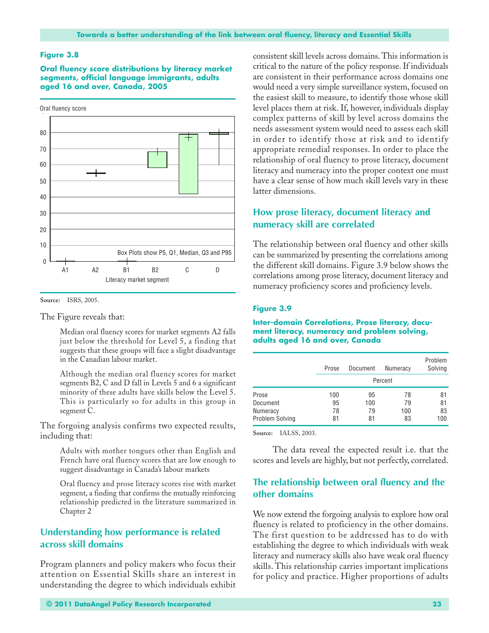**Oral fluency score distributions by literacy market segments, official language immigrants, adults aged 16 and over, Canada, 2005**



**Source:** ISRS, 2005.

The Figure reveals that:

Median oral fluency scores for market segments A2 falls just below the threshold for Level 5, a finding that suggests that these groups will face a slight disadvantage in the Canadian labour market.

Although the median oral fluency scores for market segments B2, C and D fall in Levels 5 and 6 a significant minority of these adults have skills below the Level 5. This is particularly so for adults in this group in segment C.

The forgoing analysis confirms two expected results, including that:

> Adults with mother tongues other than English and French have oral fluency scores that are low enough to suggest disadvantage in Canada's labour markets

> Oral fluency and prose literacy scores rise with market segment, a finding that confirms the mutually reinforcing relationship predicted in the literature summarized in Chapter 2

## **Understanding how performance is related across skill domains**

Program planners and policy makers who focus their attention on Essential Skills share an interest in understanding the degree to which individuals exhibit consistent skill levels across domains. This information is critical to the nature of the policy response. If individuals are consistent in their performance across domains one would need a very simple surveillance system, focused on the easiest skill to measure, to identify those whose skill level places them at risk. If, however, individuals display complex patterns of skill by level across domains the needs assessment system would need to assess each skill in order to identify those at risk and to identify appropriate remedial responses. In order to place the relationship of oral fluency to prose literacy, document literacy and numeracy into the proper context one must have a clear sense of how much skill levels vary in these latter dimensions.

## **How prose literacy, document literacy and numeracy skill are correlated**

The relationship between oral fluency and other skills can be summarized by presenting the correlations among the different skill domains. Figure 3.9 below shows the correlations among prose literacy, document literacy and numeracy proficiency scores and proficiency levels.

#### **Figure 3.9**

#### **Inter-domain Correlations, Prose literacy, document literacy, numeracy and problem solving, adults aged 16 and over, Canada**

|                 | Prose | Document | <b>Numeracy</b> | Problem<br>Solving |
|-----------------|-------|----------|-----------------|--------------------|
|                 |       |          | Percent         |                    |
| Prose           | 100   | 95       | 78              | 81                 |
| Document        | 95    | 100      | 79              | 81                 |
| <b>Numeracy</b> | 78    | 79       | 100             | 83                 |
| Problem Solving | 81    | 81       | 83              | 100                |

**Source:** IALSS, 2003.

The data reveal the expected result i.e. that the scores and levels are highly, but not perfectly, correlated.

## **The relationship between oral fluency and the other domains**

We now extend the forgoing analysis to explore how oral fluency is related to proficiency in the other domains. The first question to be addressed has to do with establishing the degree to which individuals with weak literacy and numeracy skills also have weak oral fluency skills. This relationship carries important implications for policy and practice. Higher proportions of adults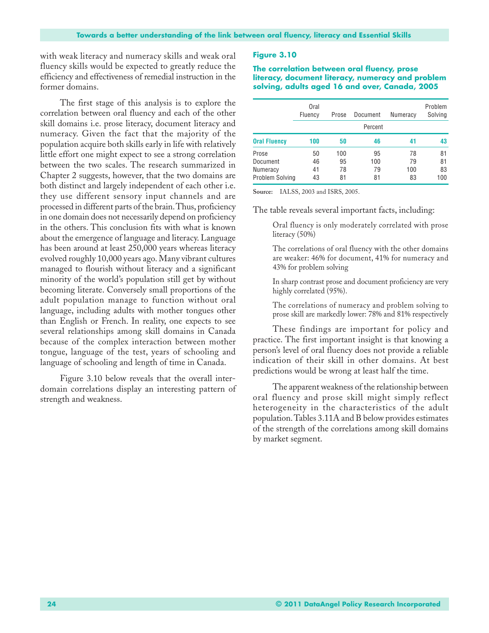with weak literacy and numeracy skills and weak oral fluency skills would be expected to greatly reduce the efficiency and effectiveness of remedial instruction in the former domains.

The first stage of this analysis is to explore the correlation between oral fluency and each of the other skill domains i.e. prose literacy, document literacy and numeracy. Given the fact that the majority of the population acquire both skills early in life with relatively little effort one might expect to see a strong correlation between the two scales. The research summarized in Chapter 2 suggests, however, that the two domains are both distinct and largely independent of each other i.e. they use different sensory input channels and are processed in different parts of the brain. Thus, proficiency in one domain does not necessarily depend on proficiency in the others. This conclusion fits with what is known about the emergence of language and literacy. Language has been around at least 250,000 years whereas literacy evolved roughly 10,000 years ago. Many vibrant cultures managed to flourish without literacy and a significant minority of the world's population still get by without becoming literate. Conversely small proportions of the adult population manage to function without oral language, including adults with mother tongues other than English or French. In reality, one expects to see several relationships among skill domains in Canada because of the complex interaction between mother tongue, language of the test, years of schooling and language of schooling and length of time in Canada.

Figure 3.10 below reveals that the overall interdomain correlations display an interesting pattern of strength and weakness.

#### **Figure 3.10**

**The correlation between oral fluency, prose literacy, document literacy, numeracy and problem solving, adults aged 16 and over, Canada, 2005**

|                                                  | Oral<br>Fluency      | Prose                 | Document              | Numeracy              | Problem<br>Solving    |
|--------------------------------------------------|----------------------|-----------------------|-----------------------|-----------------------|-----------------------|
|                                                  |                      |                       | Percent               |                       |                       |
| <b>Oral Fluency</b>                              | 100                  | 50                    | 46                    | 41                    | 43                    |
| Prose<br>Document<br>Numeracy<br>Problem Solving | 50<br>46<br>41<br>43 | 100<br>95<br>78<br>81 | 95<br>100<br>79<br>81 | 78<br>79<br>100<br>83 | 81<br>81<br>83<br>100 |

**Source:** IALSS, 2003 and ISRS, 2005.

The table reveals several important facts, including:

Oral fluency is only moderately correlated with prose literacy (50%)

The correlations of oral fluency with the other domains are weaker: 46% for document, 41% for numeracy and 43% for problem solving

In sharp contrast prose and document proficiency are very highly correlated (95%).

The correlations of numeracy and problem solving to prose skill are markedly lower: 78% and 81% respectively

These findings are important for policy and practice. The first important insight is that knowing a person's level of oral fluency does not provide a reliable indication of their skill in other domains. At best predictions would be wrong at least half the time.

The apparent weakness of the relationship between oral fluency and prose skill might simply reflect heterogeneity in the characteristics of the adult population. Tables 3.11A and B below provides estimates of the strength of the correlations among skill domains by market segment.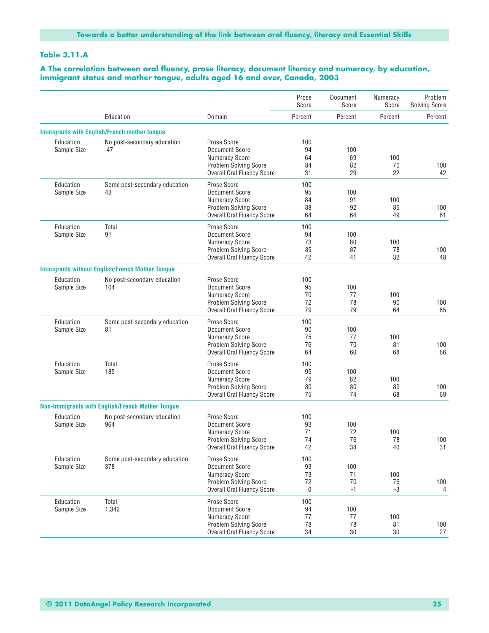#### **Table 3.11.A**

#### **A The correlation between oral fluency, prose literacy, document literacy and numeracy, by education, immigrant status and mother tongue, adults aged 16 and over, Canada, 2003**

|                          |                                                         |                                                                                                                                    | Prose<br>Score              | Document<br>Score       | Numeracy<br>Score | Problem<br><b>Solving Score</b> |
|--------------------------|---------------------------------------------------------|------------------------------------------------------------------------------------------------------------------------------------|-----------------------------|-------------------------|-------------------|---------------------------------|
|                          | Education                                               | Domain                                                                                                                             | Percent                     | Percent                 | Percent           | Percent                         |
|                          | <b>Immigrants with English/French mother tongue</b>     |                                                                                                                                    |                             |                         |                   |                                 |
| Education<br>Sample Size | No post-secondary education<br>47                       | Prose Score<br>Document Score<br><b>Numeracy Score</b><br><b>Problem Solving Score</b><br><b>Overall Oral Fluency Score</b>        | 100<br>94<br>64<br>84<br>31 | 100<br>69<br>82<br>29   | 100<br>70<br>22   | 100<br>42                       |
| Education<br>Sample Size | Some post-secondary education<br>43                     | Prose Score<br>Document Score<br>Numeracy Score<br>Problem Solving Score<br><b>Overall Oral Fluency Score</b>                      | 100<br>95<br>84<br>88<br>64 | 100<br>91<br>92<br>64   | 100<br>85<br>49   | 100<br>61                       |
| Education<br>Sample Size | Total<br>91                                             | Prose Score<br>Document Score<br><b>Numeracy Score</b><br><b>Problem Solving Score</b><br><b>Overall Oral Fluency Score</b>        | 100<br>94<br>73<br>85<br>42 | 100<br>80<br>87<br>41   | 100<br>78<br>32   | 100<br>48                       |
|                          | <b>Immigrants without English/French Mother Tongue</b>  |                                                                                                                                    |                             |                         |                   |                                 |
| Education<br>Sample Size | No post-secondary education<br>104                      | Prose Score<br><b>Document Score</b><br><b>Numeracy Score</b><br><b>Problem Solving Score</b><br><b>Overall Oral Fluency Score</b> | 100<br>95<br>70<br>72<br>79 | 100<br>77<br>78<br>79   | 100<br>90<br>64   | 100<br>65                       |
| Education<br>Sample Size | Some post-secondary education<br>81                     | Prose Score<br><b>Document Score</b><br><b>Numeracy Score</b><br><b>Problem Solving Score</b><br><b>Overall Oral Fluency Score</b> | 100<br>90<br>75<br>76<br>64 | 100<br>77<br>70<br>60   | 100<br>81<br>68   | 100<br>66                       |
| Education<br>Sample Size | Total<br>185                                            | Prose Score<br><b>Document Score</b><br><b>Numeracy Score</b><br><b>Problem Solving Score</b><br><b>Overall Oral Fluency Score</b> | 100<br>95<br>79<br>80<br>75 | 100<br>82<br>80<br>74   | 100<br>89<br>68   | 100<br>69                       |
|                          | <b>Non-Immigrants with English/French Mother Tongue</b> |                                                                                                                                    |                             |                         |                   |                                 |
| Education<br>Sample Size | No post-secondary education<br>964                      | Prose Score<br>Document Score<br><b>Numeracy Score</b><br><b>Problem Solving Score</b><br><b>Overall Oral Fluency Score</b>        | 100<br>93<br>71<br>74<br>42 | 100<br>72<br>76<br>38   | 100<br>78<br>40   | 100<br>31                       |
| Education<br>Sample Size | Some post-secondary education<br>378                    | Prose Score<br><b>Document Score</b><br><b>Numeracy Score</b><br><b>Problem Solving Score</b><br><b>Overall Oral Fluency Score</b> | 100<br>93<br>73<br>72<br>0  | 100<br>71<br>70<br>$-1$ | 100<br>76<br>-3   | 100<br>4                        |
| Education<br>Sample Size | Total<br>1,342                                          | Prose Score<br><b>Document Score</b><br><b>Numeracy Score</b><br><b>Problem Solving Score</b><br><b>Overall Oral Fluency Score</b> | 100<br>94<br>77<br>78<br>34 | 100<br>77<br>78<br>30   | 100<br>81<br>30   | 100<br>27                       |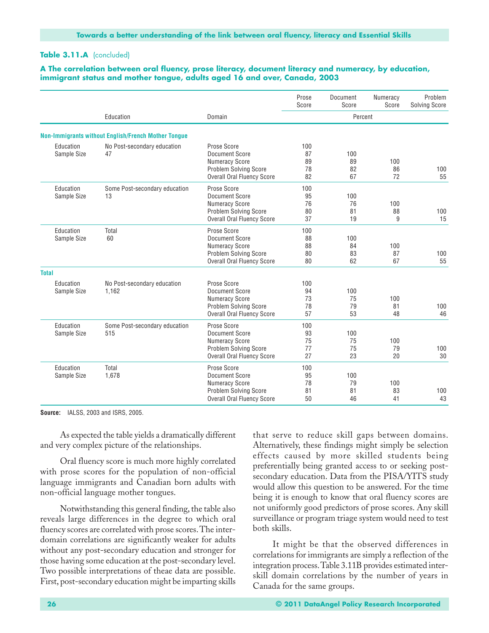#### **Table 3.11.A** (concluded)

#### **A The correlation between oral fluency, prose literacy, document literacy and numeracy, by education, immigrant status and mother tongue, adults aged 16 and over, Canada, 2003**

|                          |                                                            |                                                                                                                                    | Prose<br>Score              | Document<br>Score     | Numeracy<br>Score | Problem<br>Solving Score |
|--------------------------|------------------------------------------------------------|------------------------------------------------------------------------------------------------------------------------------------|-----------------------------|-----------------------|-------------------|--------------------------|
|                          | Education                                                  | Domain                                                                                                                             |                             | Percent               |                   |                          |
|                          | <b>Non-Immigrants without English/French Mother Tonque</b> |                                                                                                                                    |                             |                       |                   |                          |
| Education<br>Sample Size | No Post-secondary education<br>47                          | Prose Score<br>Document Score<br><b>Numeracy Score</b><br><b>Problem Solving Score</b><br><b>Overall Oral Fluency Score</b>        | 100<br>87<br>89<br>78<br>82 | 100<br>89<br>82<br>67 | 100<br>86<br>72   | 100<br>55                |
| Education<br>Sample Size | Some Post-secondary education<br>13                        | Prose Score<br><b>Document Score</b><br><b>Numeracy Score</b><br><b>Problem Solving Score</b><br><b>Overall Oral Fluency Score</b> | 100<br>95<br>76<br>80<br>37 | 100<br>76<br>81<br>19 | 100<br>88<br>9    | 100<br>15                |
| Education<br>Sample Size | Total<br>60                                                | Prose Score<br><b>Document Score</b><br><b>Numeracy Score</b><br><b>Problem Solving Score</b><br>Overall Oral Fluency Score        | 100<br>88<br>88<br>80<br>80 | 100<br>84<br>83<br>62 | 100<br>87<br>67   | 100<br>55                |
| <b>Total</b>             |                                                            |                                                                                                                                    |                             |                       |                   |                          |
| Education<br>Sample Size | No Post-secondary education<br>1.162                       | Prose Score<br>Document Score<br><b>Numeracy Score</b><br><b>Problem Solving Score</b><br><b>Overall Oral Fluency Score</b>        | 100<br>94<br>73<br>78<br>57 | 100<br>75<br>79<br>53 | 100<br>81<br>48   | 100<br>46                |
| Education<br>Sample Size | Some Post-secondary education<br>515                       | Prose Score<br><b>Document Score</b><br><b>Numeracy Score</b><br><b>Problem Solving Score</b><br><b>Overall Oral Fluency Score</b> | 100<br>93<br>75<br>77<br>27 | 100<br>75<br>75<br>23 | 100<br>79<br>20   | 100<br>30                |
| Education<br>Sample Size | Total<br>1,678                                             | Prose Score<br>Document Score<br><b>Numeracy Score</b><br>Problem Solving Score<br><b>Overall Oral Fluency Score</b>               | 100<br>95<br>78<br>81<br>50 | 100<br>79<br>81<br>46 | 100<br>83<br>41   | 100<br>43                |

**Source:** IALSS, 2003 and ISRS, 2005.

As expected the table yields a dramatically different and very complex picture of the relationships.

Oral fluency score is much more highly correlated with prose scores for the population of non-official language immigrants and Canadian born adults with non-official language mother tongues.

Notwithstanding this general finding, the table also reveals large differences in the degree to which oral fluency scores are correlated with prose scores. The interdomain correlations are significantly weaker for adults without any post-secondary education and stronger for those having some education at the post-secondary level. Two possible interpretations of theae data are possible. First, post-secondary education might be imparting skills that serve to reduce skill gaps between domains. Alternatively, these findings might simply be selection effects caused by more skilled students being preferentially being granted access to or seeking postsecondary education. Data from the PISA/YITS study would allow this question to be answered. For the time being it is enough to know that oral fluency scores are not uniformly good predictors of prose scores. Any skill surveillance or program triage system would need to test both skills.

It might be that the observed differences in correlations for immigrants are simply a reflection of the integration process. Table 3.11B provides estimated interskill domain correlations by the number of years in Canada for the same groups.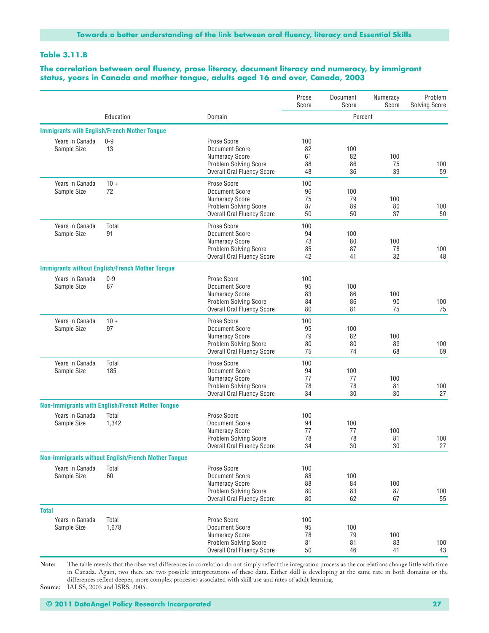#### **Table 3.11.B**

#### **The correlation between oral fluency, prose literacy, document literacy and numeracy, by immigrant status, years in Canada and mother tongue, adults aged 16 and over, Canada, 2003**

|                                |                                                            |                                                                                                                                    | Prose<br>Score              | Document<br>Score     | Numeracy<br>Score | Problem<br><b>Solving Score</b> |
|--------------------------------|------------------------------------------------------------|------------------------------------------------------------------------------------------------------------------------------------|-----------------------------|-----------------------|-------------------|---------------------------------|
|                                | Education                                                  | Domain                                                                                                                             |                             | Percent               |                   |                                 |
|                                | <b>Immigrants with English/French Mother Tongue</b>        |                                                                                                                                    |                             |                       |                   |                                 |
| Years in Canada<br>Sample Size | $0 - 9$<br>13                                              | Prose Score<br>Document Score<br><b>Numeracy Score</b><br><b>Problem Solving Score</b><br><b>Overall Oral Fluency Score</b>        | 100<br>82<br>61<br>88<br>48 | 100<br>82<br>86<br>36 | 100<br>75<br>39   | 100<br>59                       |
| Years in Canada<br>Sample Size | $10 +$<br>72                                               | Prose Score<br>Document Score<br><b>Numeracy Score</b><br><b>Problem Solving Score</b><br><b>Overall Oral Fluency Score</b>        | 100<br>96<br>75<br>87<br>50 | 100<br>79<br>89<br>50 | 100<br>80<br>37   | 100<br>50                       |
| Years in Canada<br>Sample Size | Total<br>91                                                | Prose Score<br>Document Score<br><b>Numeracy Score</b><br><b>Problem Solving Score</b><br><b>Overall Oral Fluency Score</b>        | 100<br>94<br>73<br>85<br>42 | 100<br>80<br>87<br>41 | 100<br>78<br>32   | 100<br>48                       |
|                                | <b>Immigrants without English/French Mother Tongue</b>     |                                                                                                                                    |                             |                       |                   |                                 |
| Years in Canada<br>Sample Size | $0 - 9$<br>87                                              | Prose Score<br><b>Document Score</b><br><b>Numeracy Score</b><br><b>Problem Solving Score</b><br><b>Overall Oral Fluency Score</b> | 100<br>95<br>83<br>84<br>80 | 100<br>86<br>86<br>81 | 100<br>90<br>75   | 100<br>75                       |
| Years in Canada<br>Sample Size | $10 +$<br>97                                               | Prose Score<br>Document Score<br><b>Numeracy Score</b><br><b>Problem Solving Score</b><br><b>Overall Oral Fluency Score</b>        | 100<br>95<br>79<br>80<br>75 | 100<br>82<br>80<br>74 | 100<br>89<br>68   | 100<br>69                       |
| Years in Canada<br>Sample Size | Total<br>185                                               | Prose Score<br>Document Score<br><b>Numeracy Score</b><br><b>Problem Solving Score</b><br><b>Overall Oral Fluency Score</b>        | 100<br>94<br>77<br>78<br>34 | 100<br>77<br>78<br>30 | 100<br>81<br>30   | 100<br>27                       |
|                                | <b>Non-Immigrants with English/French Mother Tongue</b>    |                                                                                                                                    |                             |                       |                   |                                 |
| Years in Canada<br>Sample Size | Total<br>1,342                                             | Prose Score<br><b>Document Score</b><br><b>Numeracy Score</b><br>Problem Solving Score<br><b>Overall Oral Fluency Score</b>        | 100<br>94<br>77<br>78<br>34 | 100<br>77<br>78<br>30 | 100<br>81<br>30   | 100<br>27                       |
|                                | <b>Non-Immigrants without English/French Mother Tongue</b> |                                                                                                                                    |                             |                       |                   |                                 |
| Years in Canada<br>Sample Size | Total<br>60                                                | Prose Score<br><b>Document Score</b><br><b>Numeracy Score</b><br><b>Problem Solving Score</b><br><b>Overall Oral Fluency Score</b> | 100<br>88<br>88<br>80<br>80 | 100<br>84<br>83<br>62 | 100<br>87<br>67   | 100<br>55                       |
| <b>Total</b>                   |                                                            |                                                                                                                                    |                             |                       |                   |                                 |
| Years in Canada<br>Sample Size | Total<br>1,678                                             | Prose Score<br>Document Score<br><b>Numeracy Score</b><br>Problem Solving Score<br><b>Overall Oral Fluency Score</b>               | 100<br>95<br>78<br>81<br>50 | 100<br>79<br>81<br>46 | 100<br>83<br>41   | 100<br>43                       |

**Note:** The table reveals that the observed differences in correlation do not simply reflect the integration process as the correlations change little with time in Canada. Again, two there are two possible interpretations of these data. Either skill is developing at the same rate in both domains or the differences reflect deeper, more complex processes associated with skill use and rates of adult learning.

**Source:** IALSS, 2003 and ISRS, 2005.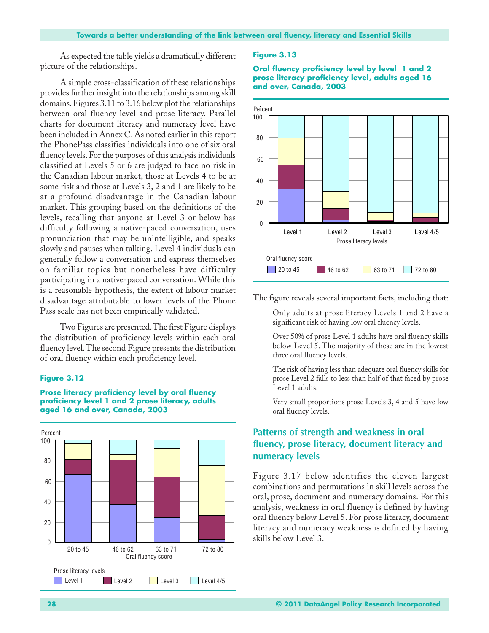As expected the table yields a dramatically different picture of the relationships.

A simple cross-classification of these relationships provides further insight into the relationships among skill domains. Figures 3.11 to 3.16 below plot the relationships between oral fluency level and prose literacy. Parallel charts for document literacy and numeracy level have been included in Annex C. As noted earlier in this report the PhonePass classifies individuals into one of six oral fluency levels. For the purposes of this analysis individuals classified at Levels 5 or 6 are judged to face no risk in the Canadian labour market, those at Levels 4 to be at some risk and those at Levels 3, 2 and 1 are likely to be at a profound disadvantage in the Canadian labour market. This grouping based on the definitions of the levels, recalling that anyone at Level 3 or below has difficulty following a native-paced conversation, uses pronunciation that may be unintelligible, and speaks slowly and pauses when talking. Level 4 individuals can generally follow a conversation and express themselves on familiar topics but nonetheless have difficulty participating in a native-paced conversation. While this is a reasonable hypothesis, the extent of labour market disadvantage attributable to lower levels of the Phone Pass scale has not been empirically validated.

Two Figures are presented. The first Figure displays the distribution of proficiency levels within each oral fluency level. The second Figure presents the distribution of oral fluency within each proficiency level.

#### **Figure 3.12**



#### **Prose literacy proficiency level by oral fluency proficiency level 1 and 2 prose literacy, adults aged 16 and over, Canada, 2003**

#### **Figure 3.13**





The figure reveals several important facts, including that:

Only adults at prose literacy Levels 1 and 2 have a significant risk of having low oral fluency levels.

- Over 50% of prose Level 1 adults have oral fluency skills below Level 5. The majority of these are in the lowest three oral fluency levels.
- The risk of having less than adequate oral fluency skills for prose Level 2 falls to less than half of that faced by prose Level 1 adults.
- Very small proportions prose Levels 3, 4 and 5 have low oral fluency levels.

## **Patterns of strength and weakness in oral fluency, prose literacy, document literacy and numeracy levels**

Figure 3.17 below identifies the eleven largest combinations and permutations in skill levels across the oral, prose, document and numeracy domains. For this analysis, weakness in oral fluency is defined by having oral fluency below Level 5. For prose literacy, document literacy and numeracy weakness is defined by having skills below Level 3.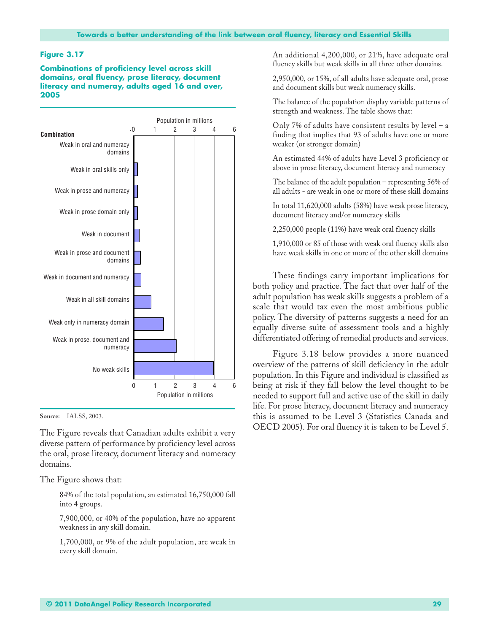**Combinations of proficiency level across skill domains, oral fluency, prose literacy, document literacy and numeray, adults aged 16 and over, 2005**



**Source:** IALSS, 2003.

The Figure reveals that Canadian adults exhibit a very diverse pattern of performance by proficiency level across the oral, prose literacy, document literacy and numeracy domains.

The Figure shows that:

84% of the total population, an estimated 16,750,000 fall into 4 groups.

7,900,000, or 40% of the population, have no apparent weakness in any skill domain.

1,700,000, or 9% of the adult population, are weak in every skill domain.

An additional 4,200,000, or 21%, have adequate oral fluency skills but weak skills in all three other domains.

2,950,000, or 15%, of all adults have adequate oral, prose and document skills but weak numeracy skills.

The balance of the population display variable patterns of strength and weakness. The table shows that:

Only 7% of adults have consistent results by level  $-$  a finding that implies that 93 of adults have one or more weaker (or stronger domain)

An estimated 44% of adults have Level 3 proficiency or above in prose literacy, document literacy and numeracy

The balance of the adult population – representing 56% of all adults - are weak in one or more of these skill domains

In total 11,620,000 adults (58%) have weak prose literacy, document literacy and/or numeracy skills

2,250,000 people (11%) have weak oral fluency skills

1,910,000 or 85 of those with weak oral fluency skills also have weak skills in one or more of the other skill domains

These findings carry important implications for both policy and practice. The fact that over half of the adult population has weak skills suggests a problem of a scale that would tax even the most ambitious public policy. The diversity of patterns suggests a need for an equally diverse suite of assessment tools and a highly differentiated offering of remedial products and services.

Figure 3.18 below provides a more nuanced overview of the patterns of skill deficiency in the adult population. In this Figure and individual is classified as being at risk if they fall below the level thought to be needed to support full and active use of the skill in daily life. For prose literacy, document literacy and numeracy this is assumed to be Level 3 (Statistics Canada and OECD 2005). For oral fluency it is taken to be Level 5.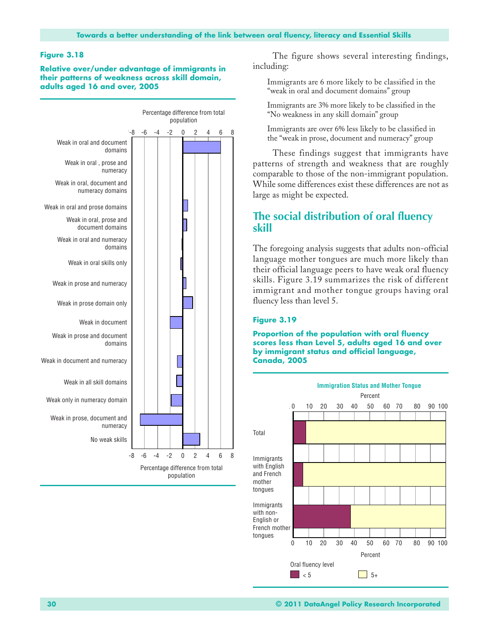#### **Figure 3.18**

**Relative over/under advantage of immigrants in their patterns of weakness across skill domain, adults aged 16 and over, 2005**



The figure shows several interesting findings, including:

Immigrants are 6 more likely to be classified in the "weak in oral and document domains" group

Immigrants are 3% more likely to be classified in the "No weakness in any skill domain" group

Immigrants are over 6% less likely to be classified in the "weak in prose, document and numeracy" group

These findings suggest that immigrants have patterns of strength and weakness that are roughly comparable to those of the non-immigrant population. While some differences exist these differences are not as large as might be expected.

## **The social distribution of oral fluency skill**

The foregoing analysis suggests that adults non-official language mother tongues are much more likely than their official language peers to have weak oral fluency skills. Figure 3.19 summarizes the risk of different immigrant and mother tongue groups having oral fluency less than level 5.

#### **Figure 3.19**

**Proportion of the population with oral fluency scores less than Level 5, adults aged 16 and over by immigrant status and official language, Canada, 2005**

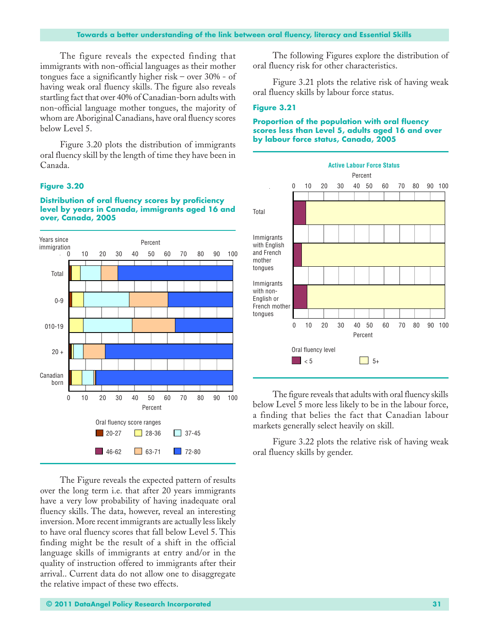The figure reveals the expected finding that immigrants with non-official languages as their mother tongues face a significantly higher risk – over 30% - of having weak oral fluency skills. The figure also reveals startling fact that over 40% of Canadian-born adults with non-official language mother tongues, the majority of whom are Aboriginal Canadians, have oral fluency scores below Level 5.

Figure 3.20 plots the distribution of immigrants oral fluency skill by the length of time they have been in Canada.

#### **Figure 3.20**

#### **Distribution of oral fluency scores by proficiency level by years in Canada, immigrants aged 16 and over, Canada, 2005**



The Figure reveals the expected pattern of results over the long term i.e. that after 20 years immigrants have a very low probability of having inadequate oral fluency skills. The data, however, reveal an interesting inversion. More recent immigrants are actually less likely to have oral fluency scores that fall below Level 5. This finding might be the result of a shift in the official language skills of immigrants at entry and/or in the quality of instruction offered to immigrants after their arrival.. Current data do not allow one to disaggregate the relative impact of these two effects.

The following Figures explore the distribution of oral fluency risk for other characteristics.

Figure 3.21 plots the relative risk of having weak oral fluency skills by labour force status.

#### **Figure 3.21**



**Proportion of the population with oral fluency scores less than Level 5, adults aged 16 and over by labour force status, Canada, 2005**

The figure reveals that adults with oral fluency skills below Level 5 more less likely to be in the labour force, a finding that belies the fact that Canadian labour markets generally select heavily on skill.

Figure 3.22 plots the relative risk of having weak oral fluency skills by gender.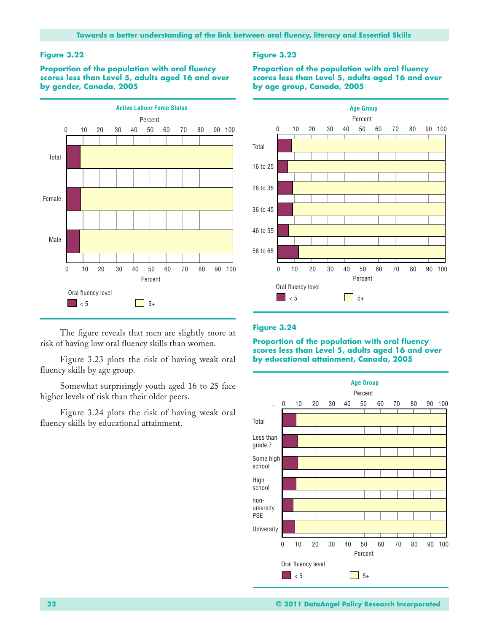**Proportion of the population with oral fluency scores less than Level 5, adults aged 16 and over by gender, Canada, 2005**



The figure reveals that men are slightly more at risk of having low oral fluency skills than women.

Figure 3.23 plots the risk of having weak oral fluency skills by age group.

Somewhat surprisingly youth aged 16 to 25 face higher levels of risk than their older peers.

Figure 3.24 plots the risk of having weak oral fluency skills by educational attainment.

#### **Figure 3.23**

**Proportion of the population with oral fluency scores less than Level 5, adults aged 16 and over by age group, Canada, 2005**



#### **Figure 3.24**

**Proportion of the population with oral fluency scores less than Level 5, adults aged 16 and over by educational attainment, Canada, 2005**

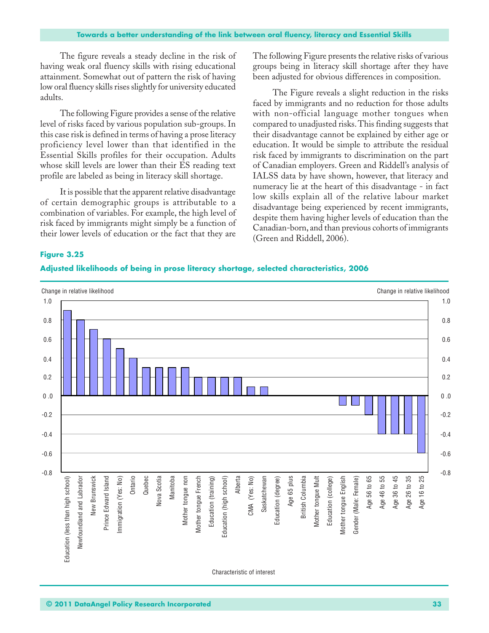The figure reveals a steady decline in the risk of having weak oral fluency skills with rising educational attainment. Somewhat out of pattern the risk of having low oral fluency skills rises slightly for university educated adults.

The following Figure provides a sense of the relative level of risks faced by various population sub-groups. In this case risk is defined in terms of having a prose literacy proficiency level lower than that identified in the Essential Skills profiles for their occupation. Adults whose skill levels are lower than their ES reading text profile are labeled as being in literacy skill shortage.

It is possible that the apparent relative disadvantage of certain demographic groups is attributable to a combination of variables. For example, the high level of risk faced by immigrants might simply be a function of their lower levels of education or the fact that they are

The following Figure presents the relative risks of various groups being in literacy skill shortage after they have been adjusted for obvious differences in composition.

The Figure reveals a slight reduction in the risks faced by immigrants and no reduction for those adults with non-official language mother tongues when compared to unadjusted risks. This finding suggests that their disadvantage cannot be explained by either age or education. It would be simple to attribute the residual risk faced by immigrants to discrimination on the part of Canadian employers. Green and Riddell's analysis of IALSS data by have shown, however, that literacy and numeracy lie at the heart of this disadvantage - in fact low skills explain all of the relative labour market disadvantage being experienced by recent immigrants, despite them having higher levels of education than the Canadian-born, and than previous cohorts of immigrants (Green and Riddell, 2006).

#### **Figure 3.25**

#### **Adjusted likelihoods of being in prose literacy shortage, selected characteristics, 2006**

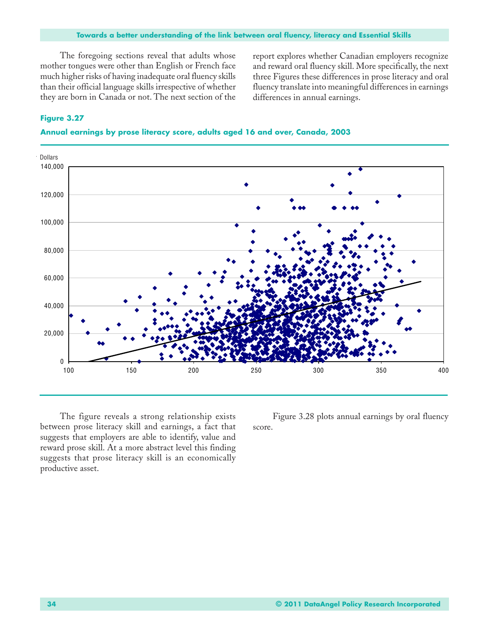The foregoing sections reveal that adults whose mother tongues were other than English or French face much higher risks of having inadequate oral fluency skills than their official language skills irrespective of whether they are born in Canada or not. The next section of the report explores whether Canadian employers recognize and reward oral fluency skill. More specifically, the next three Figures these differences in prose literacy and oral fluency translate into meaningful differences in earnings differences in annual earnings.

### **Figure 3.27**





The figure reveals a strong relationship exists between prose literacy skill and earnings, a fact that suggests that employers are able to identify, value and reward prose skill. At a more abstract level this finding suggests that prose literacy skill is an economically productive asset.

Figure 3.28 plots annual earnings by oral fluency score.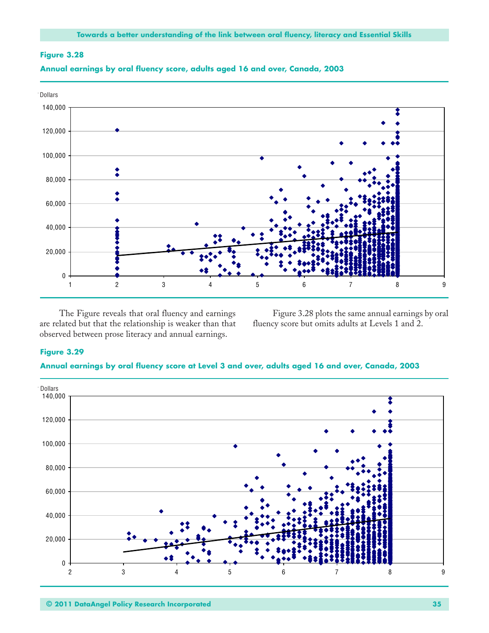



**Annual earnings by oral fluency score, adults aged 16 and over, Canada, 2003**

The Figure reveals that oral fluency and earnings are related but that the relationship is weaker than that observed between prose literacy and annual earnings.

Figure 3.28 plots the same annual earnings by oral fluency score but omits adults at Levels 1 and 2.

#### **Figure 3.29**



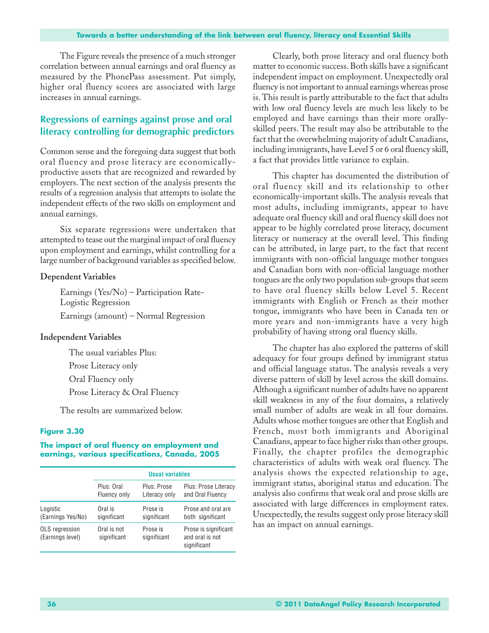The Figure reveals the presence of a much stronger correlation between annual earnings and oral fluency as measured by the PhonePass assessment. Put simply, higher oral fluency scores are associated with large increases in annual earnings.

## **Regressions of earnings against prose and oral literacy controlling for demographic predictors**

Common sense and the foregoing data suggest that both oral fluency and prose literacy are economicallyproductive assets that are recognized and rewarded by employers. The next section of the analysis presents the results of a regression analysis that attempts to isolate the independent effects of the two skills on employment and annual earnings.

Six separate regressions were undertaken that attempted to tease out the marginal impact of oral fluency upon employment and earnings, whilst controlling for a large number of background variables as specified below.

#### **Dependent Variables**

Earnings (Yes/No) – Participation Rate-Logistic Regression Earnings (amount) – Normal Regression

#### **Independent Variables**

The usual variables Plus: Prose Literacy only Oral Fluency only Prose Literacy & Oral Fluency

The results are summarized below.

#### **Figure 3.30**

#### **The impact of oral fluency on employment and earnings, various specifications, Canada, 2005**

|                                    | <b>Usual variables</b>     |                              |                                                        |  |  |
|------------------------------------|----------------------------|------------------------------|--------------------------------------------------------|--|--|
|                                    | Plus: Oral<br>Fluency only | Plus: Prose<br>Literacy only | Plus: Prose Literacy<br>and Oral Fluency               |  |  |
| Logistic<br>(Earnings Yes/No)      | Oral is<br>significant     | Prose is<br>significant      | Prose and oral are<br>both significant                 |  |  |
| OLS regression<br>(Earnings level) | Oral is not<br>significant | Prose is<br>significant      | Prose is significant<br>and oral is not<br>significant |  |  |

Clearly, both prose literacy and oral fluency both matter to economic success. Both skills have a significant independent impact on employment. Unexpectedly oral fluency is not important to annual earnings whereas prose is. This result is partly attributable to the fact that adults with low oral fluency levels are much less likely to be employed and have earnings than their more orallyskilled peers. The result may also be attributable to the fact that the overwhelming majority of adult Canadians, including immigrants, have Level 5 or 6 oral fluency skill, a fact that provides little variance to explain.

This chapter has documented the distribution of oral fluency skill and its relationship to other economically-important skills. The analysis reveals that most adults, including immigrants, appear to have adequate oral fluency skill and oral fluency skill does not appear to be highly correlated prose literacy, document literacy or numeracy at the overall level. This finding can be attributed, in large part, to the fact that recent immigrants with non-official language mother tongues and Canadian born with non-official language mother tongues are the only two population sub-groups that seem to have oral fluency skills below Level 5. Recent immigrants with English or French as their mother tongue, immigrants who have been in Canada ten or more years and non-immigrants have a very high probability of having strong oral fluency skills.

The chapter has also explored the patterns of skill adequacy for four groups defined by immigrant status and official language status. The analysis reveals a very diverse pattern of skill by level across the skill domains. Although a significant number of adults have no apparent skill weakness in any of the four domains, a relatively small number of adults are weak in all four domains. Adults whose mother tongues are other that English and French, most both immigrants and Aboriginal Canadians, appear to face higher risks than other groups. Finally, the chapter profiles the demographic characteristics of adults with weak oral fluency. The analysis shows the expected relationship to age, immigrant status, aboriginal status and education. The analysis also confirms that weak oral and prose skills are associated with large differences in employment rates. Unexpectedly, the results suggest only prose literacy skill has an impact on annual earnings.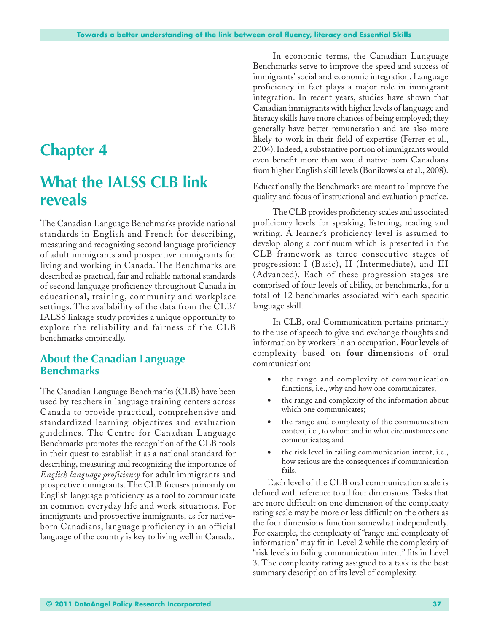## **Chapter 4**

## **What the IALSS CLB link reveals**

The Canadian Language Benchmarks provide national standards in English and French for describing, measuring and recognizing second language proficiency of adult immigrants and prospective immigrants for living and working in Canada. The Benchmarks are described as practical, fair and reliable national standards of second language proficiency throughout Canada in educational, training, community and workplace settings. The availability of the data from the CLB/ IALSS linkage study provides a unique opportunity to explore the reliability and fairness of the CLB benchmarks empirically.

### **About the Canadian Language Benchmarks**

The Canadian Language Benchmarks (CLB) have been used by teachers in language training centers across Canada to provide practical, comprehensive and standardized learning objectives and evaluation guidelines. The Centre for Canadian Language Benchmarks promotes the recognition of the CLB tools in their quest to establish it as a national standard for describing, measuring and recognizing the importance of *English language proficiency* for adult immigrants and prospective immigrants. The CLB focuses primarily on English language proficiency as a tool to communicate in common everyday life and work situations. For immigrants and prospective immigrants, as for nativeborn Canadians, language proficiency in an official language of the country is key to living well in Canada.

In economic terms, the Canadian Language Benchmarks serve to improve the speed and success of immigrants' social and economic integration. Language proficiency in fact plays a major role in immigrant integration. In recent years, studies have shown that Canadian immigrants with higher levels of language and literacy skills have more chances of being employed; they generally have better remuneration and are also more likely to work in their field of expertise (Ferrer et al., 2004). Indeed, a substantive portion of immigrants would even benefit more than would native-born Canadians from higher English skill levels (Bonikowska et al., 2008).

Educationally the Benchmarks are meant to improve the quality and focus of instructional and evaluation practice.

The CLB provides proficiency scales and associated proficiency levels for speaking, listening, reading and writing. A learner's proficiency level is assumed to develop along a continuum which is presented in the CLB framework as three consecutive stages of progression: I (Basic), II (Intermediate), and III (Advanced). Each of these progression stages are comprised of four levels of ability, or benchmarks, for a total of 12 benchmarks associated with each specific language skill.

In CLB, oral Communication pertains primarily to the use of speech to give and exchange thoughts and information by workers in an occupation. **Four levels** of complexity based on **four dimensions** of oral communication:

- the range and complexity of communication functions, i.e., why and how one communicates;
- the range and complexity of the information about which one communicates;
- the range and complexity of the communication context, i.e., to whom and in what circumstances one communicates; and
- the risk level in failing communication intent, i.e., how serious are the consequences if communication fails.

Each level of the CLB oral communication scale is defined with reference to all four dimensions. Tasks that are more difficult on one dimension of the complexity rating scale may be more or less difficult on the others as the four dimensions function somewhat independently. For example, the complexity of "range and complexity of information" may fit in Level 2 while the complexity of "risk levels in failing communication intent" fits in Level 3. The complexity rating assigned to a task is the best summary description of its level of complexity.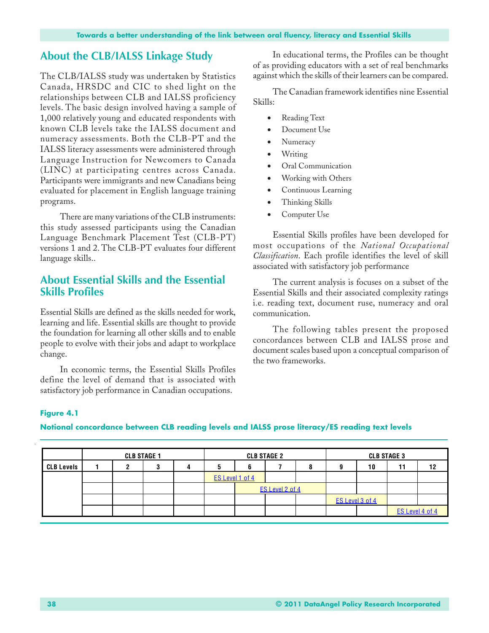### **About the CLB/IALSS Linkage Study**

The CLB/IALSS study was undertaken by Statistics Canada, HRSDC and CIC to shed light on the relationships between CLB and IALSS proficiency levels. The basic design involved having a sample of 1,000 relatively young and educated respondents with known CLB levels take the IALSS document and numeracy assessments. Both the CLB-PT and the IALSS literacy assessments were administered through Language Instruction for Newcomers to Canada (LINC) at participating centres across Canada. Participants were immigrants and new Canadians being evaluated for placement in English language training programs.

There are many variations of the CLB instruments: this study assessed participants using the Canadian Language Benchmark Placement Test (CLB-PT) versions 1 and 2. The CLB-PT evaluates four different language skills..

### **About Essential Skills and the Essential Skills Profiles**

Essential Skills are defined as the skills needed for work, learning and life. Essential skills are thought to provide the foundation for learning all other skills and to enable people to evolve with their jobs and adapt to workplace change.

In economic terms, the Essential Skills Profiles define the level of demand that is associated with satisfactory job performance in Canadian occupations.

In educational terms, the Profiles can be thought of as providing educators with a set of real benchmarks against which the skills of their learners can be compared.

The Canadian framework identifies nine Essential Skills:

- Reading Text
- Document Use
- Numeracy
- Writing
- Oral Communication
- Working with Others
- Continuous Learning
- Thinking Skills
- Computer Use

Essential Skills profiles have been developed for most occupations of the *National Occupational Classification*. Each profile identifies the level of skill associated with satisfactory job performance

The current analysis is focuses on a subset of the Essential Skills and their associated complexity ratings i.e. reading text, document ruse, numeracy and oral communication.

The following tables present the proposed concordances between CLB and IALSS prose and document scales based upon a conceptual comparison of the two frameworks.

#### **Figure 4.1**

#### **Notional concordance between CLB reading levels and IALSS prose literacy/ES reading text levels**

|                   | <b>CLB STAGE 1</b> |  |  | <b>CLB STAGE 2</b> |   |                 |  | <b>CLB STAGE 3</b> |                 |    |                 |    |
|-------------------|--------------------|--|--|--------------------|---|-----------------|--|--------------------|-----------------|----|-----------------|----|
| <b>CLB Levels</b> |                    |  |  |                    | υ |                 |  |                    |                 | 10 | 11              | 12 |
|                   |                    |  |  |                    |   | ES Level 1 of 4 |  |                    |                 |    |                 |    |
|                   |                    |  |  |                    |   | ES Level 2 of 4 |  |                    |                 |    |                 |    |
|                   |                    |  |  |                    |   |                 |  |                    | ES Level 3 of 4 |    |                 |    |
|                   |                    |  |  |                    |   |                 |  |                    |                 |    | ES Level 4 of 4 |    |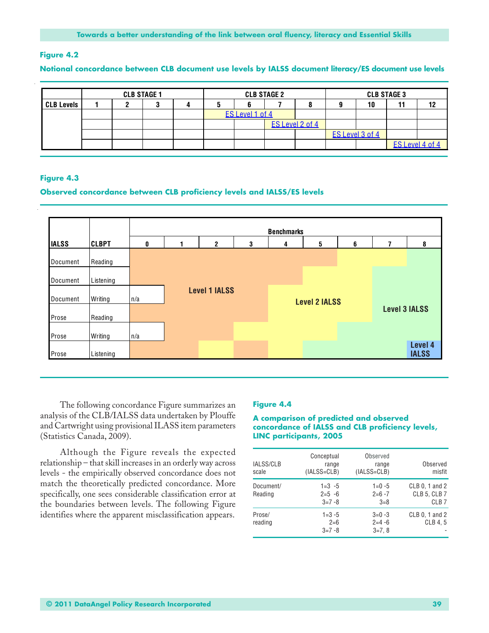#### **Figure 4.2**

#### **Notional concordance between CLB document use levels by IALSS document literacy/ES document use levels**

|                   | <b>CLB STAGE 1</b> |  |  | <b>CLB STAGE 2</b> |                 |  |                 | <b>CLB STAGE 3</b> |    |                 |  |
|-------------------|--------------------|--|--|--------------------|-----------------|--|-----------------|--------------------|----|-----------------|--|
| <b>CLB Levels</b> |                    |  |  |                    |                 |  |                 |                    | 10 |                 |  |
|                   |                    |  |  |                    | ES Level 1 of 4 |  |                 |                    |    |                 |  |
|                   |                    |  |  |                    |                 |  | ES Level 2 of 4 |                    |    |                 |  |
|                   |                    |  |  |                    |                 |  |                 | ES Level 3 of 4    |    |                 |  |
|                   |                    |  |  |                    |                 |  |                 |                    |    | ES Level 4 of 4 |  |

#### **Figure 4.3**

#### **Observed concordance between CLB proficiency levels and IALSS/ES levels**



The following concordance Figure summarizes an analysis of the CLB/IALSS data undertaken by Plouffe and Cartwright using provisional ILASS item parameters (Statistics Canada, 2009).

Although the Figure reveals the expected relationship – that skill increases in an orderly way across levels - the empirically observed concordance does not match the theoretically predicted concordance. More specifically, one sees considerable classification error at the boundaries between levels. The following Figure identifies where the apparent misclassification appears.

#### **Figure 4.4**

#### **A comparison of predicted and observed concordance of IALSS and CLB proficiency levels, LINC participants, 2005**

| IALSS/CLB<br>scale   | Conceptual<br>range<br>$(IALS=CLB)$ | Observed<br>range<br>$(IALS=CLB)$ | Observed<br>misfit                                        |
|----------------------|-------------------------------------|-----------------------------------|-----------------------------------------------------------|
| Document/<br>Reading | $1 = 3 - 5$<br>$2=5 -6$<br>$3=7-8$  | $1=0-5$<br>$2=6-7$<br>$3 = 8$     | CLB 0, 1 and 2<br><b>CLB 5, CLB 7</b><br>CLB <sub>7</sub> |
| Prose/<br>reading    | $1 = 3 - 5$<br>$2=6$<br>$3=7-8$     | $3=0-3$<br>$2=4-6$<br>$3=7.8$     | CLB 0, 1 and 2<br>CLB 4.5                                 |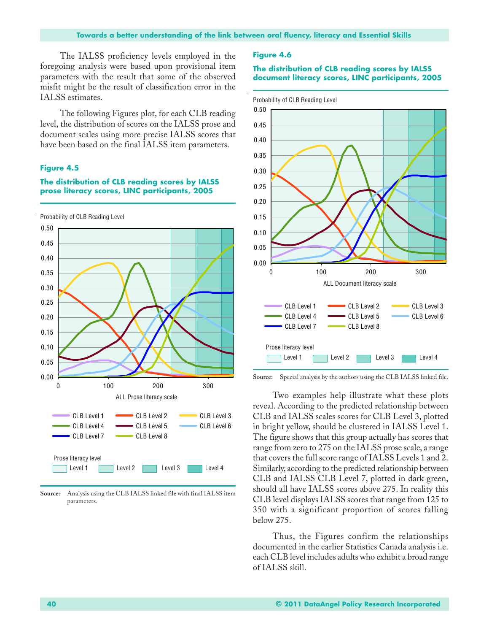The IALSS proficiency levels employed in the foregoing analysis were based upon provisional item parameters with the result that some of the observed misfit might be the result of classification error in the IALSS estimates.

The following Figures plot, for each CLB reading level, the distribution of scores on the IALSS prose and document scales using more precise IALSS scores that have been based on the final IALSS item parameters.

#### **Figure 4.5**

#### **The distribution of CLB reading scores by IALSS prose literacy scores, LINC participants, 2005**



**Source:** Analysis using the CLB IALSS linked file with final IALSS item parameters.

#### **Figure 4.6**

#### **The distribution of CLB reading scores by IALSS document literacy scores, LINC participants, 2005**



**Source:** Special analysis by the authors using the CLB IALSS linked file.

Two examples help illustrate what these plots reveal. According to the predicted relationship between CLB and IALSS scales scores for CLB Level 3, plotted in bright yellow, should be clustered in IALSS Level 1. The figure shows that this group actually has scores that range from zero to 275 on the IALSS prose scale, a range that covers the full score range of IALSS Levels 1 and 2. Similarly, according to the predicted relationship between CLB and IALSS CLB Level 7, plotted in dark green, should all have IALSS scores above 275. In reality this CLB level displays IALSS scores that range from 125 to 350 with a significant proportion of scores falling below 275.

Thus, the Figures confirm the relationships documented in the earlier Statistics Canada analysis i.e. each CLB level includes adults who exhibit a broad range of IALSS skill.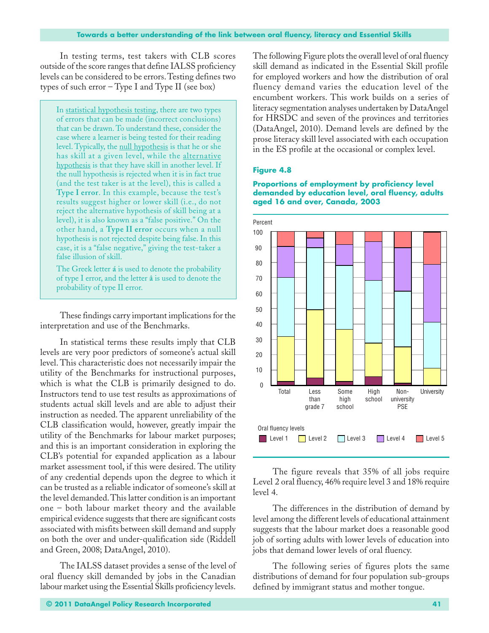In testing terms, test takers with CLB scores outside of the score ranges that define IALSS proficiency levels can be considered to be errors. Testing defines two types of such error – Type I and Type II (see box)

In statistical hypothesis testing, there are two types of errors that can be made (incorrect conclusions) that can be drawn. To understand these, consider the case where a learner is being tested for their reading level. Typically, the null hypothesis is that he or she has skill at a given level, while the alternative hypothesis is that they have skill in another level. If the null hypothesis is rejected when it is in fact true (and the test taker is at the level), this is called a **Type I error**. In this example, because the test's results suggest higher or lower skill (i.e., do not reject the alternative hypothesis of skill being at a level), it is also known as a "false positive." On the other hand, a **Type II error** occurs when a null hypothesis is not rejected despite being false. In this case, it is a "false negative," giving the test-taker a false illusion of skill.

The Greek letter **á** is used to denote the probability of type I error, and the letter **â** is used to denote the probability of type II error.

These findings carry important implications for the interpretation and use of the Benchmarks.

In statistical terms these results imply that CLB levels are very poor predictors of someone's actual skill level. This characteristic does not necessarily impair the utility of the Benchmarks for instructional purposes, which is what the CLB is primarily designed to do. Instructors tend to use test results as approximations of students actual skill levels and are able to adjust their instruction as needed. The apparent unreliability of the CLB classification would, however, greatly impair the utility of the Benchmarks for labour market purposes; and this is an important consideration in exploring the CLB's potential for expanded application as a labour market assessment tool, if this were desired. The utility of any credential depends upon the degree to which it can be trusted as a reliable indicator of someone's skill at the level demanded. This latter condition is an important one – both labour market theory and the available empirical evidence suggests that there are significant costs associated with misfits between skill demand and supply on both the over and under-qualification side (Riddell and Green, 2008; DataAngel, 2010).

The IALSS dataset provides a sense of the level of oral fluency skill demanded by jobs in the Canadian labour market using the Essential Skills proficiency levels.

The following Figure plots the overall level of oral fluency skill demand as indicated in the Essential Skill profile for employed workers and how the distribution of oral fluency demand varies the education level of the encumbent workers. This work builds on a series of literacy segmentation analyses undertaken by DataAngel for HRSDC and seven of the provinces and territories (DataAngel, 2010). Demand levels are defined by the prose literacy skill level associated with each occupation in the ES profile at the occasional or complex level.

#### **Figure 4.8**



**Proportions of employment by proficiency level demanded by education level, oral fluency, adults aged 16 and over, Canada, 2003**

The figure reveals that 35% of all jobs require Level 2 oral fluency, 46% require level 3 and 18% require level 4.

The differences in the distribution of demand by level among the different levels of educational attainment suggests that the labour market does a reasonable good job of sorting adults with lower levels of education into jobs that demand lower levels of oral fluency.

The following series of figures plots the same distributions of demand for four population sub-groups defined by immigrant status and mother tongue.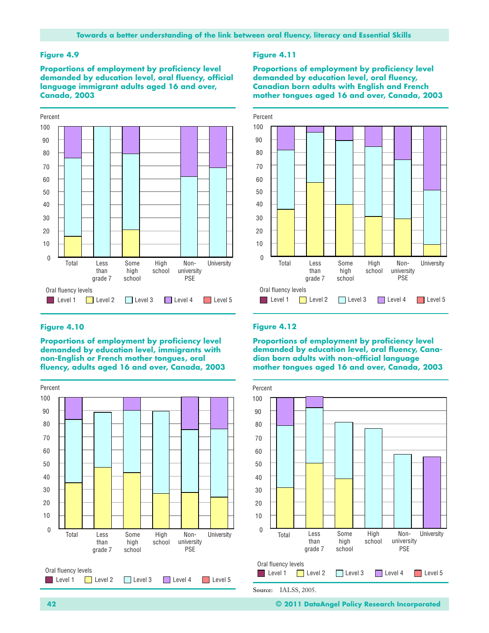#### **Figure 4.9**

**Proportions of employment by proficiency level demanded by education level, oral fluency, official language immigrant adults aged 16 and over, Canada, 2003**



#### **Figure 4.10**

**Proportions of employment by proficiency level demanded by education level, immigrants with non-English or French mother tongues, oral fluency, adults aged 16 and over, Canada, 2003**



#### **Figure 4.11**

**Proportions of employment by proficiency level demanded by education level, oral fluency, Canadian born adults with English and French mother tongues aged 16 and over, Canada, 2003**



#### **Figure 4.12**

**Proportions of employment by proficiency level demanded by education level, oral fluency, Canadian born adults with non-official language mother tongues aged 16 and over, Canada, 2003**



**42 © 2011 DataAngel Policy Research Incorporated**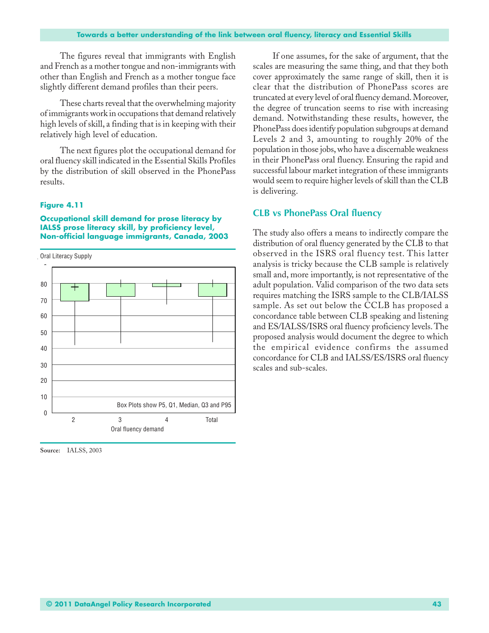The figures reveal that immigrants with English and French as a mother tongue and non-immigrants with other than English and French as a mother tongue face slightly different demand profiles than their peers.

These charts reveal that the overwhelming majority of immigrants work in occupations that demand relatively high levels of skill, a finding that is in keeping with their relatively high level of education.

The next figures plot the occupational demand for oral fluency skill indicated in the Essential Skills Profiles by the distribution of skill observed in the PhonePass results.

#### **Figure 4.11**

**Occupational skill demand for prose literacy by IALSS prose literacy skill, by proficiency level, Non-official language immigrants, Canada, 2003**





**Source:** IALSS, 2003

If one assumes, for the sake of argument, that the scales are measuring the same thing, and that they both cover approximately the same range of skill, then it is clear that the distribution of PhonePass scores are truncated at every level of oral fluency demand. Moreover, the degree of truncation seems to rise with increasing demand. Notwithstanding these results, however, the PhonePass does identify population subgroups at demand Levels 2 and 3, amounting to roughly 20% of the population in those jobs, who have a discernable weakness in their PhonePass oral fluency. Ensuring the rapid and successful labour market integration of these immigrants would seem to require higher levels of skill than the CLB is delivering.

#### **CLB vs PhonePass Oral fluency**

The study also offers a means to indirectly compare the distribution of oral fluency generated by the CLB to that observed in the ISRS oral fluency test. This latter analysis is tricky because the CLB sample is relatively small and, more importantly, is not representative of the adult population. Valid comparison of the two data sets requires matching the ISRS sample to the CLB/IALSS sample. As set out below the CCLB has proposed a concordance table between CLB speaking and listening and ES/IALSS/ISRS oral fluency proficiency levels. The proposed analysis would document the degree to which the empirical evidence confirms the assumed concordance for CLB and IALSS/ES/ISRS oral fluency scales and sub-scales.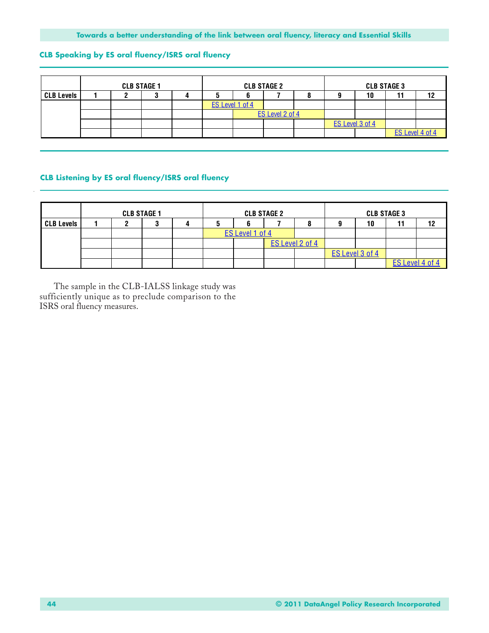#### **CLB Speaking by ES oral fluency/ISRS oral fluency**

|                   | <b>CLB STAGE 1</b> |  |  | <b>CLB STAGE 2</b> |                 |  |                 | <b>CLB STAGE 3</b> |                 |    |                 |    |
|-------------------|--------------------|--|--|--------------------|-----------------|--|-----------------|--------------------|-----------------|----|-----------------|----|
| <b>CLB Levels</b> |                    |  |  |                    |                 |  |                 |                    |                 | 10 |                 | 12 |
|                   |                    |  |  |                    | ES Level 1 of 4 |  |                 |                    |                 |    |                 |    |
|                   |                    |  |  |                    |                 |  | ES Level 2 of 4 |                    |                 |    |                 |    |
|                   |                    |  |  |                    |                 |  |                 |                    | ES Level 3 of 4 |    |                 |    |
|                   |                    |  |  |                    |                 |  |                 |                    |                 |    | ES Level 4 of 4 |    |

#### **CLB Listening by ES oral fluency/ISRS oral fluency**

|                   | <b>CLB STAGE 1</b> |   |  |    |                 | <b>CLB STAGE 2</b> |                 | <b>CLB STAGE 3</b> |    |                 |    |
|-------------------|--------------------|---|--|----|-----------------|--------------------|-----------------|--------------------|----|-----------------|----|
| <b>CLB Levels</b> |                    | υ |  | ×. |                 |                    |                 |                    | 10 | 11              | 12 |
|                   |                    |   |  |    | ES Level 1 of 4 |                    |                 |                    |    |                 |    |
|                   |                    |   |  |    |                 |                    | ES Level 2 of 4 |                    |    |                 |    |
|                   |                    |   |  |    |                 |                    |                 | ES Level 3 of 4    |    |                 |    |
|                   |                    |   |  |    |                 |                    |                 |                    |    | ES Level 4 of 4 |    |

The sample in the CLB-IALSS linkage study was sufficiently unique as to preclude comparison to the ISRS oral fluency measures.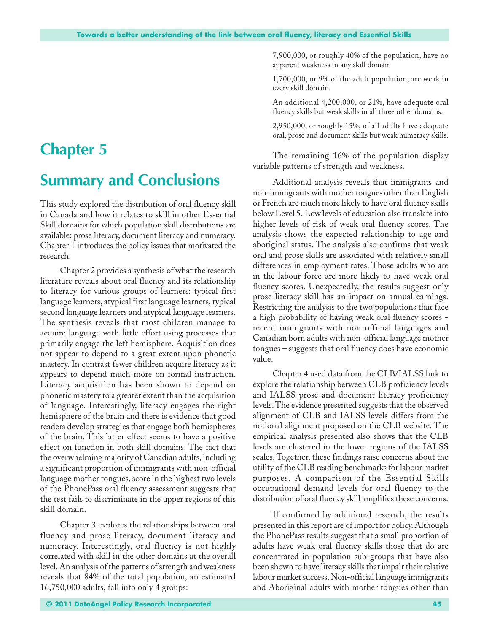# **Chapter 5**

# **Summary and Conclusions**

This study explored the distribution of oral fluency skill in Canada and how it relates to skill in other Essential Skill domains for which population skill distributions are available: prose literacy, document literacy and numeracy. Chapter 1 introduces the policy issues that motivated the research.

Chapter 2 provides a synthesis of what the research literature reveals about oral fluency and its relationship to literacy for various groups of learners: typical first language learners, atypical first language learners, typical second language learners and atypical language learners. The synthesis reveals that most children manage to acquire language with little effort using processes that primarily engage the left hemisphere. Acquisition does not appear to depend to a great extent upon phonetic mastery. In contrast fewer children acquire literacy as it appears to depend much more on formal instruction. Literacy acquisition has been shown to depend on phonetic mastery to a greater extent than the acquisition of language. Interestingly, literacy engages the right hemisphere of the brain and there is evidence that good readers develop strategies that engage both hemispheres of the brain. This latter effect seems to have a positive effect on function in both skill domains. The fact that the overwhelming majority of Canadian adults, including a significant proportion of immigrants with non-official language mother tongues, score in the highest two levels of the PhonePass oral fluency assessment suggests that the test fails to discriminate in the upper regions of this skill domain.

Chapter 3 explores the relationships between oral fluency and prose literacy, document literacy and numeracy. Interestingly, oral fluency is not highly correlated with skill in the other domains at the overall level. An analysis of the patterns of strength and weakness reveals that 84% of the total population, an estimated 16,750,000 adults, fall into only 4 groups:

7,900,000, or roughly 40% of the population, have no apparent weakness in any skill domain

1,700,000, or 9% of the adult population, are weak in every skill domain.

An additional 4,200,000, or 21%, have adequate oral fluency skills but weak skills in all three other domains.

2,950,000, or roughly 15%, of all adults have adequate oral, prose and document skills but weak numeracy skills.

The remaining 16% of the population display variable patterns of strength and weakness.

Additional analysis reveals that immigrants and non-immigrants with mother tongues other than English or French are much more likely to have oral fluency skills below Level 5. Low levels of education also translate into higher levels of risk of weak oral fluency scores. The analysis shows the expected relationship to age and aboriginal status. The analysis also confirms that weak oral and prose skills are associated with relatively small differences in employment rates. Those adults who are in the labour force are more likely to have weak oral fluency scores. Unexpectedly, the results suggest only prose literacy skill has an impact on annual earnings. Restricting the analysis to the two populations that face a high probability of having weak oral fluency scores recent immigrants with non-official languages and Canadian born adults with non-official language mother tongues – suggests that oral fluency does have economic value.

Chapter 4 used data from the CLB/IALSS link to explore the relationship between CLB proficiency levels and IALSS prose and document literacy proficiency levels. The evidence presented suggests that the observed alignment of CLB and IALSS levels differs from the notional alignment proposed on the CLB website. The empirical analysis presented also shows that the CLB levels are clustered in the lower regions of the IALSS scales. Together, these findings raise concerns about the utility of the CLB reading benchmarks for labour market purposes. A comparison of the Essential Skills occupational demand levels for oral fluency to the distribution of oral fluency skill amplifies these concerns.

If confirmed by additional research, the results presented in this report are of import for policy. Although the PhonePass results suggest that a small proportion of adults have weak oral fluency skills those that do are concentrated in population sub-groups that have also been shown to have literacy skills that impair their relative labour market success. Non-official language immigrants and Aboriginal adults with mother tongues other than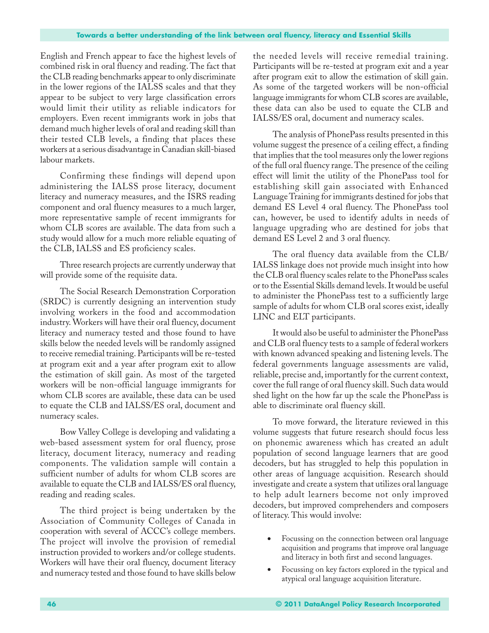English and French appear to face the highest levels of combined risk in oral fluency and reading. The fact that the CLB reading benchmarks appear to only discriminate in the lower regions of the IALSS scales and that they appear to be subject to very large classification errors would limit their utility as reliable indicators for employers. Even recent immigrants work in jobs that demand much higher levels of oral and reading skill than their tested CLB levels, a finding that places these workers at a serious disadvantage in Canadian skill-biased labour markets.

Confirming these findings will depend upon administering the IALSS prose literacy, document literacy and numeracy measures, and the ISRS reading component and oral fluency measures to a much larger, more representative sample of recent immigrants for whom CLB scores are available. The data from such a study would allow for a much more reliable equating of the CLB, IALSS and ES proficiency scales.

Three research projects are currently underway that will provide some of the requisite data.

The Social Research Demonstration Corporation (SRDC) is currently designing an intervention study involving workers in the food and accommodation industry. Workers will have their oral fluency, document literacy and numeracy tested and those found to have skills below the needed levels will be randomly assigned to receive remedial training. Participants will be re-tested at program exit and a year after program exit to allow the estimation of skill gain. As most of the targeted workers will be non-official language immigrants for whom CLB scores are available, these data can be used to equate the CLB and IALSS/ES oral, document and numeracy scales.

Bow Valley College is developing and validating a web-based assessment system for oral fluency, prose literacy, document literacy, numeracy and reading components. The validation sample will contain a sufficient number of adults for whom CLB scores are available to equate the CLB and IALSS/ES oral fluency, reading and reading scales.

The third project is being undertaken by the Association of Community Colleges of Canada in cooperation with several of ACCC's college members. The project will involve the provision of remedial instruction provided to workers and/or college students. Workers will have their oral fluency, document literacy and numeracy tested and those found to have skills below

the needed levels will receive remedial training. Participants will be re-tested at program exit and a year after program exit to allow the estimation of skill gain. As some of the targeted workers will be non-official language immigrants for whom CLB scores are available, these data can also be used to equate the CLB and IALSS/ES oral, document and numeracy scales.

The analysis of PhonePass results presented in this volume suggest the presence of a ceiling effect, a finding that implies that the tool measures only the lower regions of the full oral fluency range. The presence of the ceiling effect will limit the utility of the PhonePass tool for establishing skill gain associated with Enhanced Language Training for immigrants destined for jobs that demand ES Level 4 oral fluency. The PhonePass tool can, however, be used to identify adults in needs of language upgrading who are destined for jobs that demand ES Level 2 and 3 oral fluency.

The oral fluency data available from the CLB/ IALSS linkage does not provide much insight into how the CLB oral fluency scales relate to the PhonePass scales or to the Essential Skills demand levels. It would be useful to administer the PhonePass test to a sufficiently large sample of adults for whom CLB oral scores exist, ideally LINC and ELT participants.

It would also be useful to administer the PhonePass and CLB oral fluency tests to a sample of federal workers with known advanced speaking and listening levels. The federal governments language assessments are valid, reliable, precise and, importantly for the current context, cover the full range of oral fluency skill. Such data would shed light on the how far up the scale the PhonePass is able to discriminate oral fluency skill.

To move forward, the literature reviewed in this volume suggests that future research should focus less on phonemic awareness which has created an adult population of second language learners that are good decoders, but has struggled to help this population in other areas of language acquisition. Research should investigate and create a system that utilizes oral language to help adult learners become not only improved decoders, but improved comprehenders and composers of literacy. This would involve:

- Focussing on the connection between oral language acquisition and programs that improve oral language and literacy in both first and second languages.
- Focussing on key factors explored in the typical and atypical oral language acquisition literature.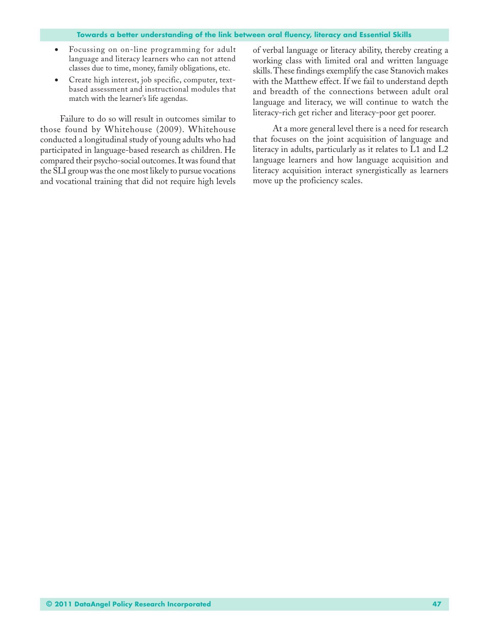- Focussing on on-line programming for adult language and literacy learners who can not attend classes due to time, money, family obligations, etc.
- Create high interest, job specific, computer, textbased assessment and instructional modules that match with the learner's life agendas.

Failure to do so will result in outcomes similar to those found by Whitehouse (2009). Whitehouse conducted a longitudinal study of young adults who had participated in language-based research as children. He compared their psycho-social outcomes. It was found that the SLI group was the one most likely to pursue vocations and vocational training that did not require high levels of verbal language or literacy ability, thereby creating a working class with limited oral and written language skills. These findings exemplify the case Stanovich makes with the Matthew effect. If we fail to understand depth and breadth of the connections between adult oral language and literacy, we will continue to watch the literacy-rich get richer and literacy-poor get poorer.

At a more general level there is a need for research that focuses on the joint acquisition of language and literacy in adults, particularly as it relates to L1 and L2 language learners and how language acquisition and literacy acquisition interact synergistically as learners move up the proficiency scales.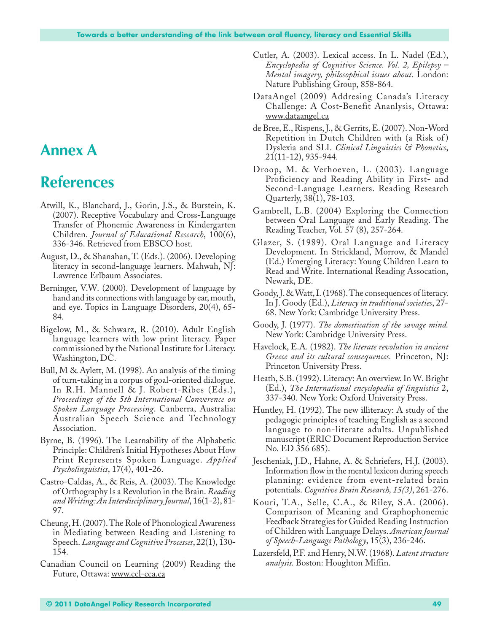### **Annex A**

# **References**

- Atwill, K., Blanchard, J., Gorin, J.S., & Burstein, K. (2007). Receptive Vocabulary and Cross-Language Transfer of Phonemic Awareness in Kindergarten Children. *Journal of Educational Research*, 100(6), 336-346. Retrieved from EBSCO host.
- August, D., & Shanahan, T. (Eds.). (2006). Developing literacy in second-language learners. Mahwah, NJ: Lawrence Erlbaum Associates.
- Berninger, V.W. (2000). Development of language by hand and its connections with language by ear, mouth, and eye. Topics in Language Disorders, 20(4), 65- 84.
- Bigelow, M., & Schwarz, R. (2010). Adult English language learners with low print literacy. Paper commissioned by the National Institute for Literacy. Washington, DC.
- Bull, M & Aylett, M. (1998). An analysis of the timing of turn-taking in a corpus of goal-oriented dialogue. In R.H. Mannell & J. Robert-Ribes (Eds.), *Proceedings of the 5th International Converence on Spoken Language Processing*. Canberra, Australia: Australian Speech Science and Technology Association.
- Byrne, B. (1996). The Learnability of the Alphabetic Principle: Children's Initial Hypotheses About How Print Represents Spoken Language. *Applied Psycholinguistics*, 17(4), 401-26.
- Castro-Caldas, A., & Reis, A. (2003). The Knowledge of Orthography Is a Revolution in the Brain. *Reading and Writing: An Interdisciplinary Journal*, 16(1-2), 81- 97.
- Cheung, H. (2007). The Role of Phonological Awareness in Mediating between Reading and Listening to Speech. *Language and Cognitive Processes*, 22(1), 130- 154.
- Canadian Council on Learning (2009) Reading the Future, Ottawa: www.ccl-cca.ca
- Cutler, A. (2003). Lexical access. In L. Nadel (Ed.), *Encyclopedia of Cognitive Science. Vol. 2, Epilepsy – Mental imagery, philosophical issues about*. London: Nature Publishing Group, 858-864.
- DataAngel (2009) Addresing Canada's Literacy Challenge: A Cost-Benefit Ananlysis, Ottawa: www.dataangel.ca
- de Bree, E., Rispens, J., & Gerrits, E. (2007). Non-Word Repetition in Dutch Children with (a Risk of ) Dyslexia and SLI. *Clinical Linguistics & Phonetics*, 21(11-12), 935-944.
- Droop, M. & Verhoeven, L. (2003). Language Proficiency and Reading Ability in First- and Second-Language Learners. Reading Research Quarterly, 38(1), 78-103.
- Gambrell, L.B. (2004) Exploring the Connection between Oral Language and Early Reading. The Reading Teacher, Vol. 57 (8), 257-264.
- Glazer, S. (1989). Oral Language and Literacy Development. In Strickland, Morrow, & Mandel (Ed.) Emerging Literacy: Young Children Learn to Read and Write. International Reading Assocation, Newark, DE.
- Goody, J. & Watt, I. (1968). The consequences of literacy. In J. Goody (Ed.), *Literacy in traditional societies*, 27- 68. New York: Cambridge University Press.
- Goody, J. (1977). *The domestication of the savage mind.* New York: Cambridge University Press.
- Havelock, E.A. (1982). *The literate revolution in ancient Greece and its cultural consequences.* Princeton, NJ: Princeton University Press.
- Heath, S.B. (1992). Literacy: An overview. In W. Bright (Ed.), *The International encyclopedia of linguistics* 2, 337-340. New York: Oxford University Press.
- Huntley, H. (1992). The new illiteracy: A study of the pedagogic principles of teaching English as a second language to non-literate adults. Unpublished manuscript (ERIC Document Reproduction Service No. ED 356 685).
- Jescheniak, J.D., Hahne, A. & Schriefers, H.J. (2003). Information flow in the mental lexicon during speech planning: evidence from event-related brain potentials. *Cognitive Brain Research, 15(3)*, 261-276.
- Kouri, T.A., Selle, C.A., & Riley, S.A. (2006). Comparison of Meaning and Graphophonemic Feedback Strategies for Guided Reading Instruction of Children with Language Delays. *American Journal of Speech-Language Pathology*, 15(3), 236-246.
- Lazersfeld, P.F. and Henry, N.W. (1968). *Latent structure analysis.* Boston: Houghton Miffin.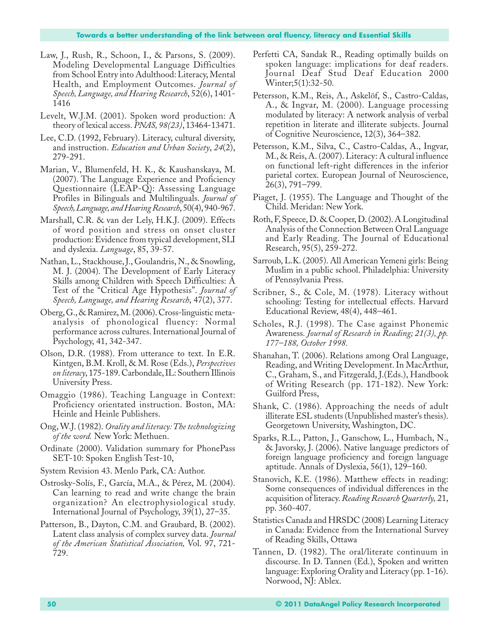- Law, J., Rush, R., Schoon, I., & Parsons, S. (2009). Modeling Developmental Language Difficulties from School Entry into Adulthood: Literacy, Mental Health, and Employment Outcomes. *Journal of Speech, Language, and Hearing Research*, 52(6), 1401- 1416
- Levelt, W.J.M. (2001). Spoken word production: A theory of lexical access. *PNAS, 98(23)*, 13464-13471.
- Lee, C.D. (1992, February). Literacy, cultural diversity, and instruction. *Education and Urban Society*, *24*(2), 279-291.
- Marian, V., Blumenfeld, H. K., & Kaushanskaya, M. (2007). The Language Experience and Proficiency Questionnaire (LEAP-Q): Assessing Language Profiles in Bilinguals and Multilinguals. *Journal of Speech, Language, and Hearing Research*, 50(4), 940-967.
- Marshall, C.R. & van der Lely, H.K.J. (2009). Effects of word position and stress on onset cluster production: Evidence from typical development, SLI and dyslexia. *Language*, 85, 39-57.
- Nathan, L., Stackhouse, J., Goulandris, N., & Snowling, M. J. (2004). The Development of Early Literacy Skills among Children with Speech Difficulties: A Test of the "Critical Age Hypothesis". *Journal of Speech, Language, and Hearing Research*, 47(2), 377.
- Oberg, G., & Ramirez, M. (2006). Cross-linguistic metaanalysis of phonological fluency: Normal performance across cultures. International Journal of Psychology, 41, 342-347.
- Olson, D.R. (1988). From utterance to text. In E.R. Kintgen, B.M. Kroll, & M. Rose (Eds.), *Perspectives on literacy*, 175-189. Carbondale, IL: Southern Illinois University Press.
- Omaggio (1986). Teaching Language in Context: Proficiency orientated instruction. Boston, MA: Heinle and Heinle Publishers.
- Ong, W.J. (1982). *Orality and literacy: The technologizing of the word.* New York: Methuen.
- Ordinate (2000). Validation summary for PhonePass SET-10: Spoken English Test-10,
- System Revision 43. Menlo Park, CA: Author.
- Ostrosky-Solís, F., García, M.A., & Pérez, M. (2004). Can learning to read and write change the brain organization? An electrophysiological study. International Journal of Psychology, 39(1), 27–35.
- Patterson, B., Dayton, C.M. and Graubard, B. (2002). Latent class analysis of complex survey data. *Journal of the American Statistical Association,* Vol. 97, 721- 729.
- Perfetti CA, Sandak R., Reading optimally builds on spoken language: implications for deaf readers. Journal Deaf Stud Deaf Education 2000 Winter;5(1):32-50.
- Petersson, K.M., Reis, A., Askelöf, S., Castro-Caldas, A., & Ingvar, M. (2000). Language processing modulated by literacy: A network analysis of verbal repetition in literate and illiterate subjects. Journal of Cognitive Neuroscience, 12(3), 364–382.
- Petersson, K.M., Silva, C., Castro-Caldas, A., Ingvar, M., & Reis, A. (2007). Literacy: A cultural influence on functional left-right differences in the inferior parietal cortex. European Journal of Neuroscience, 26(3), 791–799.
- Piaget, J. (1955). The Language and Thought of the Child. Meridan: New York.
- Roth, F, Speece, D. & Cooper, D. (2002). A Longitudinal Analysis of the Connection Between Oral Language and Early Reading. The Journal of Educational Research, 95(5), 259-272.
- Sarroub, L.K. (2005). All American Yemeni girls: Being Muslim in a public school. Philadelphia: University of Pennsylvania Press.
- Scribner, S., & Cole, M. (1978). Literacy without schooling: Testing for intellectual effects. Harvard Educational Review, 48(4), 448–461.
- Scholes, R.J. (1998). The Case against Phonemic Awareness*. Journal of Research in Reading; 21(3), pp. 177–188, October 1998.*
- Shanahan, T. (2006). Relations among Oral Language, Reading, and Writing Development. In MacArthur, C., Graham, S., and Fitzgerald, J.(Eds.), Handbook of Writing Research (pp. 171-182). New York: Guilford Press,
- Shank, C. (1986). Approaching the needs of adult illiterate ESL students (Unpublished master's thesis). Georgetown University, Washington, DC.
- Sparks, R.L., Patton, J., Ganschow, L., Humbach, N., & Javorsky, J. (2006). Native language predictors of foreign language proficiency and foreign language aptitude. Annals of Dyslexia, 56(1), 129–160.
- Stanovich, K.E. (1986). Matthew effects in reading: Some consequences of individual differences in the acquisition of literacy. *Reading Research Quarterly,* 21, pp. 360-407.
- Statistics Canada and HRSDC (2008) Learning Literacy in Canada: Evidence from the International Survey of Reading Skills, Ottawa
- Tannen, D. (1982). The oral/literate continuum in discourse. In D. Tannen (Ed.), Spoken and written language: Exploring Orality and Literacy (pp. 1-16). Norwood, NJ: Ablex.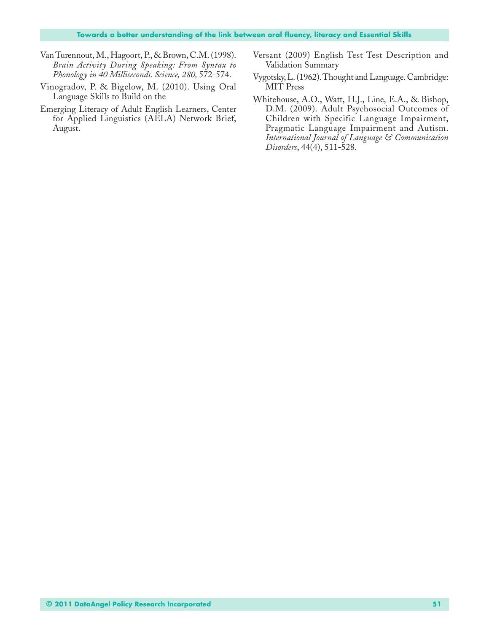- Van Turennout, M., Hagoort, P., & Brown, C.M. (1998). *Brain Activity During Speaking: From Syntax to Phonology in 40 Milliseconds. Science, 280,* 572-574.
- Vinogradov, P. & Bigelow, M. (2010). Using Oral Language Skills to Build on the
- Emerging Literacy of Adult English Learners, Center for Applied Linguistics (AELA) Network Brief, August.
- Versant (2009) English Test Test Description and Validation Summary
- Vygotsky, L. (1962). Thought and Language. Cambridge: MIT Press
- Whitehouse, A.O., Watt, H.J., Line, E.A., & Bishop, D.M. (2009). Adult Psychosocial Outcomes of Children with Specific Language Impairment, Pragmatic Language Impairment and Autism. *International Journal of Language & Communication Disorders*, 44(4), 511-528.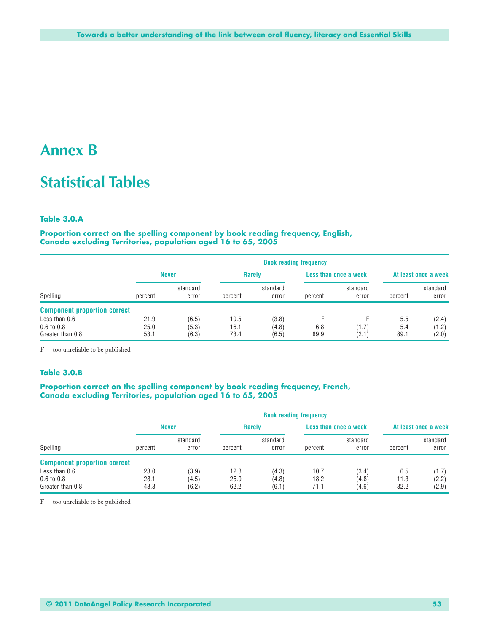### **Annex B**

## **Statistical Tables**

#### **Table 3.0.A**

**Proportion correct on the spelling component by book reading frequency, English, Canada excluding Territories, population aged 16 to 65, 2005**

| Spelling                            |              | <b>Book reading frequency</b> |              |                   |         |                       |            |                      |  |  |  |
|-------------------------------------|--------------|-------------------------------|--------------|-------------------|---------|-----------------------|------------|----------------------|--|--|--|
|                                     |              | <b>Never</b>                  |              | <b>Rarely</b>     |         | Less than once a week |            | At least once a week |  |  |  |
|                                     | percent      | standard<br>error             | percent      | standard<br>error | percent | standard<br>error     | percent    | standard<br>error    |  |  |  |
| <b>Component proportion correct</b> |              |                               |              |                   |         |                       |            |                      |  |  |  |
| Less than 0.6<br>$0.6$ to $0.8$     | 21.9<br>25.0 | (6.5)<br>(5.3)                | 10.5<br>16.1 | (3.8)<br>(4.8)    | 6.8     | (1.7)                 | 5.5<br>5.4 | (2.4)<br>(1.2)       |  |  |  |
| Greater than 0.8                    | 53.1         | (6.3)                         | 73.4         | (6.5)             | 89.9    | (2.1)                 | 89.1       | (2.0)                |  |  |  |

F too unreliable to be published

#### **Table 3.0.B**

#### **Proportion correct on the spelling component by book reading frequency, French, Canada excluding Territories, population aged 16 to 65, 2005**

|                                     |              | <b>Book reading frequency</b> |         |                   |         |                       |         |                      |  |  |
|-------------------------------------|--------------|-------------------------------|---------|-------------------|---------|-----------------------|---------|----------------------|--|--|
|                                     | <b>Never</b> |                               |         | <b>Rarely</b>     |         | Less than once a week |         | At least once a week |  |  |
| Spelling                            | percent      | standard<br>error             | percent | standard<br>error | percent | standard<br>error     | percent | standard<br>error    |  |  |
| <b>Component proportion correct</b> |              |                               |         |                   |         |                       |         |                      |  |  |
| Less than 0.6                       | 23.0         | (3.9)                         | 12.8    | (4.3)             | 10.7    | (3.4)                 | 6.5     | (1.7)                |  |  |
| $0.6 \text{ to } 0.8$               | 28.1         | (4.5)                         | 25.0    | (4.8)             | 18.2    | (4.8)                 | 11.3    | (2.2)                |  |  |
| Greater than 0.8                    | 48.8         | (6.2)                         | 62.2    | (6.1)             | 71.1    | (4.6)                 | 82.2    | (2.9)                |  |  |

F too unreliable to be published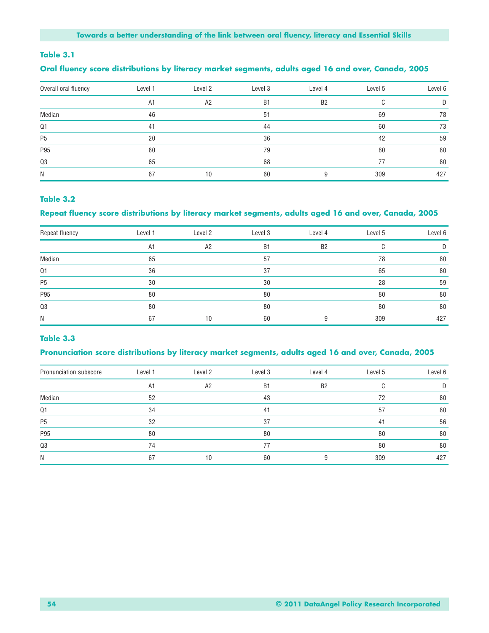#### **Table 3.1**

#### **Oral fluency score distributions by literacy market segments, adults aged 16 and over, Canada, 2005**

| Overall oral fluency | Level 1 | Level 2 | Level 3   | Level 4        | Level 5 | Level 6 |
|----------------------|---------|---------|-----------|----------------|---------|---------|
|                      | A1      | A2      | <b>B1</b> | B <sub>2</sub> |         | D.      |
| Median               | 46      |         | 51        |                | 69      | 78      |
| Q <sub>1</sub>       | 41      |         | 44        |                | 60      | 73      |
| P <sub>5</sub>       | 20      |         | 36        |                | 42      | 59      |
| P95                  | 80      |         | 79        |                | 80      | 80      |
| Q3                   | 65      |         | 68        |                | 77      | 80      |
| N                    | 67      | 10      | 60        |                | 309     | 427     |

#### **Table 3.2**

#### **Repeat fluency score distributions by literacy market segments, adults aged 16 and over, Canada, 2005**

| Repeat fluency | Level 1 | Level 2        | Level 3        | Level 4        | Level 5 | Level 6 |
|----------------|---------|----------------|----------------|----------------|---------|---------|
|                | A1      | A <sub>2</sub> | B <sub>1</sub> | B <sub>2</sub> | U       | D       |
| Median         | 65      |                | 57             |                | 78      | 80      |
| Q <sub>1</sub> | 36      |                | 37             |                | 65      | 80      |
| P <sub>5</sub> | 30      |                | 30             |                | 28      | 59      |
| P95            | 80      |                | 80             |                | 80      | 80      |
| $\mathsf{Q3}$  | 80      |                | 80             |                | 80      | 80      |
| N              | 67      | 10             | 60             |                | 309     | 427     |

#### **Table 3.3**

#### **Pronunciation score distributions by literacy market segments, adults aged 16 and over, Canada, 2005**

| Pronunciation subscore | Level 1 | Level 2 | Level 3   | Level 4        | Level 5 | Level 6 |
|------------------------|---------|---------|-----------|----------------|---------|---------|
|                        | A1      | A2      | <b>B1</b> | B <sub>2</sub> | C       | D       |
| Median                 | 52      |         | 43        |                | 72      | 80      |
| Q1                     | 34      |         | 41        |                | 57      | 80      |
| P <sub>5</sub>         | 32      |         | 37        |                | 41      | 56      |
| P95                    | 80      |         | 80        |                | 80      | 80      |
| Q3                     | 74      |         | 77        |                | 80      | 80      |
| N                      | 67      | 10      | 60        |                | 309     | 427     |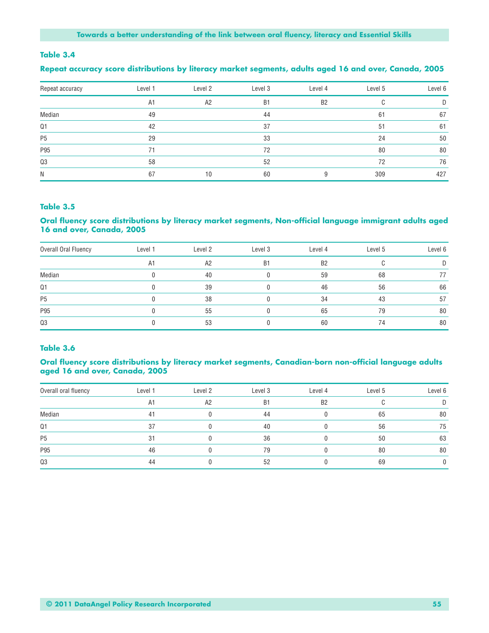#### **Table 3.4**

#### **Repeat accuracy score distributions by literacy market segments, adults aged 16 and over, Canada, 2005**

| Repeat accuracy | Level 1 | Level 2 | Level 3        | Level 4   | Level 5 | Level 6 |
|-----------------|---------|---------|----------------|-----------|---------|---------|
|                 | A1      | A2      | B <sub>1</sub> | <b>B2</b> |         | D       |
| Median          | 49      |         | 44             |           | 61      | 67      |
| Q <sub>1</sub>  | 42      |         | 37             |           | 51      | 61      |
| P <sub>5</sub>  | 29      |         | 33             |           | 24      | 50      |
| P95             | 71      |         | 72             |           | 80      | 80      |
| Q3              | 58      |         | 52             |           | 72      | 76      |
| N               | 67      | 10      | 60             |           | 309     | 427     |

#### **Table 3.5**

#### **Oral fluency score distributions by literacy market segments, Non-official language immigrant adults aged 16 and over, Canada, 2005**

| Overall Oral Fluency | Level 1 | Level 2 | Level 3   | Level 4        | Level 5 | Level 6 |
|----------------------|---------|---------|-----------|----------------|---------|---------|
|                      | A1      | A2      | <b>B1</b> | B <sub>2</sub> |         |         |
| Median               |         | 40      |           | 59             | 68      |         |
| Q <sub>1</sub>       |         | 39      |           | 46             | 56      | 66      |
| P <sub>5</sub>       |         | 38      |           | 34             | 43      | 57      |
| P95                  |         | 55      |           | 65             | 79      | 80      |
| Q3                   |         | 53      |           | 60             | 74      | 80      |

#### **Table 3.6**

#### **Oral fluency score distributions by literacy market segments, Canadian-born non-official language adults aged 16 and over, Canada, 2005**

| Overall oral fluency | Level 1 | Level 2 | Level 3   | Level 4        | Level 5 | Level 6 |
|----------------------|---------|---------|-----------|----------------|---------|---------|
|                      | A1      | A2      | <b>B1</b> | B <sub>2</sub> |         |         |
| Median               | 41      |         | 44        |                | 65      | 80      |
| Q <sub>1</sub>       | 37      |         | 40        |                | 56      | 75      |
| P <sub>5</sub>       | 31      |         | 36        |                | 50      | 63      |
| P95                  | 46      |         | 79        |                | 80      | 80      |
| Q3                   | 44      |         | 52        |                | 69      |         |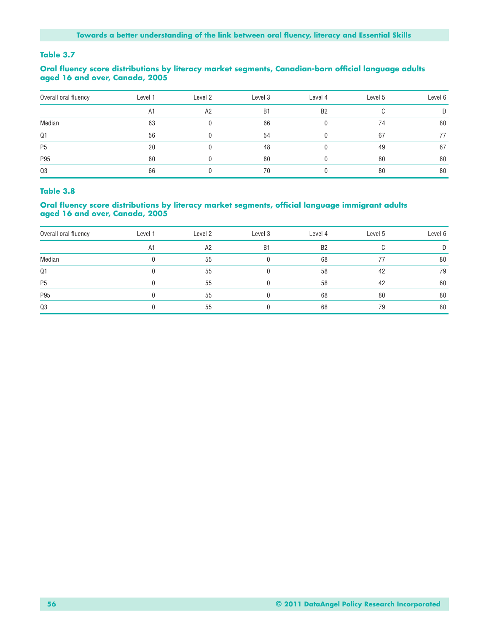#### **Table 3.7**

#### **Oral fluency score distributions by literacy market segments, Canadian-born official language adults aged 16 and over, Canada, 2005**

| Overall oral fluency | Level 1 | Level 2 | Level 3 | Level 4        | Level 5 | Level 6 |
|----------------------|---------|---------|---------|----------------|---------|---------|
|                      | A1      | A2      | B1      | B <sub>2</sub> |         |         |
| Median               | 63      |         | 66      |                | 74      | 80      |
| Q <sub>1</sub>       | 56      |         | 54      |                | 67      |         |
| P <sub>5</sub>       | 20      |         | 48      |                | 49      | 67      |
| P95                  | 80      |         | 80      |                | 80      | 80      |
| Q3                   | 66      |         | 70      |                | 80      | 80      |

#### **Table 3.8**

#### **Oral fluency score distributions by literacy market segments, official language immigrant adults aged 16 and over, Canada, 2005**

| Overall oral fluency | Level 1 | Level 2 | Level 3 | Level 4        | Level 5 | Level 6 |
|----------------------|---------|---------|---------|----------------|---------|---------|
|                      | A1      | A2      | B1      | B <sub>2</sub> |         |         |
| Median               |         | 55      |         | 68             |         | 80      |
| $Q1$                 |         | 55      |         | 58             | 42      | 79      |
| P <sub>5</sub>       |         | 55      |         | 58             | 42      | 60      |
| P95                  |         | 55      |         | 68             | 80      | 80      |
| Q3                   |         | 55      |         | 68             | 79      | 80      |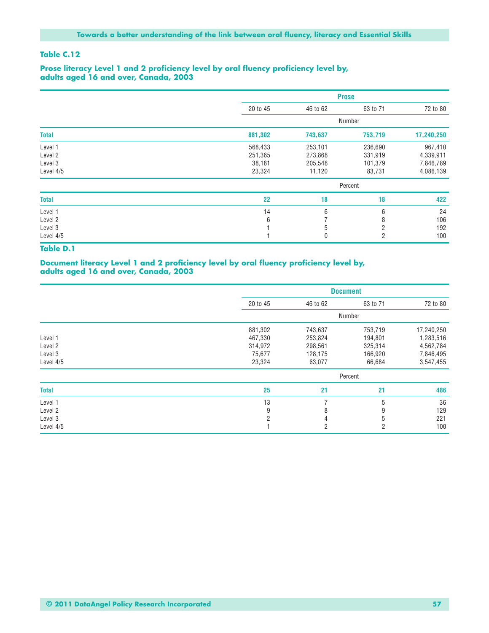#### **Table C.12**

#### **Prose literacy Level 1 and 2 proficiency level by oral fluency proficiency level by, adults aged 16 and over, Canada, 2003**

|              |          | <b>Prose</b> |                |            |  |
|--------------|----------|--------------|----------------|------------|--|
|              | 20 to 45 | 46 to 62     | 63 to 71       | 72 to 80   |  |
|              |          |              | Number         |            |  |
| <b>Total</b> | 881,302  | 743,637      | 753,719        | 17,240,250 |  |
| Level 1      | 568,433  | 253,101      | 236,690        | 967,410    |  |
| Level 2      | 251,365  | 273,868      | 331,919        | 4,339,911  |  |
| Level 3      | 38,181   | 205,548      | 101,379        | 7,846,789  |  |
| Level 4/5    | 23,324   | 11,120       | 83,731         | 4,086,139  |  |
|              |          |              | Percent        |            |  |
| <b>Total</b> | 22       | 18           | 18             | 422        |  |
| Level 1      | 14       | 6            | 6              | 24         |  |
| Level 2      | 6        |              | 8              | 106        |  |
| Level 3      |          | 5            | $\overline{2}$ | 192        |  |
| Level 4/5    |          | 0            | 2              | 100        |  |

#### **Table D.1**

#### **Document literacy Level 1 and 2 proficiency level by oral fluency proficiency level by, adults aged 16 and over, Canada, 2003**

|              |                | <b>Document</b> |                |            |  |  |
|--------------|----------------|-----------------|----------------|------------|--|--|
|              | 20 to 45       | 46 to 62        | 63 to 71       | 72 to 80   |  |  |
|              |                |                 | Number         |            |  |  |
|              | 881,302        | 743,637         | 753,719        | 17,240,250 |  |  |
| Level 1      | 467,330        | 253,824         | 194,801        | 1,283,516  |  |  |
| Level 2      | 314,972        | 298,561         | 325,314        | 4,562,784  |  |  |
| Level 3      | 75,677         | 128,175         | 166,920        | 7,846,495  |  |  |
| Level 4/5    | 23,324         | 63,077          | 66,684         | 3,547,455  |  |  |
|              |                |                 | Percent        |            |  |  |
| <b>Total</b> | 25             | 21              | 21             | 486        |  |  |
| Level 1      | 13             | 7               | 5              | 36         |  |  |
| Level 2      | 9              | 8               | 9              | 129        |  |  |
| Level 3      | $\overline{2}$ | 4               | 5              | 221        |  |  |
| Level 4/5    |                | $\overline{2}$  | $\overline{2}$ | 100        |  |  |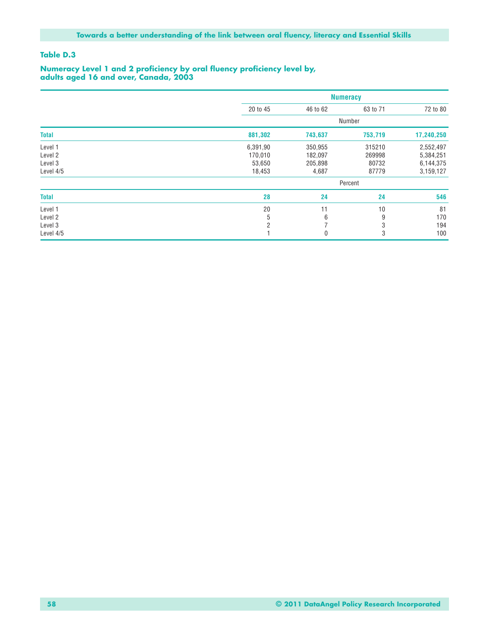#### **Table D.3**

#### **Numeracy Level 1 and 2 proficiency by oral fluency proficiency level by, adults aged 16 and over, Canada, 2003**

|              |                | <b>Numeracy</b> |          |            |  |
|--------------|----------------|-----------------|----------|------------|--|
|              | 20 to 45       | 46 to 62        | 63 to 71 | 72 to 80   |  |
|              |                |                 | Number   |            |  |
| <b>Total</b> | 881,302        | 743,637         | 753,719  | 17,240,250 |  |
| Level 1      | 6,391,90       | 350,955         | 315210   | 2,552,497  |  |
| Level 2      | 170,010        | 182,097         | 269998   | 5,384,251  |  |
| Level 3      | 53,650         | 205,898         | 80732    | 6,144,375  |  |
| Level 4/5    | 18,453         | 4,687           | 87779    | 3,159,127  |  |
|              |                |                 | Percent  |            |  |
| <b>Total</b> | 28             | 24              | 24       | 546        |  |
| Level 1      | 20             | 11              | 10       | 81         |  |
| Level 2      | 5              | 6               | 9        | 170        |  |
| Level 3      | $\overline{2}$ | ⇁               | 3        | 194        |  |
| Level 4/5    |                | 0               | 3        | 100        |  |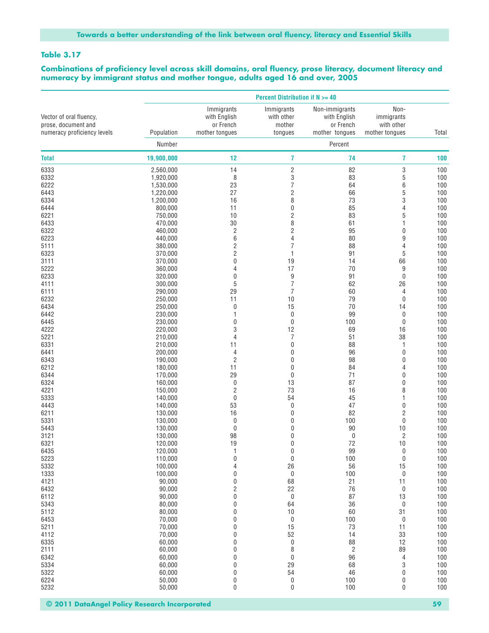#### **Table 3.17**

**Combinations of proficiency level across skill domains, oral fluency, prose literacy, document literacy and numeracy by immigrant status and mother tongue, adults aged 16 and over, 2005**

| Non-<br>Immigrants<br>Immigrants<br>Non-immigrants<br>with English<br>with other<br>with English<br>immigrants<br>or French<br>or French<br>with other<br>mother<br>Population<br>mother tongues<br>tongues<br>mother tongues<br>mother tongues<br>Total<br>Percent<br>Number<br>19,900,000<br>12<br>7<br>7<br>74<br>100<br>14<br>$\overline{\mathbf{c}}$<br>82<br>3<br>6333<br>2,560,000<br>100<br>3<br>5<br>8<br>83<br>6332<br>1,920,000<br>100<br>7<br>1,530,000<br>23<br>64<br>6<br>100<br>$\overline{c}$<br>27<br>5<br>66<br>100<br>1,220,000<br>8<br>3<br>1,200,000<br>73<br>100<br>16<br>$\mathbf 0$<br>85<br>100<br>800,000<br>11<br>4<br>$\overline{\mathbf{c}}$<br>83<br>5<br>750,000<br>10<br>100<br>8<br>30<br>100<br>470,000<br>61<br>1<br>$\overline{c}$<br>$\sqrt{2}$<br>460,000<br>95<br>0<br>100<br>6<br>4<br>440,000<br>80<br>9<br>100<br>$\overline{c}$<br>$\overline{7}$<br>88<br>4<br>100<br>380,000<br>$\overline{\mathbf{c}}$<br>5<br>370,000<br>1<br>91<br>100<br>$\mathbf 0$<br>19<br>66<br>370,000<br>14<br>100<br>17<br>70<br>9<br>100<br>360,000<br>4<br>9<br>320,000<br>0<br>91<br>0<br>100<br>$\overline{7}$<br>5<br>300,000<br>62<br>26<br>100<br>$\overline{7}$<br>29<br>100<br>290,000<br>60<br>4<br>10<br>79<br>250,000<br>11<br>0<br>100<br>15<br>70<br>250,000<br>0<br>14<br>100<br>0<br>99<br>0<br>100<br>230,000<br>1<br>$\mathbf 0$<br>230,000<br>0<br>100<br>0<br>100<br>3<br>12<br>69<br>16<br>100<br>220,000<br>$\overline{7}$<br>38<br>5221<br>4<br>51<br>100<br>210,000<br>$\pmb{0}$<br>6331<br>210,000<br>11<br>88<br>1<br>100<br>$\mathbf 0$<br>96<br>6441<br>200,000<br>0<br>100<br>4<br>$\overline{c}$<br>6343<br>0<br>98<br>100<br>190,000<br>0<br>6212<br>180,000<br>11<br>0<br>84<br>4<br>100<br>29<br>$\mathbf 0$<br>71<br>6344<br>170,000<br>0<br>100<br>6324<br>160,000<br>0<br>13<br>87<br>0<br>100<br>73<br>$\overline{c}$<br>8<br>4221<br>150,000<br>16<br>100<br>$\bf{0}$<br>54<br>5333<br>140,000<br>45<br>1<br>100<br>53<br>0<br>47<br>0<br>100<br>4443<br>140,000<br>82<br>$\overline{\mathbf{c}}$<br>6211<br>130,000<br>16<br>0<br>100<br>5331<br>130,000<br>0<br>0<br>100<br>0<br>100<br>130,000<br>0<br>0<br>90<br>10<br>100<br>5443<br>$\mathbf 0$<br>$\overline{\mathbf{c}}$<br>3121<br>130,000<br>98<br>0<br>100<br>19<br>$\mathbf 0$<br>72<br>10<br>100<br>6321<br>120,000<br>$\pmb{0}$<br>99<br>$100$<br>6435<br>120,000<br>1<br>0<br>$\mathbf 0$<br>5223<br>110,000<br>0<br>100<br>0<br>100<br>5332<br>100,000<br>56<br>100<br>26<br>15<br>4<br>1333<br>100,000<br>0<br>100<br>0<br>100<br>0<br>4121<br>68<br>21<br>100<br>90,000<br>0<br>11<br>$\overline{\mathbf{c}}$<br>22<br>6432<br>90.000<br>76<br>$\boldsymbol{0}$<br>100<br>$\pmb{0}$<br>90,000<br>0<br>87<br>13<br>100<br>6112<br>5343<br>80,000<br>0<br>64<br>36<br>0<br>100<br>100<br>5112<br>80,000<br>0<br>10<br>60<br>31<br>$\pmb{0}$<br>$\pmb{0}$<br>100<br>6453<br>70,000<br>100<br>0<br>15<br>5211<br>70,000<br>0<br>73<br>11<br>100<br>52<br>33<br>100<br>70,000<br>0<br>14<br>4112<br>$\pmb{0}$<br>12<br>6335<br>60,000<br>0<br>100<br>88<br>8<br>89<br>100<br>2111<br>60,000<br>0<br>2<br>$\pmb{0}$<br>6342<br>60,000<br>0<br>96<br>4<br>100<br>5334<br>60,000<br>29<br>3<br>100<br>0<br>68<br>54<br>46<br>100<br>5322<br>60,000<br>0<br>0<br>$\pmb{0}$<br>6224<br>50,000<br>0<br>100<br>0<br>100<br>$\mathbf 0$<br>$\pmb{0}$<br>$\pmb{0}$<br>100<br>50,000<br>100 |                                                                               |  | <b>Percent Distribution if N &gt;= 40</b> |  |  |
|--------------------------------------------------------------------------------------------------------------------------------------------------------------------------------------------------------------------------------------------------------------------------------------------------------------------------------------------------------------------------------------------------------------------------------------------------------------------------------------------------------------------------------------------------------------------------------------------------------------------------------------------------------------------------------------------------------------------------------------------------------------------------------------------------------------------------------------------------------------------------------------------------------------------------------------------------------------------------------------------------------------------------------------------------------------------------------------------------------------------------------------------------------------------------------------------------------------------------------------------------------------------------------------------------------------------------------------------------------------------------------------------------------------------------------------------------------------------------------------------------------------------------------------------------------------------------------------------------------------------------------------------------------------------------------------------------------------------------------------------------------------------------------------------------------------------------------------------------------------------------------------------------------------------------------------------------------------------------------------------------------------------------------------------------------------------------------------------------------------------------------------------------------------------------------------------------------------------------------------------------------------------------------------------------------------------------------------------------------------------------------------------------------------------------------------------------------------------------------------------------------------------------------------------------------------------------------------------------------------------------------------------------------------------------------------------------------------------------------------------------------------------------------------------------------------------------------------------------------------------------------------------------------------------------------------------------------------------------------------------------------------------------------------------------------------------------------------------------------------------------------------------------------------------------------------------------------------------------------------------------------------------------------------------------------------------------------------------------------------------------------------------------------------|-------------------------------------------------------------------------------|--|-------------------------------------------|--|--|
|                                                                                                                                                                                                                                                                                                                                                                                                                                                                                                                                                                                                                                                                                                                                                                                                                                                                                                                                                                                                                                                                                                                                                                                                                                                                                                                                                                                                                                                                                                                                                                                                                                                                                                                                                                                                                                                                                                                                                                                                                                                                                                                                                                                                                                                                                                                                                                                                                                                                                                                                                                                                                                                                                                                                                                                                                                                                                                                                                                                                                                                                                                                                                                                                                                                                                                                                                                                                              | Vector of oral fluency,<br>prose, document and<br>numeracy proficiency levels |  |                                           |  |  |
|                                                                                                                                                                                                                                                                                                                                                                                                                                                                                                                                                                                                                                                                                                                                                                                                                                                                                                                                                                                                                                                                                                                                                                                                                                                                                                                                                                                                                                                                                                                                                                                                                                                                                                                                                                                                                                                                                                                                                                                                                                                                                                                                                                                                                                                                                                                                                                                                                                                                                                                                                                                                                                                                                                                                                                                                                                                                                                                                                                                                                                                                                                                                                                                                                                                                                                                                                                                                              |                                                                               |  |                                           |  |  |
|                                                                                                                                                                                                                                                                                                                                                                                                                                                                                                                                                                                                                                                                                                                                                                                                                                                                                                                                                                                                                                                                                                                                                                                                                                                                                                                                                                                                                                                                                                                                                                                                                                                                                                                                                                                                                                                                                                                                                                                                                                                                                                                                                                                                                                                                                                                                                                                                                                                                                                                                                                                                                                                                                                                                                                                                                                                                                                                                                                                                                                                                                                                                                                                                                                                                                                                                                                                                              | <b>Total</b>                                                                  |  |                                           |  |  |
|                                                                                                                                                                                                                                                                                                                                                                                                                                                                                                                                                                                                                                                                                                                                                                                                                                                                                                                                                                                                                                                                                                                                                                                                                                                                                                                                                                                                                                                                                                                                                                                                                                                                                                                                                                                                                                                                                                                                                                                                                                                                                                                                                                                                                                                                                                                                                                                                                                                                                                                                                                                                                                                                                                                                                                                                                                                                                                                                                                                                                                                                                                                                                                                                                                                                                                                                                                                                              |                                                                               |  |                                           |  |  |
|                                                                                                                                                                                                                                                                                                                                                                                                                                                                                                                                                                                                                                                                                                                                                                                                                                                                                                                                                                                                                                                                                                                                                                                                                                                                                                                                                                                                                                                                                                                                                                                                                                                                                                                                                                                                                                                                                                                                                                                                                                                                                                                                                                                                                                                                                                                                                                                                                                                                                                                                                                                                                                                                                                                                                                                                                                                                                                                                                                                                                                                                                                                                                                                                                                                                                                                                                                                                              |                                                                               |  |                                           |  |  |
|                                                                                                                                                                                                                                                                                                                                                                                                                                                                                                                                                                                                                                                                                                                                                                                                                                                                                                                                                                                                                                                                                                                                                                                                                                                                                                                                                                                                                                                                                                                                                                                                                                                                                                                                                                                                                                                                                                                                                                                                                                                                                                                                                                                                                                                                                                                                                                                                                                                                                                                                                                                                                                                                                                                                                                                                                                                                                                                                                                                                                                                                                                                                                                                                                                                                                                                                                                                                              | 6222                                                                          |  |                                           |  |  |
|                                                                                                                                                                                                                                                                                                                                                                                                                                                                                                                                                                                                                                                                                                                                                                                                                                                                                                                                                                                                                                                                                                                                                                                                                                                                                                                                                                                                                                                                                                                                                                                                                                                                                                                                                                                                                                                                                                                                                                                                                                                                                                                                                                                                                                                                                                                                                                                                                                                                                                                                                                                                                                                                                                                                                                                                                                                                                                                                                                                                                                                                                                                                                                                                                                                                                                                                                                                                              | 6443                                                                          |  |                                           |  |  |
|                                                                                                                                                                                                                                                                                                                                                                                                                                                                                                                                                                                                                                                                                                                                                                                                                                                                                                                                                                                                                                                                                                                                                                                                                                                                                                                                                                                                                                                                                                                                                                                                                                                                                                                                                                                                                                                                                                                                                                                                                                                                                                                                                                                                                                                                                                                                                                                                                                                                                                                                                                                                                                                                                                                                                                                                                                                                                                                                                                                                                                                                                                                                                                                                                                                                                                                                                                                                              | 6334                                                                          |  |                                           |  |  |
|                                                                                                                                                                                                                                                                                                                                                                                                                                                                                                                                                                                                                                                                                                                                                                                                                                                                                                                                                                                                                                                                                                                                                                                                                                                                                                                                                                                                                                                                                                                                                                                                                                                                                                                                                                                                                                                                                                                                                                                                                                                                                                                                                                                                                                                                                                                                                                                                                                                                                                                                                                                                                                                                                                                                                                                                                                                                                                                                                                                                                                                                                                                                                                                                                                                                                                                                                                                                              | 6444                                                                          |  |                                           |  |  |
|                                                                                                                                                                                                                                                                                                                                                                                                                                                                                                                                                                                                                                                                                                                                                                                                                                                                                                                                                                                                                                                                                                                                                                                                                                                                                                                                                                                                                                                                                                                                                                                                                                                                                                                                                                                                                                                                                                                                                                                                                                                                                                                                                                                                                                                                                                                                                                                                                                                                                                                                                                                                                                                                                                                                                                                                                                                                                                                                                                                                                                                                                                                                                                                                                                                                                                                                                                                                              | 6221                                                                          |  |                                           |  |  |
|                                                                                                                                                                                                                                                                                                                                                                                                                                                                                                                                                                                                                                                                                                                                                                                                                                                                                                                                                                                                                                                                                                                                                                                                                                                                                                                                                                                                                                                                                                                                                                                                                                                                                                                                                                                                                                                                                                                                                                                                                                                                                                                                                                                                                                                                                                                                                                                                                                                                                                                                                                                                                                                                                                                                                                                                                                                                                                                                                                                                                                                                                                                                                                                                                                                                                                                                                                                                              | 6433                                                                          |  |                                           |  |  |
|                                                                                                                                                                                                                                                                                                                                                                                                                                                                                                                                                                                                                                                                                                                                                                                                                                                                                                                                                                                                                                                                                                                                                                                                                                                                                                                                                                                                                                                                                                                                                                                                                                                                                                                                                                                                                                                                                                                                                                                                                                                                                                                                                                                                                                                                                                                                                                                                                                                                                                                                                                                                                                                                                                                                                                                                                                                                                                                                                                                                                                                                                                                                                                                                                                                                                                                                                                                                              | 6322                                                                          |  |                                           |  |  |
|                                                                                                                                                                                                                                                                                                                                                                                                                                                                                                                                                                                                                                                                                                                                                                                                                                                                                                                                                                                                                                                                                                                                                                                                                                                                                                                                                                                                                                                                                                                                                                                                                                                                                                                                                                                                                                                                                                                                                                                                                                                                                                                                                                                                                                                                                                                                                                                                                                                                                                                                                                                                                                                                                                                                                                                                                                                                                                                                                                                                                                                                                                                                                                                                                                                                                                                                                                                                              | 6223                                                                          |  |                                           |  |  |
|                                                                                                                                                                                                                                                                                                                                                                                                                                                                                                                                                                                                                                                                                                                                                                                                                                                                                                                                                                                                                                                                                                                                                                                                                                                                                                                                                                                                                                                                                                                                                                                                                                                                                                                                                                                                                                                                                                                                                                                                                                                                                                                                                                                                                                                                                                                                                                                                                                                                                                                                                                                                                                                                                                                                                                                                                                                                                                                                                                                                                                                                                                                                                                                                                                                                                                                                                                                                              | 5111                                                                          |  |                                           |  |  |
|                                                                                                                                                                                                                                                                                                                                                                                                                                                                                                                                                                                                                                                                                                                                                                                                                                                                                                                                                                                                                                                                                                                                                                                                                                                                                                                                                                                                                                                                                                                                                                                                                                                                                                                                                                                                                                                                                                                                                                                                                                                                                                                                                                                                                                                                                                                                                                                                                                                                                                                                                                                                                                                                                                                                                                                                                                                                                                                                                                                                                                                                                                                                                                                                                                                                                                                                                                                                              | 6323                                                                          |  |                                           |  |  |
|                                                                                                                                                                                                                                                                                                                                                                                                                                                                                                                                                                                                                                                                                                                                                                                                                                                                                                                                                                                                                                                                                                                                                                                                                                                                                                                                                                                                                                                                                                                                                                                                                                                                                                                                                                                                                                                                                                                                                                                                                                                                                                                                                                                                                                                                                                                                                                                                                                                                                                                                                                                                                                                                                                                                                                                                                                                                                                                                                                                                                                                                                                                                                                                                                                                                                                                                                                                                              | 3111                                                                          |  |                                           |  |  |
|                                                                                                                                                                                                                                                                                                                                                                                                                                                                                                                                                                                                                                                                                                                                                                                                                                                                                                                                                                                                                                                                                                                                                                                                                                                                                                                                                                                                                                                                                                                                                                                                                                                                                                                                                                                                                                                                                                                                                                                                                                                                                                                                                                                                                                                                                                                                                                                                                                                                                                                                                                                                                                                                                                                                                                                                                                                                                                                                                                                                                                                                                                                                                                                                                                                                                                                                                                                                              | 5222                                                                          |  |                                           |  |  |
|                                                                                                                                                                                                                                                                                                                                                                                                                                                                                                                                                                                                                                                                                                                                                                                                                                                                                                                                                                                                                                                                                                                                                                                                                                                                                                                                                                                                                                                                                                                                                                                                                                                                                                                                                                                                                                                                                                                                                                                                                                                                                                                                                                                                                                                                                                                                                                                                                                                                                                                                                                                                                                                                                                                                                                                                                                                                                                                                                                                                                                                                                                                                                                                                                                                                                                                                                                                                              | 6233                                                                          |  |                                           |  |  |
|                                                                                                                                                                                                                                                                                                                                                                                                                                                                                                                                                                                                                                                                                                                                                                                                                                                                                                                                                                                                                                                                                                                                                                                                                                                                                                                                                                                                                                                                                                                                                                                                                                                                                                                                                                                                                                                                                                                                                                                                                                                                                                                                                                                                                                                                                                                                                                                                                                                                                                                                                                                                                                                                                                                                                                                                                                                                                                                                                                                                                                                                                                                                                                                                                                                                                                                                                                                                              | 4111                                                                          |  |                                           |  |  |
|                                                                                                                                                                                                                                                                                                                                                                                                                                                                                                                                                                                                                                                                                                                                                                                                                                                                                                                                                                                                                                                                                                                                                                                                                                                                                                                                                                                                                                                                                                                                                                                                                                                                                                                                                                                                                                                                                                                                                                                                                                                                                                                                                                                                                                                                                                                                                                                                                                                                                                                                                                                                                                                                                                                                                                                                                                                                                                                                                                                                                                                                                                                                                                                                                                                                                                                                                                                                              | 6111                                                                          |  |                                           |  |  |
|                                                                                                                                                                                                                                                                                                                                                                                                                                                                                                                                                                                                                                                                                                                                                                                                                                                                                                                                                                                                                                                                                                                                                                                                                                                                                                                                                                                                                                                                                                                                                                                                                                                                                                                                                                                                                                                                                                                                                                                                                                                                                                                                                                                                                                                                                                                                                                                                                                                                                                                                                                                                                                                                                                                                                                                                                                                                                                                                                                                                                                                                                                                                                                                                                                                                                                                                                                                                              | 6232                                                                          |  |                                           |  |  |
|                                                                                                                                                                                                                                                                                                                                                                                                                                                                                                                                                                                                                                                                                                                                                                                                                                                                                                                                                                                                                                                                                                                                                                                                                                                                                                                                                                                                                                                                                                                                                                                                                                                                                                                                                                                                                                                                                                                                                                                                                                                                                                                                                                                                                                                                                                                                                                                                                                                                                                                                                                                                                                                                                                                                                                                                                                                                                                                                                                                                                                                                                                                                                                                                                                                                                                                                                                                                              | 6434                                                                          |  |                                           |  |  |
|                                                                                                                                                                                                                                                                                                                                                                                                                                                                                                                                                                                                                                                                                                                                                                                                                                                                                                                                                                                                                                                                                                                                                                                                                                                                                                                                                                                                                                                                                                                                                                                                                                                                                                                                                                                                                                                                                                                                                                                                                                                                                                                                                                                                                                                                                                                                                                                                                                                                                                                                                                                                                                                                                                                                                                                                                                                                                                                                                                                                                                                                                                                                                                                                                                                                                                                                                                                                              | 6442                                                                          |  |                                           |  |  |
|                                                                                                                                                                                                                                                                                                                                                                                                                                                                                                                                                                                                                                                                                                                                                                                                                                                                                                                                                                                                                                                                                                                                                                                                                                                                                                                                                                                                                                                                                                                                                                                                                                                                                                                                                                                                                                                                                                                                                                                                                                                                                                                                                                                                                                                                                                                                                                                                                                                                                                                                                                                                                                                                                                                                                                                                                                                                                                                                                                                                                                                                                                                                                                                                                                                                                                                                                                                                              | 6445                                                                          |  |                                           |  |  |
|                                                                                                                                                                                                                                                                                                                                                                                                                                                                                                                                                                                                                                                                                                                                                                                                                                                                                                                                                                                                                                                                                                                                                                                                                                                                                                                                                                                                                                                                                                                                                                                                                                                                                                                                                                                                                                                                                                                                                                                                                                                                                                                                                                                                                                                                                                                                                                                                                                                                                                                                                                                                                                                                                                                                                                                                                                                                                                                                                                                                                                                                                                                                                                                                                                                                                                                                                                                                              | 4222                                                                          |  |                                           |  |  |
|                                                                                                                                                                                                                                                                                                                                                                                                                                                                                                                                                                                                                                                                                                                                                                                                                                                                                                                                                                                                                                                                                                                                                                                                                                                                                                                                                                                                                                                                                                                                                                                                                                                                                                                                                                                                                                                                                                                                                                                                                                                                                                                                                                                                                                                                                                                                                                                                                                                                                                                                                                                                                                                                                                                                                                                                                                                                                                                                                                                                                                                                                                                                                                                                                                                                                                                                                                                                              |                                                                               |  |                                           |  |  |
|                                                                                                                                                                                                                                                                                                                                                                                                                                                                                                                                                                                                                                                                                                                                                                                                                                                                                                                                                                                                                                                                                                                                                                                                                                                                                                                                                                                                                                                                                                                                                                                                                                                                                                                                                                                                                                                                                                                                                                                                                                                                                                                                                                                                                                                                                                                                                                                                                                                                                                                                                                                                                                                                                                                                                                                                                                                                                                                                                                                                                                                                                                                                                                                                                                                                                                                                                                                                              |                                                                               |  |                                           |  |  |
|                                                                                                                                                                                                                                                                                                                                                                                                                                                                                                                                                                                                                                                                                                                                                                                                                                                                                                                                                                                                                                                                                                                                                                                                                                                                                                                                                                                                                                                                                                                                                                                                                                                                                                                                                                                                                                                                                                                                                                                                                                                                                                                                                                                                                                                                                                                                                                                                                                                                                                                                                                                                                                                                                                                                                                                                                                                                                                                                                                                                                                                                                                                                                                                                                                                                                                                                                                                                              |                                                                               |  |                                           |  |  |
|                                                                                                                                                                                                                                                                                                                                                                                                                                                                                                                                                                                                                                                                                                                                                                                                                                                                                                                                                                                                                                                                                                                                                                                                                                                                                                                                                                                                                                                                                                                                                                                                                                                                                                                                                                                                                                                                                                                                                                                                                                                                                                                                                                                                                                                                                                                                                                                                                                                                                                                                                                                                                                                                                                                                                                                                                                                                                                                                                                                                                                                                                                                                                                                                                                                                                                                                                                                                              |                                                                               |  |                                           |  |  |
|                                                                                                                                                                                                                                                                                                                                                                                                                                                                                                                                                                                                                                                                                                                                                                                                                                                                                                                                                                                                                                                                                                                                                                                                                                                                                                                                                                                                                                                                                                                                                                                                                                                                                                                                                                                                                                                                                                                                                                                                                                                                                                                                                                                                                                                                                                                                                                                                                                                                                                                                                                                                                                                                                                                                                                                                                                                                                                                                                                                                                                                                                                                                                                                                                                                                                                                                                                                                              |                                                                               |  |                                           |  |  |
|                                                                                                                                                                                                                                                                                                                                                                                                                                                                                                                                                                                                                                                                                                                                                                                                                                                                                                                                                                                                                                                                                                                                                                                                                                                                                                                                                                                                                                                                                                                                                                                                                                                                                                                                                                                                                                                                                                                                                                                                                                                                                                                                                                                                                                                                                                                                                                                                                                                                                                                                                                                                                                                                                                                                                                                                                                                                                                                                                                                                                                                                                                                                                                                                                                                                                                                                                                                                              |                                                                               |  |                                           |  |  |
|                                                                                                                                                                                                                                                                                                                                                                                                                                                                                                                                                                                                                                                                                                                                                                                                                                                                                                                                                                                                                                                                                                                                                                                                                                                                                                                                                                                                                                                                                                                                                                                                                                                                                                                                                                                                                                                                                                                                                                                                                                                                                                                                                                                                                                                                                                                                                                                                                                                                                                                                                                                                                                                                                                                                                                                                                                                                                                                                                                                                                                                                                                                                                                                                                                                                                                                                                                                                              |                                                                               |  |                                           |  |  |
|                                                                                                                                                                                                                                                                                                                                                                                                                                                                                                                                                                                                                                                                                                                                                                                                                                                                                                                                                                                                                                                                                                                                                                                                                                                                                                                                                                                                                                                                                                                                                                                                                                                                                                                                                                                                                                                                                                                                                                                                                                                                                                                                                                                                                                                                                                                                                                                                                                                                                                                                                                                                                                                                                                                                                                                                                                                                                                                                                                                                                                                                                                                                                                                                                                                                                                                                                                                                              |                                                                               |  |                                           |  |  |
|                                                                                                                                                                                                                                                                                                                                                                                                                                                                                                                                                                                                                                                                                                                                                                                                                                                                                                                                                                                                                                                                                                                                                                                                                                                                                                                                                                                                                                                                                                                                                                                                                                                                                                                                                                                                                                                                                                                                                                                                                                                                                                                                                                                                                                                                                                                                                                                                                                                                                                                                                                                                                                                                                                                                                                                                                                                                                                                                                                                                                                                                                                                                                                                                                                                                                                                                                                                                              |                                                                               |  |                                           |  |  |
|                                                                                                                                                                                                                                                                                                                                                                                                                                                                                                                                                                                                                                                                                                                                                                                                                                                                                                                                                                                                                                                                                                                                                                                                                                                                                                                                                                                                                                                                                                                                                                                                                                                                                                                                                                                                                                                                                                                                                                                                                                                                                                                                                                                                                                                                                                                                                                                                                                                                                                                                                                                                                                                                                                                                                                                                                                                                                                                                                                                                                                                                                                                                                                                                                                                                                                                                                                                                              |                                                                               |  |                                           |  |  |
|                                                                                                                                                                                                                                                                                                                                                                                                                                                                                                                                                                                                                                                                                                                                                                                                                                                                                                                                                                                                                                                                                                                                                                                                                                                                                                                                                                                                                                                                                                                                                                                                                                                                                                                                                                                                                                                                                                                                                                                                                                                                                                                                                                                                                                                                                                                                                                                                                                                                                                                                                                                                                                                                                                                                                                                                                                                                                                                                                                                                                                                                                                                                                                                                                                                                                                                                                                                                              |                                                                               |  |                                           |  |  |
|                                                                                                                                                                                                                                                                                                                                                                                                                                                                                                                                                                                                                                                                                                                                                                                                                                                                                                                                                                                                                                                                                                                                                                                                                                                                                                                                                                                                                                                                                                                                                                                                                                                                                                                                                                                                                                                                                                                                                                                                                                                                                                                                                                                                                                                                                                                                                                                                                                                                                                                                                                                                                                                                                                                                                                                                                                                                                                                                                                                                                                                                                                                                                                                                                                                                                                                                                                                                              |                                                                               |  |                                           |  |  |
|                                                                                                                                                                                                                                                                                                                                                                                                                                                                                                                                                                                                                                                                                                                                                                                                                                                                                                                                                                                                                                                                                                                                                                                                                                                                                                                                                                                                                                                                                                                                                                                                                                                                                                                                                                                                                                                                                                                                                                                                                                                                                                                                                                                                                                                                                                                                                                                                                                                                                                                                                                                                                                                                                                                                                                                                                                                                                                                                                                                                                                                                                                                                                                                                                                                                                                                                                                                                              |                                                                               |  |                                           |  |  |
|                                                                                                                                                                                                                                                                                                                                                                                                                                                                                                                                                                                                                                                                                                                                                                                                                                                                                                                                                                                                                                                                                                                                                                                                                                                                                                                                                                                                                                                                                                                                                                                                                                                                                                                                                                                                                                                                                                                                                                                                                                                                                                                                                                                                                                                                                                                                                                                                                                                                                                                                                                                                                                                                                                                                                                                                                                                                                                                                                                                                                                                                                                                                                                                                                                                                                                                                                                                                              |                                                                               |  |                                           |  |  |
|                                                                                                                                                                                                                                                                                                                                                                                                                                                                                                                                                                                                                                                                                                                                                                                                                                                                                                                                                                                                                                                                                                                                                                                                                                                                                                                                                                                                                                                                                                                                                                                                                                                                                                                                                                                                                                                                                                                                                                                                                                                                                                                                                                                                                                                                                                                                                                                                                                                                                                                                                                                                                                                                                                                                                                                                                                                                                                                                                                                                                                                                                                                                                                                                                                                                                                                                                                                                              |                                                                               |  |                                           |  |  |
|                                                                                                                                                                                                                                                                                                                                                                                                                                                                                                                                                                                                                                                                                                                                                                                                                                                                                                                                                                                                                                                                                                                                                                                                                                                                                                                                                                                                                                                                                                                                                                                                                                                                                                                                                                                                                                                                                                                                                                                                                                                                                                                                                                                                                                                                                                                                                                                                                                                                                                                                                                                                                                                                                                                                                                                                                                                                                                                                                                                                                                                                                                                                                                                                                                                                                                                                                                                                              |                                                                               |  |                                           |  |  |
|                                                                                                                                                                                                                                                                                                                                                                                                                                                                                                                                                                                                                                                                                                                                                                                                                                                                                                                                                                                                                                                                                                                                                                                                                                                                                                                                                                                                                                                                                                                                                                                                                                                                                                                                                                                                                                                                                                                                                                                                                                                                                                                                                                                                                                                                                                                                                                                                                                                                                                                                                                                                                                                                                                                                                                                                                                                                                                                                                                                                                                                                                                                                                                                                                                                                                                                                                                                                              |                                                                               |  |                                           |  |  |
|                                                                                                                                                                                                                                                                                                                                                                                                                                                                                                                                                                                                                                                                                                                                                                                                                                                                                                                                                                                                                                                                                                                                                                                                                                                                                                                                                                                                                                                                                                                                                                                                                                                                                                                                                                                                                                                                                                                                                                                                                                                                                                                                                                                                                                                                                                                                                                                                                                                                                                                                                                                                                                                                                                                                                                                                                                                                                                                                                                                                                                                                                                                                                                                                                                                                                                                                                                                                              |                                                                               |  |                                           |  |  |
|                                                                                                                                                                                                                                                                                                                                                                                                                                                                                                                                                                                                                                                                                                                                                                                                                                                                                                                                                                                                                                                                                                                                                                                                                                                                                                                                                                                                                                                                                                                                                                                                                                                                                                                                                                                                                                                                                                                                                                                                                                                                                                                                                                                                                                                                                                                                                                                                                                                                                                                                                                                                                                                                                                                                                                                                                                                                                                                                                                                                                                                                                                                                                                                                                                                                                                                                                                                                              |                                                                               |  |                                           |  |  |
|                                                                                                                                                                                                                                                                                                                                                                                                                                                                                                                                                                                                                                                                                                                                                                                                                                                                                                                                                                                                                                                                                                                                                                                                                                                                                                                                                                                                                                                                                                                                                                                                                                                                                                                                                                                                                                                                                                                                                                                                                                                                                                                                                                                                                                                                                                                                                                                                                                                                                                                                                                                                                                                                                                                                                                                                                                                                                                                                                                                                                                                                                                                                                                                                                                                                                                                                                                                                              |                                                                               |  |                                           |  |  |
|                                                                                                                                                                                                                                                                                                                                                                                                                                                                                                                                                                                                                                                                                                                                                                                                                                                                                                                                                                                                                                                                                                                                                                                                                                                                                                                                                                                                                                                                                                                                                                                                                                                                                                                                                                                                                                                                                                                                                                                                                                                                                                                                                                                                                                                                                                                                                                                                                                                                                                                                                                                                                                                                                                                                                                                                                                                                                                                                                                                                                                                                                                                                                                                                                                                                                                                                                                                                              |                                                                               |  |                                           |  |  |
|                                                                                                                                                                                                                                                                                                                                                                                                                                                                                                                                                                                                                                                                                                                                                                                                                                                                                                                                                                                                                                                                                                                                                                                                                                                                                                                                                                                                                                                                                                                                                                                                                                                                                                                                                                                                                                                                                                                                                                                                                                                                                                                                                                                                                                                                                                                                                                                                                                                                                                                                                                                                                                                                                                                                                                                                                                                                                                                                                                                                                                                                                                                                                                                                                                                                                                                                                                                                              |                                                                               |  |                                           |  |  |
|                                                                                                                                                                                                                                                                                                                                                                                                                                                                                                                                                                                                                                                                                                                                                                                                                                                                                                                                                                                                                                                                                                                                                                                                                                                                                                                                                                                                                                                                                                                                                                                                                                                                                                                                                                                                                                                                                                                                                                                                                                                                                                                                                                                                                                                                                                                                                                                                                                                                                                                                                                                                                                                                                                                                                                                                                                                                                                                                                                                                                                                                                                                                                                                                                                                                                                                                                                                                              |                                                                               |  |                                           |  |  |
|                                                                                                                                                                                                                                                                                                                                                                                                                                                                                                                                                                                                                                                                                                                                                                                                                                                                                                                                                                                                                                                                                                                                                                                                                                                                                                                                                                                                                                                                                                                                                                                                                                                                                                                                                                                                                                                                                                                                                                                                                                                                                                                                                                                                                                                                                                                                                                                                                                                                                                                                                                                                                                                                                                                                                                                                                                                                                                                                                                                                                                                                                                                                                                                                                                                                                                                                                                                                              |                                                                               |  |                                           |  |  |
|                                                                                                                                                                                                                                                                                                                                                                                                                                                                                                                                                                                                                                                                                                                                                                                                                                                                                                                                                                                                                                                                                                                                                                                                                                                                                                                                                                                                                                                                                                                                                                                                                                                                                                                                                                                                                                                                                                                                                                                                                                                                                                                                                                                                                                                                                                                                                                                                                                                                                                                                                                                                                                                                                                                                                                                                                                                                                                                                                                                                                                                                                                                                                                                                                                                                                                                                                                                                              |                                                                               |  |                                           |  |  |
|                                                                                                                                                                                                                                                                                                                                                                                                                                                                                                                                                                                                                                                                                                                                                                                                                                                                                                                                                                                                                                                                                                                                                                                                                                                                                                                                                                                                                                                                                                                                                                                                                                                                                                                                                                                                                                                                                                                                                                                                                                                                                                                                                                                                                                                                                                                                                                                                                                                                                                                                                                                                                                                                                                                                                                                                                                                                                                                                                                                                                                                                                                                                                                                                                                                                                                                                                                                                              |                                                                               |  |                                           |  |  |
|                                                                                                                                                                                                                                                                                                                                                                                                                                                                                                                                                                                                                                                                                                                                                                                                                                                                                                                                                                                                                                                                                                                                                                                                                                                                                                                                                                                                                                                                                                                                                                                                                                                                                                                                                                                                                                                                                                                                                                                                                                                                                                                                                                                                                                                                                                                                                                                                                                                                                                                                                                                                                                                                                                                                                                                                                                                                                                                                                                                                                                                                                                                                                                                                                                                                                                                                                                                                              |                                                                               |  |                                           |  |  |
|                                                                                                                                                                                                                                                                                                                                                                                                                                                                                                                                                                                                                                                                                                                                                                                                                                                                                                                                                                                                                                                                                                                                                                                                                                                                                                                                                                                                                                                                                                                                                                                                                                                                                                                                                                                                                                                                                                                                                                                                                                                                                                                                                                                                                                                                                                                                                                                                                                                                                                                                                                                                                                                                                                                                                                                                                                                                                                                                                                                                                                                                                                                                                                                                                                                                                                                                                                                                              |                                                                               |  |                                           |  |  |
|                                                                                                                                                                                                                                                                                                                                                                                                                                                                                                                                                                                                                                                                                                                                                                                                                                                                                                                                                                                                                                                                                                                                                                                                                                                                                                                                                                                                                                                                                                                                                                                                                                                                                                                                                                                                                                                                                                                                                                                                                                                                                                                                                                                                                                                                                                                                                                                                                                                                                                                                                                                                                                                                                                                                                                                                                                                                                                                                                                                                                                                                                                                                                                                                                                                                                                                                                                                                              |                                                                               |  |                                           |  |  |
|                                                                                                                                                                                                                                                                                                                                                                                                                                                                                                                                                                                                                                                                                                                                                                                                                                                                                                                                                                                                                                                                                                                                                                                                                                                                                                                                                                                                                                                                                                                                                                                                                                                                                                                                                                                                                                                                                                                                                                                                                                                                                                                                                                                                                                                                                                                                                                                                                                                                                                                                                                                                                                                                                                                                                                                                                                                                                                                                                                                                                                                                                                                                                                                                                                                                                                                                                                                                              |                                                                               |  |                                           |  |  |
|                                                                                                                                                                                                                                                                                                                                                                                                                                                                                                                                                                                                                                                                                                                                                                                                                                                                                                                                                                                                                                                                                                                                                                                                                                                                                                                                                                                                                                                                                                                                                                                                                                                                                                                                                                                                                                                                                                                                                                                                                                                                                                                                                                                                                                                                                                                                                                                                                                                                                                                                                                                                                                                                                                                                                                                                                                                                                                                                                                                                                                                                                                                                                                                                                                                                                                                                                                                                              |                                                                               |  |                                           |  |  |
|                                                                                                                                                                                                                                                                                                                                                                                                                                                                                                                                                                                                                                                                                                                                                                                                                                                                                                                                                                                                                                                                                                                                                                                                                                                                                                                                                                                                                                                                                                                                                                                                                                                                                                                                                                                                                                                                                                                                                                                                                                                                                                                                                                                                                                                                                                                                                                                                                                                                                                                                                                                                                                                                                                                                                                                                                                                                                                                                                                                                                                                                                                                                                                                                                                                                                                                                                                                                              |                                                                               |  |                                           |  |  |
|                                                                                                                                                                                                                                                                                                                                                                                                                                                                                                                                                                                                                                                                                                                                                                                                                                                                                                                                                                                                                                                                                                                                                                                                                                                                                                                                                                                                                                                                                                                                                                                                                                                                                                                                                                                                                                                                                                                                                                                                                                                                                                                                                                                                                                                                                                                                                                                                                                                                                                                                                                                                                                                                                                                                                                                                                                                                                                                                                                                                                                                                                                                                                                                                                                                                                                                                                                                                              | 5232                                                                          |  |                                           |  |  |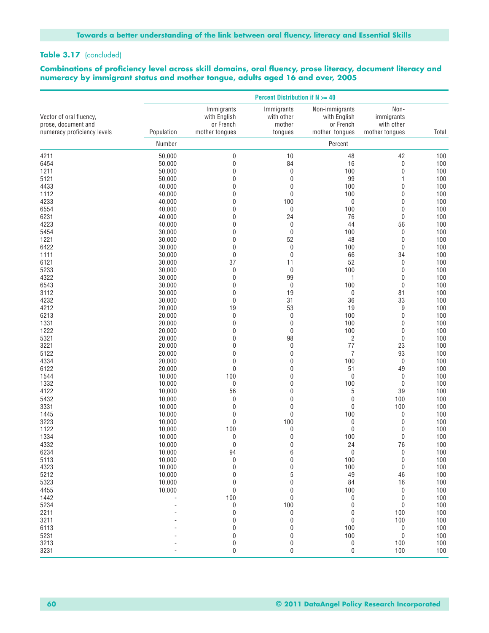#### Table 3.17 (concluded)

#### **Combinations of proficiency level across skill domains, oral fluency, prose literacy, document literacy and numeracy by immigrant status and mother tongue, adults aged 16 and over, 2005**

|                                                |                  |                                         | <b>Percent Distribution if N &gt;= 40</b> |                                             |                                  |            |
|------------------------------------------------|------------------|-----------------------------------------|-------------------------------------------|---------------------------------------------|----------------------------------|------------|
| Vector of oral fluency,<br>prose, document and |                  | Immigrants<br>with English<br>or French | Immigrants<br>with other<br>mother        | Non-immigrants<br>with English<br>or French | Non-<br>immigrants<br>with other |            |
| numeracy proficiency levels                    | Population       | mother tonques                          | tongues                                   | mother tongues                              | mother tongues                   | Total      |
|                                                | Number           |                                         |                                           | Percent                                     |                                  |            |
| 4211                                           | 50,000           | 0                                       | 10                                        | 48                                          | 42                               | 100        |
| 6454                                           | 50,000           | 0                                       | 84                                        | 16                                          | 0                                | 100        |
| 1211                                           | 50,000           | 0                                       | $\boldsymbol{0}$                          | 100                                         | 0                                | 100        |
| 5121                                           | 50,000           | 0                                       | $\mathbf 0$                               | 99                                          | 1                                | 100        |
| 4433                                           | 40,000           | 0                                       | $\mathbf 0$                               | 100                                         | 0                                | 100        |
| 1112<br>4233                                   | 40,000           | 0<br>0                                  | $\mathbf 0$<br>100                        | 100                                         | 0<br>$\mathbf 0$                 | 100<br>100 |
| 6554                                           | 40,000<br>40,000 | 0                                       | $\boldsymbol{0}$                          | $\boldsymbol{0}$<br>100                     | 0                                | 100        |
| 6231                                           | 40,000           | 0                                       | 24                                        | 76                                          | 0                                | 100        |
| 4223                                           | 40,000           | 0                                       | $\boldsymbol{0}$                          | 44                                          | 56                               | 100        |
| 5454                                           | 30,000           | 0                                       | $\mathbf 0$                               | 100                                         | $\pmb{0}$                        | 100        |
| 1221                                           | 30,000           | 0                                       | 52                                        | 48                                          | $\mathbf 0$                      | 100        |
| 6422                                           | 30,000           | 0                                       | $\pmb{0}$                                 | 100                                         | $\mathbf 0$                      | 100        |
| 1111                                           | 30,000           | 0                                       | $\mathbf 0$                               | 66                                          | 34                               | 100        |
| 6121                                           | 30,000           | 37                                      | 11                                        | 52                                          | 0                                | 100        |
| 5233                                           | 30,000           | 0                                       | $\mathbf 0$                               | 100                                         | $\mathbf 0$                      | 100        |
| 4322                                           | 30,000           | 0                                       | 99                                        | 1                                           | 0                                | 100        |
| 6543                                           | 30,000           | 0                                       | $\pmb{0}$                                 | 100                                         | $\mathbf 0$                      | 100        |
| 3112                                           | 30,000           | 0                                       | 19                                        | 0                                           | 81                               | 100        |
| 4232                                           | 30,000           | 0                                       | 31                                        | 36                                          | 33                               | 100        |
| 4212<br>6213                                   | 20,000<br>20,000 | 19<br>$\mathbf 0$                       | 53<br>$\pmb{0}$                           | 19<br>100                                   | 9<br>0                           | 100<br>100 |
| 1331                                           | 20,000           | 0                                       | $\boldsymbol{0}$                          | 100                                         | 0                                | 100        |
| 1222                                           | 20,000           | 0                                       | $\mathbf 0$                               | 100                                         | 0                                | 100        |
| 5321                                           | 20,000           | 0                                       | 98                                        | $\overline{c}$                              | $\mathbf 0$                      | 100        |
| 3221                                           | 20,000           | 0                                       | $\mathbf 0$                               | 77                                          | 23                               | 100        |
| 5122                                           | 20,000           | 0                                       | $\pmb{0}$                                 | 7                                           | 93                               | 100        |
| 4334                                           | 20,000           | 0                                       | $\mathbf 0$                               | 100                                         | $\mathbf 0$                      | 100        |
| 6122                                           | 20,000           | 0                                       | $\mathbf 0$                               | 51                                          | 49                               | 100        |
| 1544                                           | 10,000           | 100                                     | $\mathbf 0$                               | 0                                           | 0                                | 100        |
| 1332                                           | 10,000           | 0                                       | $\mathbf 0$                               | 100                                         | $\mathbf 0$                      | 100        |
| 4122                                           | 10,000           | 56                                      | 0                                         | $\sqrt{5}$                                  | 39                               | 100        |
| 5432                                           | 10,000           | 0                                       | $\mathbf 0$                               | $\mathbf 0$                                 | 100                              | 100        |
| 3331                                           | 10,000           | 0                                       | $\mathbf 0$                               | $\pmb{0}$                                   | 100                              | 100        |
| 1445                                           | 10,000           | 0<br>$\mathbf 0$                        | $\mathbf 0$<br>100                        | 100                                         | 0<br>0                           | 100<br>100 |
| 3223<br>1122                                   | 10,000<br>10,000 | 100                                     | 0                                         | 0<br>$\mathbf 0$                            | 0                                | 100        |
| 1334                                           | 10,000           | 0                                       | $\mathbf 0$                               | 100                                         | 0                                | 100        |
| 4332                                           | 10,000           | 0                                       | $\mathbf 0$                               | 24                                          | 76                               | 100        |
| 6234                                           | 10,000           | 94                                      | 6                                         | 0                                           | 0                                | 100        |
| 5113                                           | 10,000           | $\pmb{0}$                               | 0                                         | 100                                         | 0                                | 100        |
| 4323                                           | 10,000           | 0                                       | 0                                         | 100                                         | 0                                | 100        |
| 5212                                           | 10,000           | 0                                       | 5                                         | 49                                          | 46                               | 100        |
| 5323                                           | 10,000           | 0                                       | 0                                         | 84                                          | 16                               | 100        |
| 4455                                           | 10,000           | 0                                       | 0                                         | 100                                         | 0                                | 100        |
| 1442                                           |                  | 100                                     | $\pmb{0}$                                 | 0                                           | 0                                | 100        |
| 5234                                           |                  | 0                                       | 100                                       | 0                                           | 0                                | 100        |
| 2211                                           |                  | 0                                       | $\pmb{0}$                                 | 0                                           | 100                              | 100        |
| 3211                                           |                  | 0                                       | 0                                         | $\pmb{0}$                                   | 100                              | 100        |
| 6113<br>5231                                   |                  | 0<br>0                                  | 0                                         | 100<br>100                                  | 0<br>$\pmb{0}$                   | 100<br>100 |
| 3213                                           |                  | 0                                       | 0<br>0                                    | $\pmb{0}$                                   | 100                              | 100        |
| 3231                                           |                  | 0                                       | 0                                         | $\boldsymbol{0}$                            | 100                              | $100\,$    |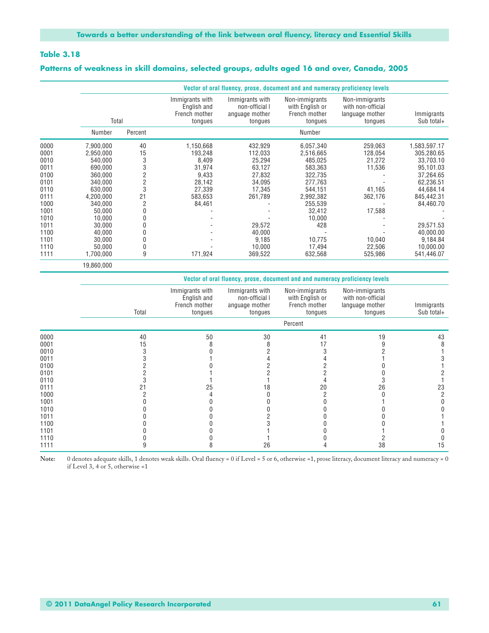#### **Patterns of weakness in skill domains, selected groups, adults aged 16 and over, Canada, 2005**

|      |            |                |                                                            | Vector of oral fluency, prose, document and and numeracy proficiency levels |                                                               |                                                                   |                          |
|------|------------|----------------|------------------------------------------------------------|-----------------------------------------------------------------------------|---------------------------------------------------------------|-------------------------------------------------------------------|--------------------------|
|      | Total      |                | Immigrants with<br>English and<br>French mother<br>tongues | Immigrants with<br>non-official I<br>anguage mother<br>tongues              | Non-immigrants<br>with English or<br>French mother<br>tongues | Non-immigrants<br>with non-official<br>language mother<br>tongues | Immigrants<br>Sub total+ |
|      | Number     | Percent        |                                                            |                                                                             | Number                                                        |                                                                   |                          |
| 0000 | 7,900,000  | 40             | 1,150,668                                                  | 432,929                                                                     | 6,057,340                                                     | 259,063                                                           | 1,583,597.17             |
| 0001 | 2,950,000  | 15             | 193,248                                                    | 112,033                                                                     | 2,516,665                                                     | 128,054                                                           | 305,280.65               |
| 0010 | 540,000    | 3              | 8,409                                                      | 25,294                                                                      | 485,025                                                       | 21,272                                                            | 33,703.10                |
| 0011 | 690.000    | 3              | 31,974                                                     | 63,127                                                                      | 583,363                                                       | 11,536                                                            | 95,101.03                |
| 0100 | 360,000    | $\overline{2}$ | 9,433                                                      | 27,832                                                                      | 322,735                                                       |                                                                   | 37,264.65                |
| 0101 | 340,000    | $\overline{2}$ | 28,142                                                     | 34,095                                                                      | 277,763                                                       |                                                                   | 62,236.51                |
| 0110 | 630,000    | 3              | 27,339                                                     | 17,345                                                                      | 544,151                                                       | 41,165                                                            | 44,684.14                |
| 0111 | 4,200,000  | 21             | 583,653                                                    | 261,789                                                                     | 2,992,382                                                     | 362,176                                                           | 845,442.31               |
| 1000 | 340,000    | $\overline{2}$ | 84,461                                                     |                                                                             | 255,539                                                       |                                                                   | 84,460.70                |
| 1001 | 50,000     |                |                                                            |                                                                             | 32,412                                                        | 17,588                                                            |                          |
| 1010 | 10,000     |                |                                                            |                                                                             | 10,000                                                        |                                                                   |                          |
| 1011 | 30,000     |                |                                                            | 29,572                                                                      | 428                                                           |                                                                   | 29,571.53                |
| 1100 | 40,000     |                |                                                            | 40,000                                                                      |                                                               |                                                                   | 40,000.00                |
| 1101 | 30,000     |                |                                                            | 9,185                                                                       | 10,775                                                        | 10,040                                                            | 9,184.84                 |
| 1110 | 50,000     | 0              |                                                            | 10,000                                                                      | 17,494                                                        | 22,506                                                            | 10,000.00                |
| 1111 | 1,700,000  | 9              | 171,924                                                    | 369,522                                                                     | 632,568                                                       | 525,986                                                           | 541,446.07               |
|      | 19,860,000 |                |                                                            |                                                                             |                                                               |                                                                   |                          |

|      |       |                                                            |                                                                | Vector of oral fluency, prose, document and and numeracy proficiency levels |                                                                   |                          |
|------|-------|------------------------------------------------------------|----------------------------------------------------------------|-----------------------------------------------------------------------------|-------------------------------------------------------------------|--------------------------|
|      | Total | Immigrants with<br>English and<br>French mother<br>tongues | Immigrants with<br>non-official I<br>anguage mother<br>tongues | Non-immigrants<br>with English or<br>French mother<br>tongues               | Non-immigrants<br>with non-official<br>language mother<br>tongues | Immigrants<br>Sub total+ |
|      |       |                                                            |                                                                | Percent                                                                     |                                                                   |                          |
| 0000 | 40    | 50                                                         | 30                                                             | 41                                                                          | 19                                                                | 43                       |
| 0001 | 15    |                                                            |                                                                |                                                                             |                                                                   |                          |
| 0010 |       |                                                            |                                                                |                                                                             |                                                                   |                          |
| 0011 |       |                                                            |                                                                |                                                                             |                                                                   |                          |
| 0100 |       |                                                            |                                                                |                                                                             |                                                                   |                          |
| 0101 |       |                                                            |                                                                |                                                                             |                                                                   |                          |
| 0110 |       |                                                            |                                                                |                                                                             |                                                                   |                          |
| 0111 | 21    | 25                                                         | 18                                                             | 20                                                                          | 26                                                                | 23                       |
| 1000 |       |                                                            |                                                                |                                                                             |                                                                   |                          |
| 1001 |       |                                                            |                                                                |                                                                             |                                                                   |                          |
| 1010 |       |                                                            |                                                                |                                                                             |                                                                   |                          |
| 1011 |       |                                                            |                                                                |                                                                             |                                                                   |                          |
| 1100 |       |                                                            |                                                                |                                                                             |                                                                   |                          |
| 1101 |       |                                                            |                                                                |                                                                             |                                                                   |                          |
| 1110 |       |                                                            |                                                                |                                                                             |                                                                   |                          |
| 1111 |       |                                                            | 26                                                             |                                                                             | 38                                                                | 15                       |

Note: 0 denotes adequate skills, 1 denotes weak skills. Oral fluency = 0 if Level = 5 or 6, otherwise =1, prose literacy, document literacy and numeracy = 0 if Level 3, 4 or 5, otherwise =1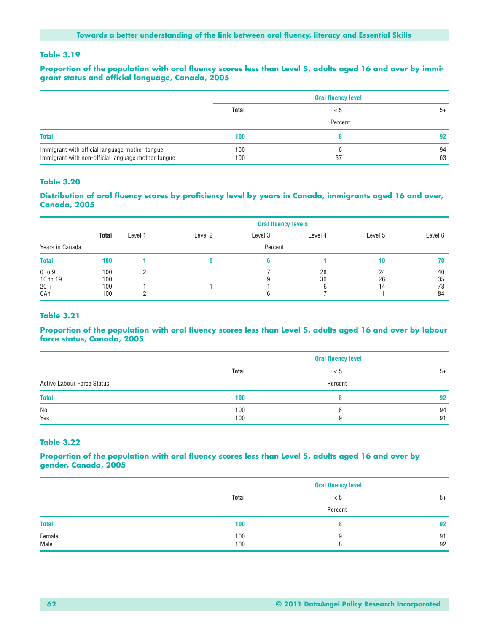#### **Proportion of the population with oral fluency scores less than Level 5, adults aged 16 and over by immigrant status and official language, Canada, 2005**

|                                                                                                      | <b>Oral fluency level</b> |         |          |  |
|------------------------------------------------------------------------------------------------------|---------------------------|---------|----------|--|
|                                                                                                      | Total                     | < 5     | $5+$     |  |
|                                                                                                      |                           | Percent |          |  |
| <b>Total</b>                                                                                         | 100                       |         | 92       |  |
| Immigrant with official language mother tongue<br>Immigrant with non-official language mother tongue | 100<br>100                | 37      | 94<br>63 |  |

#### **Table 3.20**

#### **Distribution of oral fluency scores by proficiency level by years in Canada, immigrants aged 16 and over, Canada, 2005**

|                                     |                          | <b>Oral fluency levels</b> |         |         |          |                |                      |  |  |
|-------------------------------------|--------------------------|----------------------------|---------|---------|----------|----------------|----------------------|--|--|
|                                     | <b>Total</b>             | Level 1                    | Level 2 | Level 3 | Level 4  | Level 5        | Level 6              |  |  |
| Years in Canada                     |                          |                            |         | Percent |          |                |                      |  |  |
| <b>Total</b>                        | 100                      |                            |         |         |          | 10             | 70                   |  |  |
| 0 to 9<br>10 to 19<br>$20 +$<br>CAn | 100<br>100<br>100<br>100 |                            |         |         | 28<br>30 | 24<br>26<br>14 | 40<br>35<br>78<br>84 |  |  |

#### **Table 3.21**

#### **Proportion of the population with oral fluency scores less than Level 5, adults aged 16 and over by labour force status, Canada, 2005**

|                                   | <b>Oral fluency level</b> |     |          |  |  |
|-----------------------------------|---------------------------|-----|----------|--|--|
|                                   | <b>Total</b>              | < 5 | $5+$     |  |  |
| <b>Active Labour Force Status</b> | Percent                   |     |          |  |  |
| <b>Total</b>                      | 100                       |     | 92       |  |  |
| No<br>Yes                         | 100<br>100                |     | 94<br>91 |  |  |

#### **Table 3.22**

#### **Proportion of the population with oral fluency scores less than Level 5, adults aged 16 and over by gender, Canada, 2005**

|                |              | <b>Oral fluency level</b> |          |  |  |  |  |
|----------------|--------------|---------------------------|----------|--|--|--|--|
|                | <b>Total</b> | < ວ                       | $5+$     |  |  |  |  |
|                |              | Percent                   |          |  |  |  |  |
| <b>Total</b>   | 100          |                           | 92       |  |  |  |  |
| Female<br>Male | 100<br>100   |                           | 91<br>92 |  |  |  |  |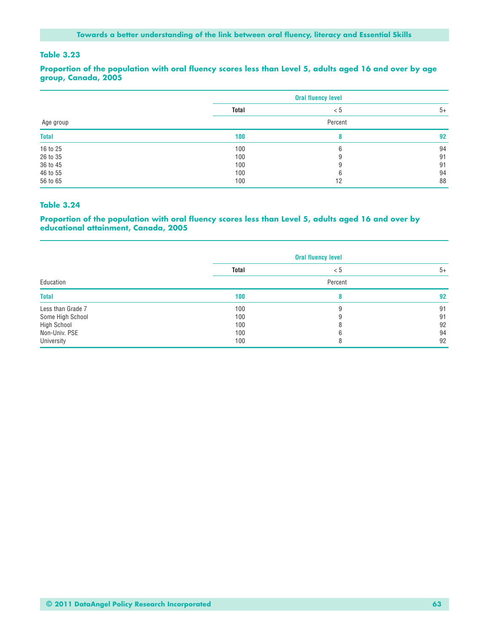**Proportion of the population with oral fluency scores less than Level 5, adults aged 16 and over by age group, Canada, 2005**

|              |              | <b>Oral fluency level</b> |      |  |  |  |
|--------------|--------------|---------------------------|------|--|--|--|
|              | <b>Total</b> | < 5                       | $5+$ |  |  |  |
| Age group    |              | Percent                   |      |  |  |  |
| <b>Total</b> | 100          |                           | 92   |  |  |  |
| 16 to 25     | 100          | 6                         | 94   |  |  |  |
| 26 to 35     | 100          |                           | 91   |  |  |  |
| 36 to 45     | 100          |                           | 91   |  |  |  |
| 46 to 55     | 100          |                           | 94   |  |  |  |
| 56 to 65     | 100          | 12                        | 88   |  |  |  |

#### **Table 3.24**

#### **Proportion of the population with oral fluency scores less than Level 5, adults aged 16 and over by educational attainment, Canada, 2005**

|                    | <b>Oral fluency level</b> |     |      |  |  |
|--------------------|---------------------------|-----|------|--|--|
|                    | <b>Total</b>              | < 5 | $5+$ |  |  |
| Education          | Percent                   |     |      |  |  |
| <b>Total</b>       | 100                       |     | 92   |  |  |
| Less than Grade 7  | 100                       | 9   | 91   |  |  |
| Some High School   | 100                       |     | 91   |  |  |
| <b>High School</b> | 100                       |     | 92   |  |  |
| Non-Univ. PSE      | 100                       |     | 94   |  |  |
| University         | 100                       | 8   | 92   |  |  |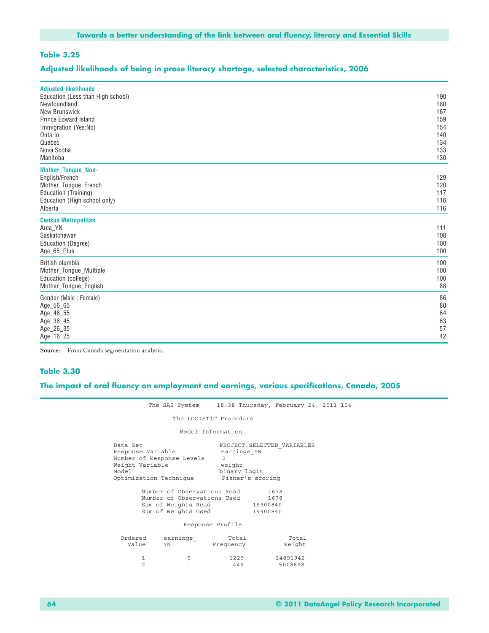#### **Adjusted likelihoods of being in prose literacy shortage, selected characteristics, 2006**

| <b>Adjusted likelihoods</b><br>Education (Less than High school)<br>Newfoundland<br>New Brunswick<br><b>Prince Edward Island</b><br>Immigration (Yes:No)<br>Ontario<br>Quebec<br>Nova Scotia<br>Manitoba | 190<br>180<br>167<br>159<br>154<br>140<br>134<br>133<br>130 |
|----------------------------------------------------------------------------------------------------------------------------------------------------------------------------------------------------------|-------------------------------------------------------------|
| <b>Mother_Tongue_Non-</b><br>English/French<br>Mother_Tongue_French<br>Education (Training)<br>Education (High school only)<br>Alberta                                                                   | 129<br>120<br>117<br>116<br>116                             |
| <b>Census Metropolitan</b><br>Area_YN<br>Saskatchewan<br>Education (Degree)<br>Age_65_Plus                                                                                                               | 111<br>108<br>100<br>100                                    |
| British olumbia<br>Mother_Tongue_Multiple<br>Education (college)<br>Mother_Tongue_English                                                                                                                | 100<br>100<br>100<br>88                                     |
| Gender (Male: Female)<br>Age_56_65<br>Age_46_55<br>Age_36_45<br>Age_26_35<br>Age_16_25                                                                                                                   | 86<br>80<br>64<br>63<br>57<br>42                            |

**Source:** From Canada segmentation analysis.

#### **Table 3.30**

|                   |                                                                                                                                                                                                         |                                                                                                                       | The SAS System 18:38 Thursday, February 24, 2011 154 |  |  |  |  |
|-------------------|---------------------------------------------------------------------------------------------------------------------------------------------------------------------------------------------------------|-----------------------------------------------------------------------------------------------------------------------|------------------------------------------------------|--|--|--|--|
|                   | The LOGISTIC Procedure                                                                                                                                                                                  |                                                                                                                       |                                                      |  |  |  |  |
|                   | Model Information                                                                                                                                                                                       |                                                                                                                       |                                                      |  |  |  |  |
| Data Set<br>Model | Response Variable<br>Number of Response Levels<br>Weight Variable<br>Optimization Technique<br>Number of Observations Read<br>Number of Observations Used<br>Sum of Weights Read<br>Sum of Weights Used | PROJECT. SELECTED VARIABLES<br>earnings YN<br>2<br>weight<br>binary logit<br>Fisher's scoring<br>19900840<br>19900840 | 1678<br>1678                                         |  |  |  |  |
| Response Profile  |                                                                                                                                                                                                         |                                                                                                                       |                                                      |  |  |  |  |
| Ordered<br>Value  | earnings<br>YN                                                                                                                                                                                          | Total<br>Frequency                                                                                                    | Total<br>Weight                                      |  |  |  |  |
|                   | 1<br>$\circ$<br>2<br>$\mathbf{1}$                                                                                                                                                                       | 1229<br>449                                                                                                           | 14891942<br>5008898                                  |  |  |  |  |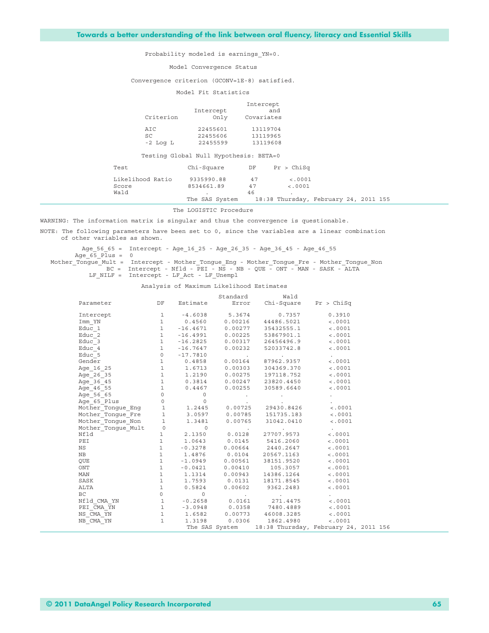Probability modeled is earnings\_YN=0.

Model Convergence Status

Convergence criterion (GCONV=1E-8) satisfied.

Model Fit Statistics

| Criterion                              | Intercept<br>Only | Intercept<br>and<br>Covariates |
|----------------------------------------|-------------------|--------------------------------|
| AIC                                    | 22455601          | 13119704                       |
| SC.                                    | 22455606          | 13119965                       |
| $-2$ Log L                             | 22455599          | 13119608                       |
| Testing Global Null Hypothesis: BETA=0 |                   |                                |

| Test             | Chi-Square                                           |    | DF Pr > ChiSq |  |  |
|------------------|------------------------------------------------------|----|---------------|--|--|
| Likelihood Ratio | 9335990.88                                           | 47 | < .0001       |  |  |
| Score            | 8534661.89                                           | 47 | < .0001       |  |  |
| Wald             |                                                      | 46 |               |  |  |
|                  | The SAS System 18:38 Thursday, February 24, 2011 155 |    |               |  |  |

The LOGISTIC Procedure

WARNING: The information matrix is singular and thus the convergence is questionable.

NOTE: The following parameters have been set to 0, since the variables are a linear combination of other variables as shown.

Age\_56\_65 = Intercept - Age\_16\_25 - Age\_26\_35 - Age\_36\_45 - Age\_46\_55

Age  $65$  Plus = 0

Mother Tongue Mult = Intercept - Mother Tongue Eng - Mother Tongue Fre - Mother Tongue Non BC = Intercept - Nfld - PEI - NS - NB - QUE - ONT - MAN - SASK - ALTA

LF\_NILF = Intercept - LF\_Act - LF\_Unempl

Analysis of Maximum Likelihood Estimates

|                                                                                                                                                                                                                                                                             |  | Standard Wald                                                                                                                                                                                                                  |                 |  |
|-----------------------------------------------------------------------------------------------------------------------------------------------------------------------------------------------------------------------------------------------------------------------------|--|--------------------------------------------------------------------------------------------------------------------------------------------------------------------------------------------------------------------------------|-----------------|--|
| Parameter DF Estimate Error Chi-Square Pr > ChiSq                                                                                                                                                                                                                           |  |                                                                                                                                                                                                                                |                 |  |
| Intercept                                                                                                                                                                                                                                                                   |  | $\begin{array}{cccc} 1 & -4.6038 & 5.3674 & 0.7357 \\ 1 & 0.4560 & 0.00216 & 44486.5021 \\ 1 & -16.4671 & 0.00277 & 35432555.1 \end{array}$                                                                                    | 0.3910          |  |
| $\texttt{Imm\_YN}$                                                                                                                                                                                                                                                          |  |                                                                                                                                                                                                                                | < .0001         |  |
| $Educ_1$                                                                                                                                                                                                                                                                    |  |                                                                                                                                                                                                                                | < .0001         |  |
| $Educ_2$                                                                                                                                                                                                                                                                    |  | 1 -16.4991  0.00225  53867901.1                                                                                                                                                                                                | < .0001         |  |
| Educ 3                                                                                                                                                                                                                                                                      |  | $1 -16.2825 0.00317 26456496.9$ <.0001                                                                                                                                                                                         |                 |  |
| Educ 4                                                                                                                                                                                                                                                                      |  | $1 -16.7647$ 0.00232 52033742.8 <.0001                                                                                                                                                                                         |                 |  |
| Educ 5                                                                                                                                                                                                                                                                      |  | $0$ -17.7810<br>1 0.4858 0.00164 87962.9357 <.0001                                                                                                                                                                             |                 |  |
| Gender                                                                                                                                                                                                                                                                      |  |                                                                                                                                                                                                                                |                 |  |
| Age 16 25                                                                                                                                                                                                                                                                   |  | 1 1.6713 0.00303 304369.370 < .0001                                                                                                                                                                                            |                 |  |
| Age 26 35                                                                                                                                                                                                                                                                   |  | $1 \t 1.2190 \t 0.00275 \t 197118.752 \t 0.0001$                                                                                                                                                                               |                 |  |
|                                                                                                                                                                                                                                                                             |  |                                                                                                                                                                                                                                |                 |  |
|                                                                                                                                                                                                                                                                             |  |                                                                                                                                                                                                                                |                 |  |
|                                                                                                                                                                                                                                                                             |  |                                                                                                                                                                                                                                |                 |  |
| Age_26_35<br>Age_36_65<br>Age_36_65<br>Age_46_55<br>Age_65_65<br>De_65_Plus<br>O.00247<br>Age_65_Plus<br>Age_65_Plus<br>O.00255<br>Age_65_Plus<br>O.00255<br>O.00725<br>O.00725<br>O.00725<br>O.00725<br>O.00725<br>O.00725<br>O.00725<br>O.00725<br>O.00725<br>O.00725<br> |  |                                                                                                                                                                                                                                |                 |  |
|                                                                                                                                                                                                                                                                             |  |                                                                                                                                                                                                                                |                 |  |
|                                                                                                                                                                                                                                                                             |  |                                                                                                                                                                                                                                |                 |  |
| Mother_Tongue_Non 1 1.3481                                                                                                                                                                                                                                                  |  | $0.00765$ 31042.0410 <.0001                                                                                                                                                                                                    |                 |  |
| Mother_Tongue_Mult<br>Mother_Tongue_Mult<br>1 2.1350 0.0128 27707.9573<br>PEI 1 1.0643 0.0145 5416.2060                                                                                                                                                                     |  |                                                                                                                                                                                                                                | and the company |  |
|                                                                                                                                                                                                                                                                             |  |                                                                                                                                                                                                                                | < .0001         |  |
|                                                                                                                                                                                                                                                                             |  |                                                                                                                                                                                                                                | < .0001         |  |
| NS                                                                                                                                                                                                                                                                          |  |                                                                                                                                                                                                                                | < .0001         |  |
| NB                                                                                                                                                                                                                                                                          |  |                                                                                                                                                                                                                                | < .0001         |  |
| <b>OUE</b>                                                                                                                                                                                                                                                                  |  |                                                                                                                                                                                                                                | < .0001         |  |
| ONT                                                                                                                                                                                                                                                                         |  |                                                                                                                                                                                                                                | < .0001         |  |
| MAN                                                                                                                                                                                                                                                                         |  | $1 \t-0.3278\t0.00664\t2440.2647\t1\t0.4876\t0.0104\t20567.1163\t1\t-1.0949\t0.00561\t38151.9520\t1\t-0.0421\t0.00410\t105.3057\t1\t1.1314\t0.00943\t14386.1264\t1\t1.7593\t0.0131\t18171.8545\t0.5824\t0.00602\t9362.2483\t0$ | < .0001         |  |
| SASK                                                                                                                                                                                                                                                                        |  |                                                                                                                                                                                                                                | < .0001         |  |
| ALTA                                                                                                                                                                                                                                                                        |  |                                                                                                                                                                                                                                | < .0001         |  |
| BC<br>$N = 0$<br>$N = 0.2658$<br>$N = 1$<br>$N = 0.2658$<br>$N = 0.0161$<br>$N = 271.4475$<br>$N = 0.001$<br>$N = 0.001$<br>$N = 0.001$                                                                                                                                     |  |                                                                                                                                                                                                                                |                 |  |
|                                                                                                                                                                                                                                                                             |  |                                                                                                                                                                                                                                |                 |  |
|                                                                                                                                                                                                                                                                             |  |                                                                                                                                                                                                                                |                 |  |
| $\begin{array}{cccccccc} \texttt{PEI\_CMA\_YN} & & & 1 & -3.0948 & & 0.0358 & & 7480.4889 & & & <.0001 \\ \texttt{NS\_CMA\_YN} & & & 1 & 1.6582 & 0.00773 & 46008.3285 & & <.0001 \\ \texttt{NB\_CMA\_YN} & & & 1 & 1.3198 & 0.0306 & 1862.4980 & & <.0001 \\ \end{array}$  |  |                                                                                                                                                                                                                                |                 |  |
|                                                                                                                                                                                                                                                                             |  |                                                                                                                                                                                                                                |                 |  |
|                                                                                                                                                                                                                                                                             |  | The SAS System 18:38 Thursday, February 24, 2011 156                                                                                                                                                                           |                 |  |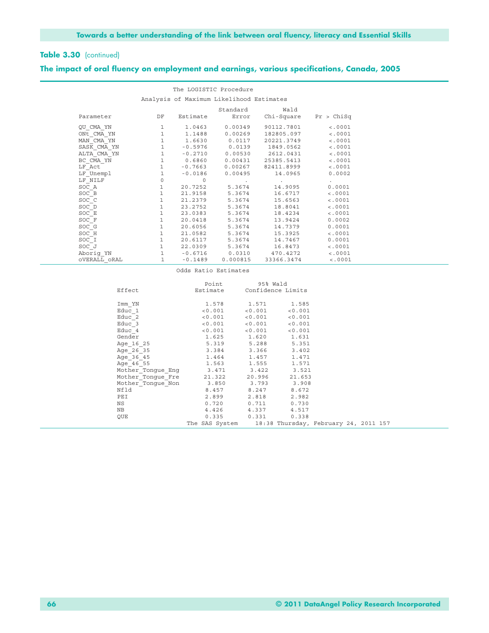#### **The impact of oral fluency on employment and earnings, various specifications, Canada, 2005**

|              |                   |           | The LOGISTIC Procedure                   |                    |            |  |
|--------------|-------------------|-----------|------------------------------------------|--------------------|------------|--|
|              |                   |           | Analysis of Maximum Likelihood Estimates |                    |            |  |
|              |                   |           | Standard                                 | Wald               |            |  |
| Parameter    | DF                | Estimate  | Error                                    | Chi-Square         | Pr > Chisq |  |
| QU CMA YN    | 1                 | 1.0463    | 0.00349                                  | 90112.7801         | < .0001    |  |
| ONt CMA YN   | 1                 | 1.1488    | 0.00269                                  | 182805.097         | < .0001    |  |
| MAN CMA YN   | $\mathbf{1}$      | 1.6630    | 0.0117                                   | 20221.3749         | < .0001    |  |
| SASK CMA YN  | $\mathbf{1}$      | $-0.5976$ | 0.0139                                   | 1849.0562          | < .0001    |  |
| ALTA CMA YN  | $\mathbf{1}$      | $-0.2710$ | 0.00530                                  | 2612.0431          | < .0001    |  |
| BC CMA YN    | $\mathbf{1}$      | 0.6860    | 0.00431                                  | 25385.5413         | < .0001    |  |
| LF Act       | $\mathbf{1}$      | $-0.7663$ | 0.00267                                  | 82411.8999         | < .0001    |  |
| LF Unempl    | $\mathbf{1}$      | $-0.0186$ | 0.00495                                  | 14.0965            | 0.0002     |  |
| LF NILF      | $\circ$           | $\circ$   | $\sim$                                   | $\cdot$            |            |  |
| SOC A        | $\mathbf{1}$      | 20.7252   | 5.3674                                   | 14.9095            | 0.0001     |  |
| SOC B        | $\mathbf{1}$      | 21.9158   | 5.3674                                   | 16.6717            | < .0001    |  |
| SOC C        | $\mathbf{1}$      | 21.2379   | 5.3674                                   | 15.6563            | < .0001    |  |
| SOC D        | $\mathbf{1}$      | 23.2752   | 5.3674                                   | 18.8041            | < .0001    |  |
| SOC E        | $\mathbf{1}$      | 23.0383   | 5.3674                                   | 18.4234            | < .0001    |  |
| SOC F        | $\mathbf{1}$      | 20.0418   | 5.3674                                   | 13.9424            | 0.0002     |  |
| SOC G        | $\mathbf{1}$      | 20.6056   | 5.3674                                   | 14.7379            | 0.0001     |  |
| SOC H        | $\mathbf{1}$      | 21.0582   | 5.3674                                   | 15.3925            | < .0001    |  |
| SOC I        | $\mathbf{1}$      | 20.6117   | 5.3674                                   | 14.7467            | 0.0001     |  |
| SOC J        | $\mathbf{1}$      | 22.0309   | 5.3674                                   | 16.8473            | < .0001    |  |
| Aboriq YN    | $\mathbf{1}$      | $-0.6716$ | 0.0310                                   | 470.4272           | < .0001    |  |
| OVERALL ORAL | $\mathbf{1}$      | $-0.1489$ | 0.000815                                 | 33366.3474         | < .0001    |  |
|              |                   |           |                                          |                    |            |  |
|              |                   |           | Odds Ratio Estimates                     |                    |            |  |
|              |                   |           | Point                                    | 95% Wald           |            |  |
| Effect       |                   | Estimate  |                                          | Confidence Limits  |            |  |
|              |                   |           |                                          |                    |            |  |
| Imm YN       |                   |           | 1.578                                    | 1.571<br>1.585     |            |  |
| Educ 1       |                   |           | < 0.001                                  | < 0.001<br>< 0.001 |            |  |
| Educ 2       |                   |           | < 0.001                                  | < 0.001<br>0.001   |            |  |
| Educ 3       |                   |           | < 0.001                                  | < 0.001<br>0.001   |            |  |
| Educ 4       |                   |           | < 0.001                                  | < 0.001<br>0.001   |            |  |
| Gender       |                   |           | 1.625                                    | 1.620<br>1.631     |            |  |
| Age 16 25    |                   |           | 5.319                                    | 5.288<br>5.351     |            |  |
| Age 26 35    |                   |           | 3.384                                    | 3.366<br>3.402     |            |  |
| Age 36 45    |                   |           | 1.464                                    | 1.457<br>1.471     |            |  |
| Age 46 55    |                   |           | 1.563                                    | 1.555<br>1.571     |            |  |
|              | Mother Tonque Enq |           | 3.471                                    | 3.422<br>3.521     |            |  |
|              | Mother Tongue Fre |           | 21.322                                   | 20.996<br>21.653   |            |  |
|              | Mother Tongue Non |           | 3.850                                    | 3.793<br>3.908     |            |  |
| Nfld         |                   |           | 8.457                                    | 8.247<br>8.672     |            |  |
| PEI          |                   |           | 2.899                                    | 2.818<br>2.982     |            |  |
| $_{\rm NS}$  |                   |           | 0.720                                    | 0.711<br>0.730     |            |  |
| $_{\rm NB}$  |                   |           | 4.426                                    | 4.337<br>4.517     |            |  |
| OUE          |                   |           | 0.335                                    | 0.331<br>0.338     |            |  |

The SAS System 18:38 Thursday, February 24, 2011 157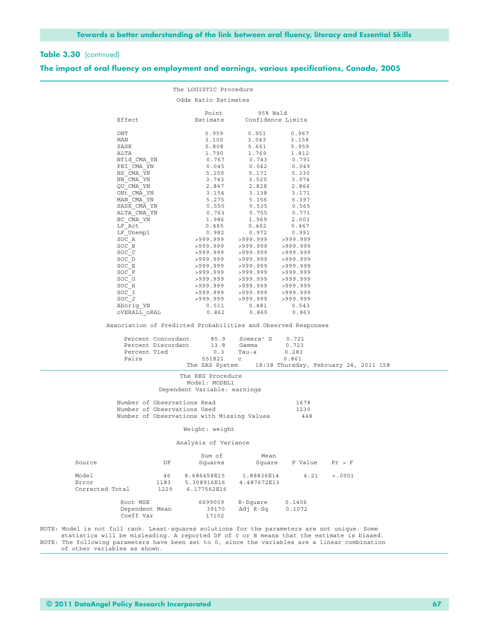|                                                                                                                                                                                                                                                                                                                               | The LOGISTIC Procedure                          |                                                          |                                  |                                       |  |
|-------------------------------------------------------------------------------------------------------------------------------------------------------------------------------------------------------------------------------------------------------------------------------------------------------------------------------|-------------------------------------------------|----------------------------------------------------------|----------------------------------|---------------------------------------|--|
|                                                                                                                                                                                                                                                                                                                               | Odds Ratio Estimates                            |                                                          |                                  |                                       |  |
| Effect                                                                                                                                                                                                                                                                                                                        | Point<br>Estimate                               | 95% Wald<br>Confidence Limits                            |                                  |                                       |  |
| ONT                                                                                                                                                                                                                                                                                                                           | 0.959                                           | 0.951                                                    | 0.967                            |                                       |  |
| MAN                                                                                                                                                                                                                                                                                                                           | 3.100                                           | 3.043                                                    | 3.158                            |                                       |  |
| SASK                                                                                                                                                                                                                                                                                                                          | 5.808                                           | 5.661                                                    | 5.959                            |                                       |  |
| ALTA                                                                                                                                                                                                                                                                                                                          | 1.790                                           | 1.769                                                    | 1.812                            |                                       |  |
| Nfld CMA YN                                                                                                                                                                                                                                                                                                                   | 0.767                                           | 0.743                                                    | 0.791                            |                                       |  |
| PEI CMA YN                                                                                                                                                                                                                                                                                                                    | 0.045                                           | 0.042                                                    | 0.049                            |                                       |  |
| NS CMA YN<br>NB CMA YN                                                                                                                                                                                                                                                                                                        | 5.250                                           | 5.171                                                    | 5.330                            |                                       |  |
| OU CMA YN                                                                                                                                                                                                                                                                                                                     | 3.743<br>2.847                                  | 3.525<br>2.828                                           | 3.974<br>2.866                   |                                       |  |
| ONt CMA YN                                                                                                                                                                                                                                                                                                                    | 3.154                                           | 3.138                                                    | 3.171                            |                                       |  |
| MAN CMA YN                                                                                                                                                                                                                                                                                                                    | 5.275                                           | 5.156                                                    | 5.397                            |                                       |  |
| SASK CMA YN                                                                                                                                                                                                                                                                                                                   | 0.550                                           | 0.535                                                    | 0.565                            |                                       |  |
| ALTA CMA YN                                                                                                                                                                                                                                                                                                                   | 0.763                                           | 0.755                                                    | 0.771                            |                                       |  |
| BC CMA YN                                                                                                                                                                                                                                                                                                                     | 1.986                                           | 1.969                                                    | 2.003                            |                                       |  |
| LF Act                                                                                                                                                                                                                                                                                                                        | 0.465                                           | 0.462                                                    | 0.467                            |                                       |  |
| LF Unempl                                                                                                                                                                                                                                                                                                                     | 0.982                                           | 0.972                                                    | 0.991                            |                                       |  |
| SOC A                                                                                                                                                                                                                                                                                                                         | >999.999                                        | >999.999 >999.999                                        |                                  |                                       |  |
| SOC B                                                                                                                                                                                                                                                                                                                         |                                                 | >999.999 >999.999 >999.999                               |                                  |                                       |  |
| SOC C                                                                                                                                                                                                                                                                                                                         | >999.999                                        | >999.999 >999.999                                        |                                  |                                       |  |
| SOC D                                                                                                                                                                                                                                                                                                                         |                                                 | >999.999 >999.999 >999.999                               |                                  |                                       |  |
| SOC E                                                                                                                                                                                                                                                                                                                         |                                                 | >999.999 >999.999 >999.999                               |                                  |                                       |  |
| SOC F                                                                                                                                                                                                                                                                                                                         |                                                 | >999.999 >999.999 >999.999                               |                                  |                                       |  |
| SOC G<br>SOC H                                                                                                                                                                                                                                                                                                                |                                                 | >999.999 >999.999 >999.999<br>>999.999 >999.999 >999.999 |                                  |                                       |  |
| SOC I                                                                                                                                                                                                                                                                                                                         |                                                 | >999.999 >999.999 >999.999                               |                                  |                                       |  |
| SOC J                                                                                                                                                                                                                                                                                                                         |                                                 | >999.999 >999.999 >999.999                               |                                  |                                       |  |
| Aborig YN                                                                                                                                                                                                                                                                                                                     | 0.511                                           | 0.481                                                    | 0.543                            |                                       |  |
| OVERALL ORAL                                                                                                                                                                                                                                                                                                                  | 0.862                                           | 0.860                                                    | 0.863                            |                                       |  |
| Association of Predicted Probabilities and Observed Responses<br>Percent Concordant<br>Percent Discordant<br>Percent Tied<br>Pairs                                                                                                                                                                                            | 85.9<br>13.8<br>0.3<br>551821<br>The SAS System | Somers' D<br>Gamma<br>Tau-a<br>$\mathbf C$               | 0.721<br>0.723<br>0.283<br>0.861 | 18:38 Thursday, February 24, 2011 158 |  |
|                                                                                                                                                                                                                                                                                                                               |                                                 |                                                          |                                  |                                       |  |
|                                                                                                                                                                                                                                                                                                                               | The REG Procedure<br>Model: MODEL1              |                                                          |                                  |                                       |  |
|                                                                                                                                                                                                                                                                                                                               | Dependent Variable: earnings                    |                                                          |                                  |                                       |  |
| Number of Observations Read                                                                                                                                                                                                                                                                                                   |                                                 |                                                          | 1678                             |                                       |  |
| Number of Observations Used                                                                                                                                                                                                                                                                                                   |                                                 |                                                          | 1230                             |                                       |  |
| Number of Observations with Missing Values                                                                                                                                                                                                                                                                                    |                                                 |                                                          | 448                              |                                       |  |
|                                                                                                                                                                                                                                                                                                                               | Weight: weight                                  |                                                          |                                  |                                       |  |
|                                                                                                                                                                                                                                                                                                                               | Analysis of Variance                            |                                                          |                                  |                                       |  |
|                                                                                                                                                                                                                                                                                                                               |                                                 |                                                          |                                  |                                       |  |
| Source<br>DF                                                                                                                                                                                                                                                                                                                  | Sum of<br>Squares                               | Mean<br>Square                                           | F Value                          | Pr > F                                |  |
| Model<br>46                                                                                                                                                                                                                                                                                                                   | 8.686458E15                                     | 1.88836E14                                               | 4.21                             | < .0001                               |  |
| Error<br>1183                                                                                                                                                                                                                                                                                                                 | 5.308916E16                                     | 4.487672E13                                              |                                  |                                       |  |
| Corrected Total<br>1229                                                                                                                                                                                                                                                                                                       | 6.177562E16                                     |                                                          |                                  |                                       |  |
| Root MSE<br>Dependent Mean<br>Coeff Var                                                                                                                                                                                                                                                                                       | 6699009<br>39170<br>17102                       | R-Square<br>Adj R-Sq                                     | 0.1406<br>0.1072                 |                                       |  |
| NOTE: Model is not full rank. Least-squares solutions for the parameters are not unique. Some<br>statistics will be misleading. A reported DF of 0 or B means that the estimate is biased.<br>NOTE: The following parameters have been set to 0, since the variables are a linear combination<br>of other variables as shown. |                                                 |                                                          |                                  |                                       |  |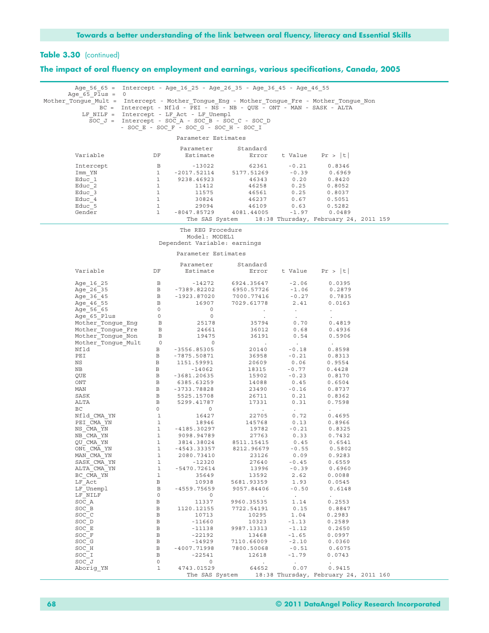| Age_56_65 = Intercept - Age_16_25 - Age_26_35 - Age_36_45 - Age_46_55<br>Age 65 Plus = $0$                                                                                                                                                       |                              |                                                     |                                                                       |                    |                      |  |
|--------------------------------------------------------------------------------------------------------------------------------------------------------------------------------------------------------------------------------------------------|------------------------------|-----------------------------------------------------|-----------------------------------------------------------------------|--------------------|----------------------|--|
| Mother Tongue Mult = Intercept - Mother_Tongue_Eng - Mother_Tongue_Fre - Mother_Tongue_Non                                                                                                                                                       |                              |                                                     |                                                                       |                    |                      |  |
|                                                                                                                                                                                                                                                  |                              | LF_NILF = Intercept - LF_Act - LF Unempl            | BC = Intercept - Nfld - PEI - NS - NB - QUE - ONT - MAN - SASK - ALTA |                    |                      |  |
|                                                                                                                                                                                                                                                  |                              | SOC $J =$ Intercept - SOC A - SOC B - SOC C - SOC D |                                                                       |                    |                      |  |
|                                                                                                                                                                                                                                                  |                              | - $SOC_E$ - $SOC_F$ - $SOC_G$ - $SOC_H$ - $SOC_I$   |                                                                       |                    |                      |  |
|                                                                                                                                                                                                                                                  |                              | Parameter Estimates                                 |                                                                       |                    |                      |  |
|                                                                                                                                                                                                                                                  |                              |                                                     | Parameter Standard                                                    |                    |                      |  |
| Variable DF                                                                                                                                                                                                                                      |                              |                                                     | Estimate Error t Value Pr >  t                                        |                    |                      |  |
|                                                                                                                                                                                                                                                  |                              |                                                     |                                                                       |                    |                      |  |
|                                                                                                                                                                                                                                                  |                              |                                                     |                                                                       |                    |                      |  |
|                                                                                                                                                                                                                                                  |                              |                                                     |                                                                       |                    |                      |  |
|                                                                                                                                                                                                                                                  |                              |                                                     |                                                                       |                    |                      |  |
|                                                                                                                                                                                                                                                  |                              |                                                     |                                                                       |                    |                      |  |
| 1990 11 13022 1 13022 1 1317.51269 13021 13023 13024 13024 13024 13024 13024 13024 13024 13024 13024 13024 13024 13024 13024 13024 13024 13024 13025 13024 13025 13024 13025 13024 13025 13024 13025 13024 13025 13024 13025 1                   |                              |                                                     |                                                                       |                    |                      |  |
|                                                                                                                                                                                                                                                  |                              |                                                     |                                                                       |                    |                      |  |
|                                                                                                                                                                                                                                                  |                              |                                                     | The SAS System 18:38 Thursday, February 24, 2011 159                  |                    |                      |  |
|                                                                                                                                                                                                                                                  |                              | The REG Procedure                                   |                                                                       |                    |                      |  |
|                                                                                                                                                                                                                                                  |                              | Model: MODEL1<br>Dependent Variable: earnings       |                                                                       |                    |                      |  |
|                                                                                                                                                                                                                                                  |                              |                                                     |                                                                       |                    |                      |  |
|                                                                                                                                                                                                                                                  |                              | Parameter Estimates                                 |                                                                       |                    |                      |  |
|                                                                                                                                                                                                                                                  |                              | Parameter                                           | Standard                                                              |                    |                      |  |
| Variable DF                                                                                                                                                                                                                                      |                              |                                                     | Estimate    Error    t Value    Pr >  t                               |                    |                      |  |
| Age_16_25     B   -14272   6924.35647   -2.06   0.0395<br>Age_26_35     B  -7389.82202   6950.57726   -1.06   0.2879<br>Age_36_45     B  -1923.87020   7000.77416   -0.27   0.7835<br>Age_46_55     B  -1923.87020   7000.77416   -0.27          |                              |                                                     |                                                                       |                    |                      |  |
|                                                                                                                                                                                                                                                  |                              |                                                     |                                                                       |                    |                      |  |
|                                                                                                                                                                                                                                                  |                              |                                                     |                                                                       |                    |                      |  |
|                                                                                                                                                                                                                                                  |                              |                                                     |                                                                       |                    |                      |  |
|                                                                                                                                                                                                                                                  |                              |                                                     |                                                                       |                    |                      |  |
|                                                                                                                                                                                                                                                  |                              |                                                     |                                                                       |                    |                      |  |
|                                                                                                                                                                                                                                                  |                              |                                                     |                                                                       |                    |                      |  |
|                                                                                                                                                                                                                                                  |                              |                                                     |                                                                       |                    |                      |  |
|                                                                                                                                                                                                                                                  |                              |                                                     |                                                                       |                    |                      |  |
| Mother_Tongue_Mult 0<br>Nfld<br>B -3556.85305 20140 -0.18 0.8598<br>PEI<br>NS B 1515.5991 3698 -0.21 0.3564<br>NB B -14062 18315 -0.77 0.4428<br>QUE B -3681.20635 15902 -0.23 0.8170<br>MM<br>MM B 6385.63259 14088 0.45 0.6554<br>MM B 5299.41 |                              |                                                     |                                                                       |                    |                      |  |
|                                                                                                                                                                                                                                                  |                              |                                                     |                                                                       |                    |                      |  |
|                                                                                                                                                                                                                                                  |                              |                                                     |                                                                       |                    |                      |  |
|                                                                                                                                                                                                                                                  |                              |                                                     |                                                                       |                    |                      |  |
|                                                                                                                                                                                                                                                  |                              |                                                     |                                                                       |                    |                      |  |
|                                                                                                                                                                                                                                                  |                              |                                                     |                                                                       |                    |                      |  |
|                                                                                                                                                                                                                                                  |                              |                                                     |                                                                       |                    |                      |  |
|                                                                                                                                                                                                                                                  |                              |                                                     |                                                                       |                    |                      |  |
|                                                                                                                                                                                                                                                  |                              |                                                     |                                                                       |                    |                      |  |
|                                                                                                                                                                                                                                                  |                              |                                                     |                                                                       |                    |                      |  |
| QU CMA YN<br>ONt CMA YN                                                                                                                                                                                                                          | 1<br>$\mathbf 1$             | 3814.38024<br>-4543.33357                           | 8511.15415<br>8212.96679                                              | 0.45<br>$-0.55$    | 0.6541<br>0.5802     |  |
| MAN CMA YN                                                                                                                                                                                                                                       | $\mathbf{1}$                 | 2080.73410                                          | 23126                                                                 | 0.09               | 0.9283               |  |
| SASK CMA YN                                                                                                                                                                                                                                      | $\mathbf{1}$                 | $-12320$                                            | 27640                                                                 | $-0.45$            | 0.6559               |  |
| ALTA CMA YN<br>BC CMA YN                                                                                                                                                                                                                         | $\mathbf{1}$<br>$\mathbf{1}$ | $-5470.72614$<br>35649                              | 13996<br>13592                                                        | $-0.39$<br>2.62    | 0.6960<br>0.0088     |  |
| LF Act                                                                                                                                                                                                                                           | В                            | 10938                                               | 5681.93359                                                            | 1.93               | 0.0545               |  |
| LF Unempl                                                                                                                                                                                                                                        | $\, {\bf B}$                 | $-4559.75659$                                       | 9057.84406                                                            | $-0.50$            | 0.6148               |  |
| LF NILF                                                                                                                                                                                                                                          | $\circ$                      | $\circ$                                             | $\sim$                                                                | $\blacksquare$ .   | $\ddot{\phantom{a}}$ |  |
| SOC A<br>SOC B                                                                                                                                                                                                                                   | $\, {\bf B}$<br>$\, {\bf B}$ | 11337<br>1120.12155                                 | 9960.35535<br>7722.54191                                              | 1.14<br>0.15       | 0.2553<br>0.8847     |  |
| SOC C                                                                                                                                                                                                                                            | $\, {\bf B}$                 | 10713                                               | 10295                                                                 | 1.04               | 0.2983               |  |
| SOC D                                                                                                                                                                                                                                            | $\, {\bf B}$                 | $-11660$                                            | 10323                                                                 | $-1.13$            | 0.2589               |  |
| SOC E<br>SOC F                                                                                                                                                                                                                                   | $\, {\bf B}$<br>$\, {\bf B}$ | $-11138$<br>$-22192$                                | 9987.13313<br>13468                                                   | $-1.12$<br>$-1.65$ | 0.2650<br>0.0997     |  |
| SOC G                                                                                                                                                                                                                                            | $\, {\bf B}$                 | $-14929$                                            | 7110.66009                                                            | $-2.10$            | 0.0360               |  |
| SOC H                                                                                                                                                                                                                                            | $\, {\bf B}$                 | $-4007.71998$                                       | 7800.50068                                                            | $-0.51$            | 0.6075               |  |
| SOC I                                                                                                                                                                                                                                            | $\mathbf{B}$<br>$\circ$      | $-22541$<br>$\circ$                                 | 12618                                                                 | $-1.79$            | 0.0743               |  |
| SOC J<br>Aborig YN                                                                                                                                                                                                                               | $\mathbf{1}$                 | 4743.01529                                          | $\sim$<br>64652                                                       | 0.07               | 0.9415               |  |
|                                                                                                                                                                                                                                                  |                              |                                                     | The SAS System 18:38 Thursday, February 24, 2011 160                  |                    |                      |  |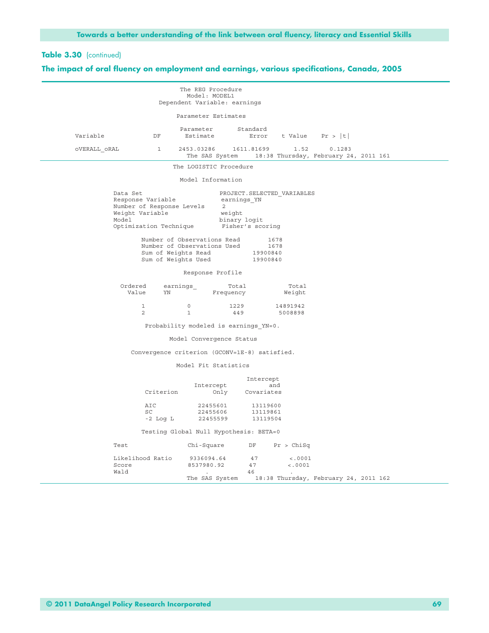|                   |                                                                                             | The REG Procedure<br>Model: MODEL1                                                              |                                                           |                                             |                                                 |  |
|-------------------|---------------------------------------------------------------------------------------------|-------------------------------------------------------------------------------------------------|-----------------------------------------------------------|---------------------------------------------|-------------------------------------------------|--|
|                   |                                                                                             | Dependent Variable: earnings                                                                    |                                                           |                                             |                                                 |  |
|                   |                                                                                             | Parameter Estimates                                                                             |                                                           |                                             |                                                 |  |
| Variable          | DF                                                                                          | Parameter Standard<br>Estimate                                                                  |                                                           | Error t Value $Pr >  t $                    |                                                 |  |
| OVERALL ORAL      | $\mathbf{1}$                                                                                | 2453.03286 1611.81699<br>The SAS System                                                         |                                                           | 1.52                                        | 0.1283<br>18:38 Thursday, February 24, 2011 161 |  |
|                   |                                                                                             | The LOGISTIC Procedure                                                                          |                                                           |                                             |                                                 |  |
|                   |                                                                                             | Model Information                                                                               |                                                           |                                             |                                                 |  |
| Data Set<br>Model | Response Variable<br>Number of Response Levels<br>Weight Variable<br>Optimization Technique | 2<br>Number of Observations Read<br>Number of Observations Used<br>Sum of Weights Read 19900840 | earnings YN<br>weight<br>binary logit<br>Fisher's scoring | PROJECT. SELECTED VARIABLES<br>1678<br>1678 |                                                 |  |
|                   |                                                                                             | Sum of Weights Used 19900840                                                                    |                                                           |                                             |                                                 |  |
|                   |                                                                                             | Response Profile                                                                                |                                                           |                                             |                                                 |  |
|                   | Ordered<br>Value<br>YN                                                                      | earnings_                                                                                       | Total<br>Frequency                                        | Total<br>Weight                             |                                                 |  |
|                   | $\mathbf{1}$<br>2                                                                           | $\circ$<br>$\mathbf{1}$                                                                         | 1229<br>449                                               | 14891942<br>5008898                         |                                                 |  |
|                   |                                                                                             | Probability modeled is earnings YN=0.                                                           |                                                           |                                             |                                                 |  |
|                   |                                                                                             | Model Convergence Status                                                                        |                                                           |                                             |                                                 |  |
|                   | Convergence criterion (GCONV=1E-8) satisfied.                                               |                                                                                                 |                                                           |                                             |                                                 |  |
|                   |                                                                                             | Model Fit Statistics                                                                            |                                                           |                                             |                                                 |  |
|                   | Criterion                                                                                   | Intercept                                                                                       | Intercept<br>Only Covariates                              | and                                         |                                                 |  |
|                   | AIC<br>SC<br>-2 Log L                                                                       | 22455606<br>22455599                                                                            | 22455601 13119600<br>13119861<br>13119504                 |                                             |                                                 |  |
|                   |                                                                                             | Testing Global Null Hypothesis: BETA=0                                                          |                                                           |                                             |                                                 |  |
| Test              |                                                                                             | Chi-Square                                                                                      | DF                                                        | Pr > Chisq                                  |                                                 |  |
| Score<br>Wald     | Likelihood Ratio                                                                            | 9336094.64<br>8537980.92                                                                        | 47<br>47<br>46                                            | < .0001<br>< .0001                          |                                                 |  |
|                   |                                                                                             | The SAS System                                                                                  |                                                           |                                             | 18:38 Thursday, February 24, 2011 162           |  |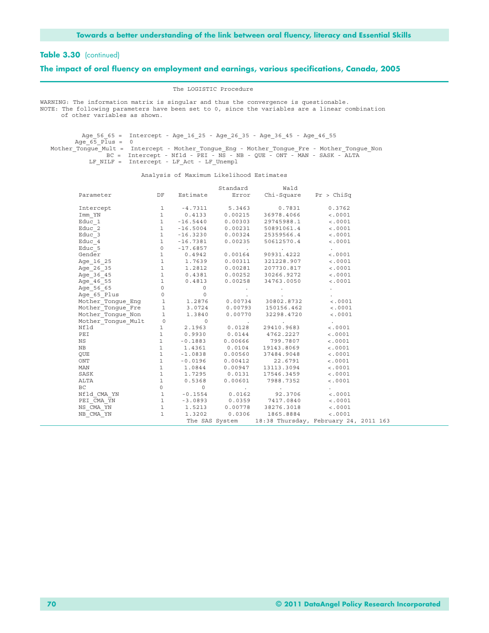#### **The impact of oral fluency on employment and earnings, various specifications, Canada, 2005**

The LOGISTIC Procedure

WARNING: The information matrix is singular and thus the convergence is questionable. NOTE: The following parameters have been set to 0, since the variables are a linear combination of other variables as shown.

 Age\_56\_65 = Intercept - Age\_16\_25 - Age\_26\_35 - Age\_36\_45 - Age\_46\_55 Age  $65$  Plus = 0 Mother Tongue Mult = Intercept - Mother Tongue Eng - Mother Tongue Fre - Mother Tongue Non BC = Intercept - Nfld - PEI - NS - NB - QUE - ONT - MAN - SASK - ALTA LF\_NILF = Intercept - LF\_Act - LF\_Unempl

Analysis of Maximum Likelihood Estimates

|                                                                                                                                                                               |  | Standard Wald                                                                                                                                                                                   |                          |  |
|-------------------------------------------------------------------------------------------------------------------------------------------------------------------------------|--|-------------------------------------------------------------------------------------------------------------------------------------------------------------------------------------------------|--------------------------|--|
| Parameter                                                                                                                                                                     |  | DF Estimate Error Chi-Square Pr > ChiSq                                                                                                                                                         |                          |  |
| Intercept                                                                                                                                                                     |  | 1 $-4.7311$ 5.3463 0.7831 0.3762                                                                                                                                                                |                          |  |
| Imm YN                                                                                                                                                                        |  | 1 0.4133 0.00215 36978.4066                                                                                                                                                                     | < .0001                  |  |
| Educ 1                                                                                                                                                                        |  | $1 -16.5440$ 0.00303 29745988.1 <.0001                                                                                                                                                          |                          |  |
| Educ 2                                                                                                                                                                        |  | $1 -16.5004$ 0.00231 50891061.4 <.0001                                                                                                                                                          |                          |  |
| Educ 3                                                                                                                                                                        |  | $1 -16.3230 0.00324 25359566.4$ <.0001                                                                                                                                                          |                          |  |
| Educ 4                                                                                                                                                                        |  | $1 -16.7381 0.00235 50612570.4$ <.0001                                                                                                                                                          |                          |  |
|                                                                                                                                                                               |  |                                                                                                                                                                                                 |                          |  |
|                                                                                                                                                                               |  |                                                                                                                                                                                                 |                          |  |
|                                                                                                                                                                               |  |                                                                                                                                                                                                 |                          |  |
|                                                                                                                                                                               |  |                                                                                                                                                                                                 |                          |  |
|                                                                                                                                                                               |  |                                                                                                                                                                                                 |                          |  |
|                                                                                                                                                                               |  |                                                                                                                                                                                                 |                          |  |
|                                                                                                                                                                               |  |                                                                                                                                                                                                 |                          |  |
|                                                                                                                                                                               |  |                                                                                                                                                                                                 |                          |  |
|                                                                                                                                                                               |  |                                                                                                                                                                                                 |                          |  |
| Mother Tongue Fre 1 3.0724 0.00793 150156.462 <.0001                                                                                                                          |  |                                                                                                                                                                                                 |                          |  |
| Mother Tongue Non 1 1.3840 0.00770 32298.4720 <.0001                                                                                                                          |  |                                                                                                                                                                                                 |                          |  |
| Mother_Tongue_Mult<br>Mother_Tongue_Mult<br>1 2.1963 0.0128 29410.9683                                                                                                        |  |                                                                                                                                                                                                 | $\sim 1000$ km s $^{-1}$ |  |
|                                                                                                                                                                               |  |                                                                                                                                                                                                 | < .0001                  |  |
| PEI                                                                                                                                                                           |  | $1$ 0.9930 0.0144 4762.2227<br>1 -0.1883 0.00666 799.7807<br>1 1.4361 0.0104 19143.8069<br>1 -1.0838 0.00560 37484.9048                                                                         | < .0001                  |  |
| NS                                                                                                                                                                            |  |                                                                                                                                                                                                 | < .0001                  |  |
| NB                                                                                                                                                                            |  |                                                                                                                                                                                                 | < .0001                  |  |
| QUE                                                                                                                                                                           |  |                                                                                                                                                                                                 | < .0001                  |  |
| ONT                                                                                                                                                                           |  | 1 -0.0196 0.00412 22.6791                                                                                                                                                                       | < .0001                  |  |
| MAN                                                                                                                                                                           |  | 1   1.0844   0.00947   13113.3094                                                                                                                                                               | < .0001                  |  |
| SASK                                                                                                                                                                          |  | $1 \qquad \qquad 1.7295 \qquad \qquad 0.0131 \qquad \ 17546.3459 \qquad \qquad <.0001$                                                                                                          |                          |  |
| ALTA                                                                                                                                                                          |  | $1 \t 0.5368 \t 0.00601 \t 7988.7352 \t < .0001$                                                                                                                                                |                          |  |
| $\begin{array}{cccccccccccccc} \text{BC} & & & & 0 & & & 0 & & & & & \cr \text{Mf1d\_CMA\_YN} & & & & 1 & & -0.1554 & & 0.0162 & & & 92.3706 & & & & < .0001 \cr \end{array}$ |  |                                                                                                                                                                                                 |                          |  |
|                                                                                                                                                                               |  |                                                                                                                                                                                                 |                          |  |
|                                                                                                                                                                               |  |                                                                                                                                                                                                 |                          |  |
| PEI_CMA_YN<br>NS_CMA_YN                                                                                                                                                       |  |                                                                                                                                                                                                 |                          |  |
| $NB$ $CMA$ $YN$                                                                                                                                                               |  | $\begin{array}{cccccccc} 1 & -3.0893 & 0.0359 & 7417.0840 & \ddots & 0.001 \ 1 & 1.5213 & 0.00778 & 38276.3018 & \ddots & 0.001 \ 1 & 1.3202 & 0.0306 & 1865.8884 & \ddots & 0.001 \end{array}$ |                          |  |
|                                                                                                                                                                               |  | The SAS System 18:38 Thursday, February 24, 2011 163                                                                                                                                            |                          |  |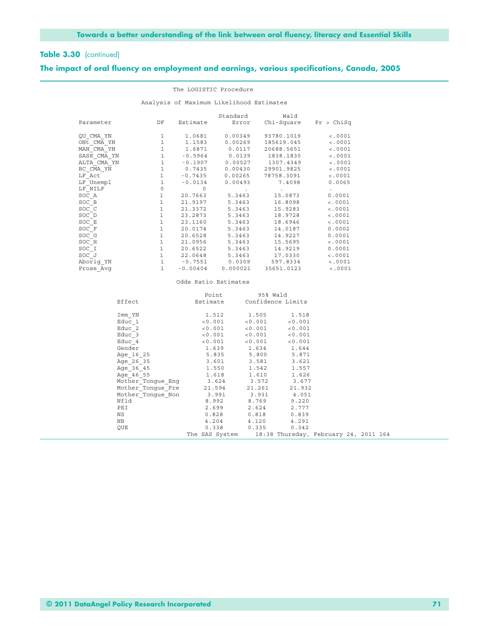#### **The impact of oral fluency on employment and earnings, various specifications, Canada, 2005**

|                                                   |              |                    | The LOGISTIC Procedure                   |                                                                                           |         |
|---------------------------------------------------|--------------|--------------------|------------------------------------------|-------------------------------------------------------------------------------------------|---------|
|                                                   |              |                    | Analysis of Maximum Likelihood Estimates |                                                                                           |         |
| Parameter DF Estimate Error Chi-Square Pr > ChiSq |              |                    |                                          | Standard Wald                                                                             |         |
| QU CMA YN                                         | $\mathbf{1}$ |                    | 1.0681 0.00349                           | 93780.1019                                                                                | < .0001 |
| $ONE$ CMA YN $1$ $1.1583$ $0.00269$ $185619.045$  |              |                    |                                          |                                                                                           | < .0001 |
| MAN CMA YN                                        |              |                    |                                          | 1 1.6871 0.0117 20688.5651                                                                | < .0001 |
| SASK CMA YN 1 -0.5964 0.0139 1838.1830            |              |                    |                                          |                                                                                           | < .0001 |
| ALTA CMA YN 1 -0.1907 0.00527 1307.4349           |              |                    |                                          |                                                                                           | < .0001 |
| BC CMA YN                                         |              |                    |                                          | 1 0.7435 0.00430 29901.9825                                                               | < .0001 |
| LF Act                                            |              |                    |                                          | 1 -0.7435 0.00265 78758.3091                                                              | < .0001 |
| LF Unempl                                         |              |                    |                                          | 1 -0.0134 0.00493 7.4098                                                                  | 0.0065  |
| LF NILF                                           |              | $0\qquad \qquad 0$ | <b>Contractor</b>                        | the control of the control of the control of                                              |         |
| SOC A                                             |              |                    |                                          | 1 20.7663 5.3463 15.0873                                                                  | 0.0001  |
| SOC B                                             |              |                    |                                          | $1 \qquad \qquad 21.9197 \qquad \qquad 5.3463 \qquad \qquad 16.8098 \qquad \qquad <.0001$ |         |
| SOC C                                             | $\mathbf 1$  |                    |                                          | 21.3372 5.3463 15.9283 <.0001                                                             |         |
| SOC D                                             |              |                    |                                          | 1 23.2873 5.3463 18.9728                                                                  | < .0001 |
| SOC E                                             |              |                    |                                          | $1 \qquad \qquad 23.1160 \qquad \qquad 5.3463 \qquad \qquad 18.6946 \qquad \qquad <.0001$ |         |
| SOC F                                             |              |                    |                                          | 1 20.0174 5.3463 14.0187                                                                  | 0.0002  |
| SOC G                                             |              |                    |                                          | 1 20.6528 5.3463 14.9227                                                                  | 0.0001  |
| SOC H                                             |              |                    |                                          | 1 21.0956 5.3463 15.5695                                                                  | < .0001 |
| SOC I                                             |              |                    |                                          | 1 20.6522 5.3463 14.9219                                                                  | 0.0001  |
| SOC J                                             |              |                    |                                          | 1 22.0648 5.3463 17.0330                                                                  | < .0001 |
| Aborig YN                                         |              |                    | 1 - 0.7551 0.0309                        | 597.8334                                                                                  | < .0001 |
| Prose Avq                                         | 1            | $-0.00404$         |                                          | 0.000021 35651.0123                                                                       | < .0001 |

#### Odds Ratio Estimates

|                          | Point                                                | 95% Wald |                   |  |  |
|--------------------------|------------------------------------------------------|----------|-------------------|--|--|
| Effect                   | Estimate                                             |          | Confidence Limits |  |  |
|                          |                                                      |          |                   |  |  |
| Imm YN                   | 1.512                                                | 1.505    | 1.518             |  |  |
| Educ 1                   | < 0.001                                              | < 0.001  | < 0.001           |  |  |
| Educ 2                   | < 0.001                                              | < 0.001  | < 0.001           |  |  |
| Educ 3                   | $< 0.001$ $< 0.001$                                  |          | < 0.001           |  |  |
| Educ 4                   | < 0.001                                              | < 0.001  | < 0.001           |  |  |
| Gender                   | 1.639                                                | 1.634    | 1.644             |  |  |
| Age 16 25                | 5.835                                                | 5.800    | 5.871             |  |  |
| Age 26 35                | 3.601                                                | 3.581    | 3.621             |  |  |
| Age 36 45                | 1.550                                                | 1.542    | 1.557             |  |  |
| Age 46 55                | 1.618                                                | 1.610    | 1.626             |  |  |
| Mother Tonque Enq 3.624  |                                                      | 3.572    | 3.677             |  |  |
| Mother Tongue Fre 21.594 |                                                      | 21.261   | 21.932            |  |  |
| Mother Tonque Non 3.991  |                                                      | 3.931    | 4.051             |  |  |
| Nfld                     | 8.992                                                | 8.769    | 9.220             |  |  |
| PEI                      | 2.699                                                | 2.624    | 2.777             |  |  |
| NS                       | 0.828                                                | 0.818    | 0.839             |  |  |
| NB                       | 4.204                                                | 4.120    | 4.291             |  |  |
| OUE                      | 0.338                                                | 0.335    | 0.342             |  |  |
|                          | The SAS System 18:38 Thursday, February 24, 2011 164 |          |                   |  |  |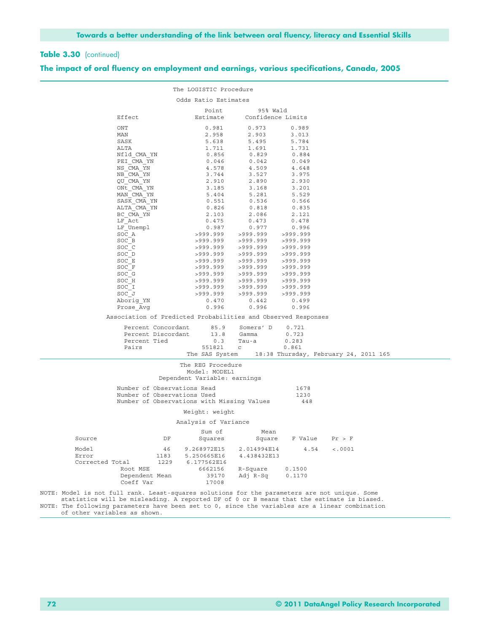|                                                                                                 |                    | The LOGISTIC Procedure                                        |                               |          |                                       |  |
|-------------------------------------------------------------------------------------------------|--------------------|---------------------------------------------------------------|-------------------------------|----------|---------------------------------------|--|
|                                                                                                 |                    | Odds Ratio Estimates                                          |                               |          |                                       |  |
|                                                                                                 |                    |                                                               |                               |          |                                       |  |
| Effect                                                                                          |                    | Point<br>Estimate                                             | 95% Wald<br>Confidence Limits |          |                                       |  |
| ONT                                                                                             |                    | 0.981                                                         | 0.973                         | 0.989    |                                       |  |
| MAN                                                                                             |                    | 2.958                                                         | 2.903                         | 3.013    |                                       |  |
| SASK                                                                                            |                    | 5.638                                                         | 5.495                         | 5.784    |                                       |  |
| ALTA                                                                                            |                    | 1.711                                                         | 1.691                         | 1.731    |                                       |  |
| Nfld CMA YN                                                                                     |                    | 0.856                                                         | 0.829                         | 0.884    |                                       |  |
| PEI CMA YN                                                                                      |                    | 0.046                                                         | 0.042                         | 0.049    |                                       |  |
| NS CMA YN                                                                                       |                    | 4.578                                                         | 4.509                         | 4.648    |                                       |  |
| NB CMA YN                                                                                       |                    | 3.744                                                         | 3.527                         | 3.975    |                                       |  |
| QU CMA YN                                                                                       |                    | 2.910                                                         | 2.890                         | 2.930    |                                       |  |
| ONt CMA YN                                                                                      |                    | 3.185                                                         | 3.168                         | 3.201    |                                       |  |
| MAN CMA YN                                                                                      |                    | 5.404                                                         | 5.281                         | 5.529    |                                       |  |
| SASK CMA YN                                                                                     |                    | 0.551                                                         | 0.536                         | 0.566    |                                       |  |
| ALTA CMA YN                                                                                     |                    | 0.826                                                         | 0.818                         | 0.835    |                                       |  |
| BC CMA YN                                                                                       |                    | 2.103                                                         | 2.086                         | 2.121    |                                       |  |
| LF Act                                                                                          |                    | 0.475                                                         | 0.473                         | 0.478    |                                       |  |
| LF Unempl                                                                                       |                    | 0.987                                                         | 0.977                         | 0.996    |                                       |  |
| SOC A                                                                                           |                    | >999.999                                                      | >999.999                      | >999.999 |                                       |  |
| SOC B                                                                                           |                    | >999.999                                                      | >999.999                      | >999.999 |                                       |  |
| SOC C                                                                                           |                    | >999.999                                                      | >999.999                      | >999.999 |                                       |  |
| SOC D                                                                                           |                    |                                                               |                               | >999.999 |                                       |  |
| SOC E                                                                                           |                    |                                                               |                               | >999.999 |                                       |  |
| SOC F                                                                                           |                    |                                                               |                               | >999.999 |                                       |  |
| SOC G                                                                                           |                    |                                                               |                               | >999.999 |                                       |  |
| SOC H                                                                                           |                    |                                                               |                               | >999.999 |                                       |  |
| SOC I                                                                                           |                    |                                                               | >999.999 >999.999 >999.999    |          |                                       |  |
| SOC J                                                                                           |                    | >999.999                                                      | >999.999                      | >999.999 |                                       |  |
| Aborig YN                                                                                       |                    | 0.470                                                         | 0.442                         | 0.499    |                                       |  |
| Prose Avg                                                                                       |                    | 0.996                                                         | 0.996                         | 0.996    |                                       |  |
|                                                                                                 |                    | Association of Predicted Probabilities and Observed Responses |                               |          |                                       |  |
|                                                                                                 | Percent Concordant | 85.9                                                          | Somers' D                     | 0.721    |                                       |  |
|                                                                                                 | Percent Discordant | 13.8                                                          | Gamma                         | 0.723    |                                       |  |
| Percent Tied                                                                                    |                    | 0.3                                                           | Tau-a                         | 0.283    |                                       |  |
| Pairs                                                                                           |                    | 551821                                                        | C                             | 0.861    |                                       |  |
|                                                                                                 |                    | The SAS System                                                |                               |          | 18:38 Thursday, February 24, 2011 165 |  |
|                                                                                                 |                    | The REG Procedure                                             |                               |          |                                       |  |
|                                                                                                 |                    | Model: MODEL1                                                 |                               |          |                                       |  |
|                                                                                                 |                    | Dependent Variable: earnings                                  |                               |          |                                       |  |
| Number of Observations Read                                                                     |                    |                                                               |                               | 1678     |                                       |  |
|                                                                                                 |                    |                                                               |                               |          |                                       |  |
| Number of Observations Used                                                                     |                    |                                                               |                               | 1230     |                                       |  |
|                                                                                                 |                    | Number of Observations with Missing Values                    |                               | 448      |                                       |  |
|                                                                                                 |                    | Weight: weight                                                |                               |          |                                       |  |
|                                                                                                 |                    | Analysis of Variance                                          |                               |          |                                       |  |
|                                                                                                 |                    | Sum of                                                        | Mean                          |          |                                       |  |
| Source                                                                                          | DF                 | Squares                                                       | Square                        | F Value  | Pr > F                                |  |
| Model                                                                                           | 46                 | 9.268972E15                                                   | 2.014994E14                   | 4.54     | < .0001                               |  |
| Error                                                                                           | 1183               | 5.250665E16                                                   | 4.438432E13                   |          |                                       |  |
| Corrected Total                                                                                 | 1229               | 6.177562E16                                                   |                               |          |                                       |  |
| Root MSE                                                                                        |                    | 6662156                                                       | R-Square                      | 0.1500   |                                       |  |
| Dependent Mean                                                                                  |                    | 39170                                                         | Adj R-Sq                      | 0.1170   |                                       |  |
| Coeff Var                                                                                       |                    | 17008                                                         |                               |          |                                       |  |
| NOTE: Model is not full rank. Least-squares solutions for the parameters are not unique. Some   |                    |                                                               |                               |          |                                       |  |
| statistics will be misleading. A reported DF of 0 or B means that the estimate is biased.       |                    |                                                               |                               |          |                                       |  |
| NOTE: The following parameters have been set to 0, since the variables are a linear combination |                    |                                                               |                               |          |                                       |  |
| of other variables as shown.                                                                    |                    |                                                               |                               |          |                                       |  |
|                                                                                                 |                    |                                                               |                               |          |                                       |  |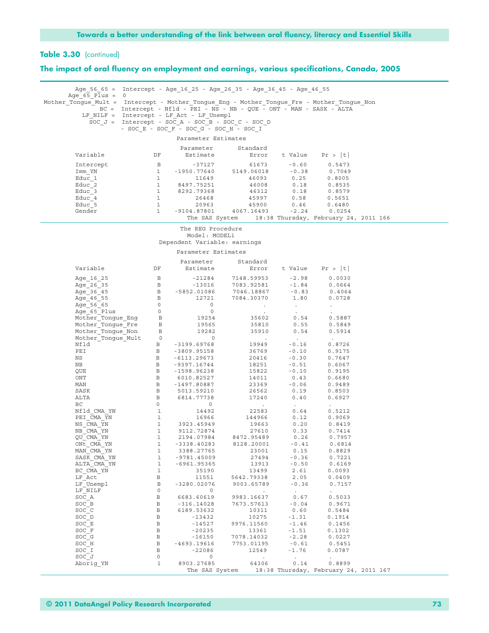## **The impact of oral fluency on employment and earnings, various specifications, Canada, 2005**

|                                                                                                                                                                                   |                              |                                                                                         | Age 56 65 = Intercept - Age 16 25 - Age 26 35 - Age 36 45 - Age 46 55                                                                                        |                           |                                       |  |
|-----------------------------------------------------------------------------------------------------------------------------------------------------------------------------------|------------------------------|-----------------------------------------------------------------------------------------|--------------------------------------------------------------------------------------------------------------------------------------------------------------|---------------------------|---------------------------------------|--|
| Age $65$ Plus = 0                                                                                                                                                                 |                              |                                                                                         |                                                                                                                                                              |                           |                                       |  |
| Mother Tongue Mult = Intercept - Mother Tongue Eng - Mother Tongue Fre - Mother Tongue Non                                                                                        |                              |                                                                                         |                                                                                                                                                              |                           |                                       |  |
|                                                                                                                                                                                   |                              |                                                                                         | BC = Intercept - Nfld - PEI - NS - NB - QUE - ONT - MAN - SASK - ALTA                                                                                        |                           |                                       |  |
|                                                                                                                                                                                   |                              | LF NILF = Intercept - LF Act - LF Unempl                                                |                                                                                                                                                              |                           |                                       |  |
|                                                                                                                                                                                   |                              |                                                                                         | SOC $J =$ Intercept - SOC A - SOC B - SOC C - SOC D                                                                                                          |                           |                                       |  |
|                                                                                                                                                                                   |                              | - SOC E - SOC F - SOC G - SOC H - SOC I                                                 |                                                                                                                                                              |                           |                                       |  |
|                                                                                                                                                                                   |                              | Parameter Estimates                                                                     |                                                                                                                                                              |                           |                                       |  |
|                                                                                                                                                                                   |                              | Parameter                                                                               | Standard                                                                                                                                                     |                           |                                       |  |
| Variable                                                                                                                                                                          | DF                           | Estimate                                                                                |                                                                                                                                                              |                           | Error t Value $Pr >  t $              |  |
|                                                                                                                                                                                   |                              |                                                                                         |                                                                                                                                                              |                           |                                       |  |
| Intercept                                                                                                                                                                         | $\overline{B}$               | $-37127$                                                                                | 61673                                                                                                                                                        | $-0.60$                   | 0.5473                                |  |
| Imm YN                                                                                                                                                                            |                              |                                                                                         |                                                                                                                                                              |                           | 0.7049<br>0.8005                      |  |
| Educ 1<br>Educ 2                                                                                                                                                                  |                              |                                                                                         |                                                                                                                                                              |                           | 0.8535                                |  |
| Educ 3                                                                                                                                                                            |                              |                                                                                         |                                                                                                                                                              |                           | 0.8579                                |  |
| Educ 4                                                                                                                                                                            |                              | 1 8292.79368                                                                            | $1 -1950.77640$<br>$1 -1950.77640$<br>$1 1649$<br>$1 60018$<br>$1 8497.75251$<br>$1 8292.79368$<br>$1 26468$<br>$1 26468$<br>$1 26468$<br>$1 5997$<br>$0.58$ |                           | 0.5651                                |  |
| Educ 5                                                                                                                                                                            | $\overline{1}$               | 20963                                                                                   | 45900                                                                                                                                                        | 0.46                      | 0.6480                                |  |
| Gender                                                                                                                                                                            | $\mathbf{1}$                 |                                                                                         | $-9104.87801$ $4067.16493$ $-2.24$                                                                                                                           |                           | 0.0254                                |  |
|                                                                                                                                                                                   |                              |                                                                                         | The SAS System 18:38 Thursday, February 24, 2011 166                                                                                                         |                           |                                       |  |
|                                                                                                                                                                                   |                              |                                                                                         |                                                                                                                                                              |                           |                                       |  |
|                                                                                                                                                                                   |                              | The REG Procedure<br>Model: MODEL1                                                      |                                                                                                                                                              |                           |                                       |  |
|                                                                                                                                                                                   |                              | Dependent Variable: earnings                                                            |                                                                                                                                                              |                           |                                       |  |
|                                                                                                                                                                                   |                              |                                                                                         |                                                                                                                                                              |                           |                                       |  |
|                                                                                                                                                                                   |                              | Parameter Estimates                                                                     |                                                                                                                                                              |                           |                                       |  |
|                                                                                                                                                                                   |                              | Parameter                                                                               | Standard                                                                                                                                                     |                           |                                       |  |
| Variable                                                                                                                                                                          | DF                           | Estimate                                                                                |                                                                                                                                                              |                           | Error t Value $Pr >  t $              |  |
| Age 16 25                                                                                                                                                                         | $\mathbb B$                  |                                                                                         |                                                                                                                                                              |                           | 0.0030                                |  |
| Age 26 35                                                                                                                                                                         |                              |                                                                                         |                                                                                                                                                              |                           | 0.0664                                |  |
| Age 36 45                                                                                                                                                                         |                              |                                                                                         |                                                                                                                                                              |                           | 0.4064                                |  |
| Age 46 55                                                                                                                                                                         |                              |                                                                                         |                                                                                                                                                              |                           | 0.0728                                |  |
|                                                                                                                                                                                   |                              | $\overline{0}$                                                                          | $\sim$ 100 $\mu$                                                                                                                                             | <b>Contract</b>           | $\sim$                                |  |
|                                                                                                                                                                                   |                              | $\overline{0}$                                                                          | <b>Contract Contract</b>                                                                                                                                     | $\Delta \sim 10^4$        |                                       |  |
|                                                                                                                                                                                   |                              | 19254<br>19565                                                                          |                                                                                                                                                              | 35602 0.54                | 0.5887                                |  |
|                                                                                                                                                                                   |                              |                                                                                         | 35810                                                                                                                                                        | 0.55                      | 0.5849                                |  |
| Age = 40 - 55<br>Age = 56 = 65<br>Age = 65 = Plus 0<br>Mother_Tongue_Eng B<br>Mother_Tongue_Eng B<br>Mother_Tongue_Non B<br>Mother_Tongue_Mon B<br>Mother_Tongue_Mult 0<br>Nfld B | $\frac{B}{B}$                | $19282$ $0$<br>19282                                                                    | 35910                                                                                                                                                        | 0.54                      | 0.5914                                |  |
|                                                                                                                                                                                   |                              |                                                                                         | <b>Contractor</b>                                                                                                                                            | $\sim 100$ km s $^{-1}$   | $\sim$                                |  |
| Nfld<br>PEI                                                                                                                                                                       |                              | B -3199.69768<br>B -3809.95158                                                          |                                                                                                                                                              |                           | 0.8726                                |  |
| NS                                                                                                                                                                                |                              | B -6113.29673                                                                           |                                                                                                                                                              |                           | 0.9175<br>0.7647                      |  |
| NB                                                                                                                                                                                |                              | B -9397.16744                                                                           | $\begin{tabular}{lllllllll} 19949 & -0.16 \\ 36769 & -0.10 \\ 20416 & -0.30 \\ 18251 & -0.51 \\ 15822 & -0.10 \end{tabular}$                                 |                           | 0.6067                                |  |
| QUE                                                                                                                                                                               |                              | B -1598.96238                                                                           |                                                                                                                                                              |                           | 0.9195                                |  |
| $_{\rm ONT}$                                                                                                                                                                      |                              | B 6010.82527                                                                            | 14011                                                                                                                                                        | 0.43                      | 0.6680                                |  |
| MAN                                                                                                                                                                               |                              | B -1497.80887                                                                           | $23369 -0.06$                                                                                                                                                |                           | 0.9489                                |  |
| SASK                                                                                                                                                                              |                              |                                                                                         | 26562                                                                                                                                                        | 0.19                      | 0.8503                                |  |
| ALTA                                                                                                                                                                              |                              | B 5013.59210<br>B 6814.77738                                                            | 17240                                                                                                                                                        | 0.40                      | 0.6927                                |  |
| BC                                                                                                                                                                                |                              | 6814.77738<br>0 0<br>1 14492<br>1 16966<br>1 3923.45949<br>1 9112.72874<br>1 2194.07984 | <b>Contractor</b>                                                                                                                                            | $\sim 10^{-10}$           | $\ddot{\phantom{0}}$                  |  |
| Nfld CMA YN                                                                                                                                                                       |                              |                                                                                         | 22583                                                                                                                                                        | 0.64                      | 0.5212                                |  |
| PEI CMA YN                                                                                                                                                                        |                              |                                                                                         |                                                                                                                                                              | 144966 0.12<br>19663 0.20 | 0.9069                                |  |
| NS CMA YN                                                                                                                                                                         |                              |                                                                                         | 19663                                                                                                                                                        |                           | 0.8419                                |  |
| NB CMA YN<br>QU CMA YN                                                                                                                                                            |                              |                                                                                         | 27610<br>8472.95489                                                                                                                                          | $0.33$<br>$0.26$          | 0.7414<br>0.7957                      |  |
| ONt CMA YN                                                                                                                                                                        |                              |                                                                                         | 1 -3338.40283 8128.20001                                                                                                                                     | $-0.41$                   | 0.6814                                |  |
| MAN CMA YN                                                                                                                                                                        | $\mathbf{1}$                 | 3388.27765                                                                              | 23001                                                                                                                                                        | 0.15                      | 0.8829                                |  |
| SASK CMA YN                                                                                                                                                                       | $\mathbf{1}$                 | $-9781.45009$                                                                           | 27494                                                                                                                                                        | $-0.36$                   | 0.7221                                |  |
| ALTA CMA YN                                                                                                                                                                       | $\mathbf{1}$                 | -6961.95365                                                                             | 13913                                                                                                                                                        | $-0.50$                   | 0.6169                                |  |
| BC CMA YN                                                                                                                                                                         | $\mathbf{1}$                 | 35190                                                                                   | 13499                                                                                                                                                        | 2.61                      | 0.0093                                |  |
| LF Act                                                                                                                                                                            | В                            | 11551                                                                                   | 5642.79338                                                                                                                                                   | 2.05                      | 0.0409                                |  |
| LF Unempl                                                                                                                                                                         | $\, {\bf B}$                 | $-3280.02076$                                                                           | 9003.65789                                                                                                                                                   | $-0.36$                   | 0.7157                                |  |
| LF NILF                                                                                                                                                                           | $\circ$                      | $\circ$                                                                                 | $\sim$                                                                                                                                                       | $\sim$                    | $\cdot$                               |  |
| SOC A                                                                                                                                                                             | $\mathbf B$                  | 6683.60619                                                                              | 9983.16637                                                                                                                                                   | 0.67                      | 0.5033                                |  |
| SOC B                                                                                                                                                                             | $\, {\bf B}$                 | $-316.14028$                                                                            | 7673.57613                                                                                                                                                   | $-0.04$                   | 0.9671                                |  |
| SOC C                                                                                                                                                                             | $\, {\bf B}$<br>$\, {\bf B}$ | 6189.53632                                                                              | 10311                                                                                                                                                        | 0.60                      | 0.5484                                |  |
| SOC D<br>SOC E                                                                                                                                                                    | $\, {\bf B}$                 | $-13432$<br>$-14527$                                                                    | 10275<br>9976.11560                                                                                                                                          | $-1.31$<br>$-1.46$        | 0.1914<br>0.1456                      |  |
| SOC F                                                                                                                                                                             | $\, {\bf B}$                 | $-20235$                                                                                | 13361                                                                                                                                                        | $-1.51$                   | 0.1302                                |  |
| SOC G                                                                                                                                                                             | $\, {\bf B}$                 | $-16150$                                                                                | 7078.14032                                                                                                                                                   | $-2.28$                   | 0.0227                                |  |
| SOC H                                                                                                                                                                             | $\mathbf B$                  | $-4693.19616$                                                                           | 7753.01195                                                                                                                                                   | $-0.61$                   | 0.5451                                |  |
| SOC I                                                                                                                                                                             | В                            | $-22086$                                                                                | 12549                                                                                                                                                        | $-1.76$                   | 0.0787                                |  |
| SOC J                                                                                                                                                                             | 0                            | 0                                                                                       | $\sim$                                                                                                                                                       | $\blacksquare$ .          | $\bullet$                             |  |
| Aborig YN                                                                                                                                                                         | $\mathbf{1}$                 | 8903.27685                                                                              | 64306                                                                                                                                                        | 0.14                      | 0.8899                                |  |
|                                                                                                                                                                                   |                              | The SAS System                                                                          |                                                                                                                                                              |                           | 18:38 Thursday, February 24, 2011 167 |  |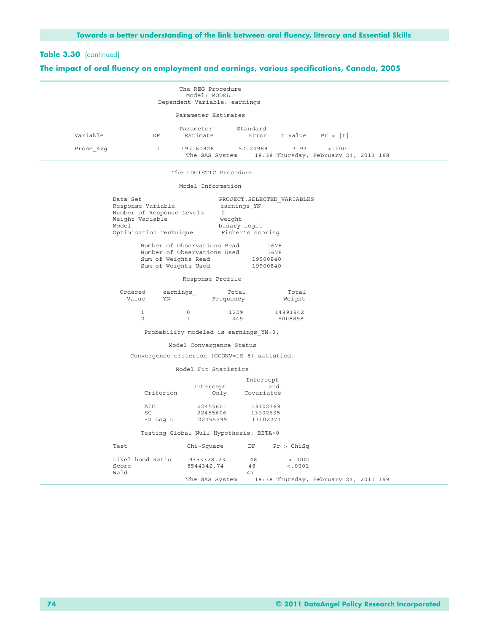## **The impact of oral fluency on employment and earnings, various specifications, Canada, 2005**

|           |    | The REG Procedure<br>Model: MODEL1<br>Dependent Variable: earnings |                   |      |                                                  |  |
|-----------|----|--------------------------------------------------------------------|-------------------|------|--------------------------------------------------|--|
|           |    | Parameter Estimates                                                |                   |      |                                                  |  |
| Variable  | DF | Parameter<br>Estimate                                              | Standard<br>Error |      | t Value $Pr >  t $                               |  |
| Prose Avq |    | 197.61828<br>The SAS System                                        | 50.24988          | 3.93 | < .0001<br>18:38 Thursday, February 24, 2011 168 |  |

#### The LOGISTIC Procedure

#### Model Information

| Data Set                    | PROJECT. SELECTED VARIABLES |
|-----------------------------|-----------------------------|
| Response Variable           | earnings YN                 |
| Number of Response Levels   |                             |
| Weight Variable             | weight                      |
| Model                       | binary logit                |
| Optimization Technique      | Fisher's scoring            |
| Number of Observations Read | 1678                        |
|                             |                             |
| Mumbor of Observations Head | 1 <sub>C</sub>              |

| Number of Observations Used | 1678     |
|-----------------------------|----------|
| Sum of Weights Read         | 19900840 |
| Sum of Weights Used         | 19900840 |

#### Response Profile

| Ordered<br>Value | earnings<br>YΝ | Total<br>Frequency | Total<br>Weight |
|------------------|----------------|--------------------|-----------------|
|                  |                | 1229               | 14891942        |
|                  |                | 449                | 5008898         |

Probability modeled is earnings\_YN=0.

## Model Convergence Status

Convergence criterion (GCONV=1E-8) satisfied.

#### Model Fit Statistics

|       |                  |                                        | Intercept  |            |                                       |  |
|-------|------------------|----------------------------------------|------------|------------|---------------------------------------|--|
|       |                  | Intercept                              | and        |            |                                       |  |
|       | Criterion        | Only                                   | Covariates |            |                                       |  |
|       | AIC              | 22455601                               | 13102369   |            |                                       |  |
|       | SC.              | 22455606                               | 13102635   |            |                                       |  |
|       | $-2$ Log L       | 22455599                               | 13102271   |            |                                       |  |
|       |                  | Testing Global Null Hypothesis: BETA=0 |            |            |                                       |  |
| Test  |                  | Chi-Square                             | DF         | Pr > Chisq |                                       |  |
|       | Likelihood Ratio | 9353328.23                             | 48         | < .0001    |                                       |  |
| Score |                  | 8544342.74                             | 48         | < .0001    |                                       |  |
| Wald  |                  |                                        | 47         | ٠          |                                       |  |
|       |                  | The SAS System                         |            |            | 18:38 Thursday, February 24, 2011 169 |  |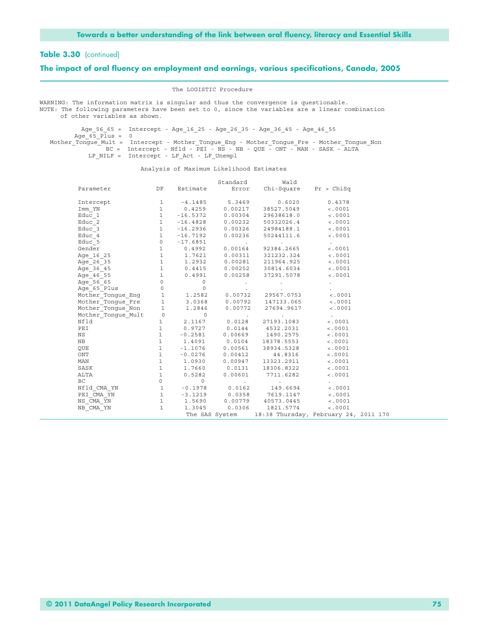#### **The impact of oral fluency on employment and earnings, various specifications, Canada, 2005**

The LOGISTIC Procedure

WARNING: The information matrix is singular and thus the convergence is questionable. NOTE: The following parameters have been set to 0, since the variables are a linear combination of other variables as shown.

 Age\_56\_65 = Intercept - Age\_16\_25 - Age\_26\_35 - Age\_36\_45 - Age\_46\_55  $Age_65_P1us = 0$ Mother Tongue Mult = Intercept - Mother Tongue Eng - Mother Tongue Fre - Mother Tongue Non BC = Intercept - Nfld - PEI - NS - NB - QUE - ONT - MAN - SASK - ALTA LF\_NILF = Intercept - LF\_Act - LF\_Unempl

Analysis of Maximum Likelihood Estimates

|                                                                                                                                                      |  | Standard Wald                                                                                                                                                                          |                   |  |
|------------------------------------------------------------------------------------------------------------------------------------------------------|--|----------------------------------------------------------------------------------------------------------------------------------------------------------------------------------------|-------------------|--|
| Parameter                                                                                                                                            |  | DF Estimate Error Chi-Square Pr > ChiSq                                                                                                                                                |                   |  |
| Intercept                                                                                                                                            |  | 1 -4.1485 5.3469 0.6020 0.4378                                                                                                                                                         |                   |  |
| Imm YN                                                                                                                                               |  | 1 0.4259 0.00217 38527.5049                                                                                                                                                            | < .0001           |  |
| Educ 1                                                                                                                                               |  | $1 -16.5372$ 0.00304  29638618.0  <.0001                                                                                                                                               |                   |  |
| Educ 2                                                                                                                                               |  | $1 -16.4828$ 0.00232 50332026.4 <.0001                                                                                                                                                 |                   |  |
| Educ 3                                                                                                                                               |  | $1 -16.2936$ $0.00326$ $24984188.1$ <.0001                                                                                                                                             |                   |  |
| Educ 4                                                                                                                                               |  | $1 -16.7192 0.00236 50244111.6$ <.0001                                                                                                                                                 |                   |  |
|                                                                                                                                                      |  |                                                                                                                                                                                        |                   |  |
|                                                                                                                                                      |  |                                                                                                                                                                                        |                   |  |
|                                                                                                                                                      |  |                                                                                                                                                                                        |                   |  |
|                                                                                                                                                      |  |                                                                                                                                                                                        |                   |  |
|                                                                                                                                                      |  |                                                                                                                                                                                        |                   |  |
|                                                                                                                                                      |  |                                                                                                                                                                                        |                   |  |
|                                                                                                                                                      |  |                                                                                                                                                                                        |                   |  |
|                                                                                                                                                      |  |                                                                                                                                                                                        |                   |  |
|                                                                                                                                                      |  |                                                                                                                                                                                        |                   |  |
|                                                                                                                                                      |  |                                                                                                                                                                                        |                   |  |
| Mother_Tongue_Non  1  1.2846  0.00772  27694.9617  <.0001                                                                                            |  |                                                                                                                                                                                        |                   |  |
| Mother_Tongue_Mult<br>Middle Tongue_Mult<br>1 2.1167 0.0128 27193.1083<br>PEI 1 0.9727 0.0144 4532.2031                                              |  |                                                                                                                                                                                        | <b>Contractor</b> |  |
|                                                                                                                                                      |  |                                                                                                                                                                                        | < .0001           |  |
| PEI                                                                                                                                                  |  | $1$ 0.9727 0.0144 4532.2031 <.0001                                                                                                                                                     |                   |  |
| NS                                                                                                                                                   |  |                                                                                                                                                                                        |                   |  |
| NB                                                                                                                                                   |  |                                                                                                                                                                                        |                   |  |
| OUE                                                                                                                                                  |  |                                                                                                                                                                                        |                   |  |
| ONT                                                                                                                                                  |  | $1 \t 0.2581 \t 0.00669 \t 1490.2575 \t 0.0011 \t 1.4091 \t 0.0104 \t 18378.5553 \t 0.00011 \t -1.1076 \t 0.00561 \t 38934.5328 \t 0.00011 \t -0.0276 \t 0.00412 \t 44.8316 \t 0.0001$ |                   |  |
| MAN                                                                                                                                                  |  | 1   1.0930   0.00947   13323.2911                                                                                                                                                      | < .0001           |  |
| 3ASK 1 1.7660 0.0131 18306.8322 <.0001<br>ALTA 1 0.5282 0.00601 7711.6282 <.0001<br>BC 0 0 .00601 7711.6282 <.0001<br>BC 0 0 .00601 7711.6282 <.0001 |  |                                                                                                                                                                                        |                   |  |
|                                                                                                                                                      |  |                                                                                                                                                                                        |                   |  |
|                                                                                                                                                      |  |                                                                                                                                                                                        |                   |  |
|                                                                                                                                                      |  |                                                                                                                                                                                        |                   |  |
|                                                                                                                                                      |  |                                                                                                                                                                                        |                   |  |
|                                                                                                                                                      |  |                                                                                                                                                                                        |                   |  |
|                                                                                                                                                      |  |                                                                                                                                                                                        |                   |  |
|                                                                                                                                                      |  | The SAS System 18:38 Thursday, February 24, 2011 170                                                                                                                                   |                   |  |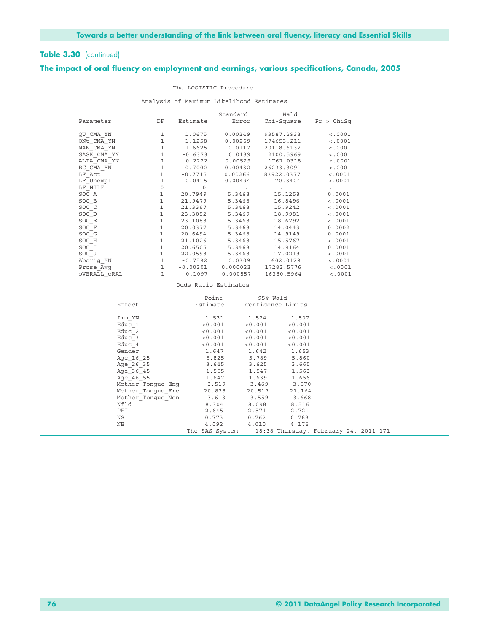## **The impact of oral fluency on employment and earnings, various specifications, Canada, 2005**

|                                          | The LOGISTIC Procedure                           |    |           |                          |                                                                                           |             |  |  |  |  |
|------------------------------------------|--------------------------------------------------|----|-----------|--------------------------|-------------------------------------------------------------------------------------------|-------------|--|--|--|--|
| Analysis of Maximum Likelihood Estimates |                                                  |    |           |                          |                                                                                           |             |  |  |  |  |
|                                          |                                                  |    |           |                          | Standard Wald                                                                             |             |  |  |  |  |
|                                          | Parameter                                        | DF |           |                          | Estimate Error Chi-Square Pr > ChiSq                                                      |             |  |  |  |  |
|                                          | QU CMA YN                                        |    |           |                          | 1 1.0675 0.00349 93587.2933                                                               | < .0001     |  |  |  |  |
|                                          | ONt CMA YN                                       |    |           |                          | 1 1.1258 0.00269 174653.211                                                               | < .0001     |  |  |  |  |
|                                          | MAN CMA YN                                       |    |           |                          | 1 1.6625 0.0117 20118.6132                                                                | < .0001     |  |  |  |  |
|                                          | SASK CMA YN 1 -0.6373 0.0139 2100.5969           |    |           |                          |                                                                                           | < .0001     |  |  |  |  |
|                                          | $ALTA-CMA-YN$ 1 -0.2222 0.00529 1767.0318 <.0001 |    |           |                          |                                                                                           |             |  |  |  |  |
|                                          | BC CMA YN                                        |    |           |                          | 1 0.7000 0.00432 26233.3091                                                               | < .0001     |  |  |  |  |
|                                          | $LF$ $Act$                                       |    |           |                          | 1 -0.7715 0.00266 83922.0377                                                              | < .0001     |  |  |  |  |
|                                          | LF Unempl                                        |    |           |                          | 1 -0.0415 0.00494 70.3404                                                                 | < .0001     |  |  |  |  |
|                                          | LF NILF                                          | 0  | $\Omega$  | <b>Contract Contract</b> | and the company of the                                                                    |             |  |  |  |  |
|                                          | SOC A                                            |    |           |                          | 1 20.7949 5.3468 15.1258 0.0001                                                           |             |  |  |  |  |
|                                          | SOC B                                            |    |           |                          | 1 21.9479 5.3468 16.8496                                                                  | $\lt$ .0001 |  |  |  |  |
|                                          | SOC C                                            |    |           |                          | $1 \qquad \qquad 21.3367 \qquad \qquad 5.3468 \qquad \qquad 15.9242 \qquad \qquad <.0001$ |             |  |  |  |  |
|                                          | SOC D                                            |    |           | 1 23.3052 5.3469         | 18.9981                                                                                   | < .0001     |  |  |  |  |
|                                          | SOC E                                            |    |           | 1 23.1088 5.3468         | 18.6792                                                                                   | < .0001     |  |  |  |  |
|                                          | SOC F                                            |    |           |                          | $1$ 20.0377 5.3468 14.0443 0.0002                                                         |             |  |  |  |  |
|                                          | SOC G                                            |    |           | 1 20.6494 5.3468         | 14.9149                                                                                   | 0.0001      |  |  |  |  |
|                                          | SOC H                                            |    |           | 1 21.1026 5.3468         | 15.5767                                                                                   | < .0001     |  |  |  |  |
|                                          | SOC I                                            |    |           |                          | 1 20.6505 5.3468 14.9164                                                                  | 0.0001      |  |  |  |  |
|                                          | SOC J                                            |    |           |                          | 1 22.0598 5.3468 17.0219                                                                  | < .0001     |  |  |  |  |
|                                          | Aborig YN                                        |    |           | 1 -0.7592 0.0309         | 602.0129                                                                                  | < .0001     |  |  |  |  |
|                                          |                                                  |    |           |                          |                                                                                           | < .0001     |  |  |  |  |
|                                          | OVERALL ORAL                                     | 1  | $-0.1097$ | 0.000857                 | 16380.5964                                                                                | < .0001     |  |  |  |  |

#### Odds Ratio Estimates

|                                        | Point                                                | 95% Wald |         |  |  |
|----------------------------------------|------------------------------------------------------|----------|---------|--|--|
| Effect                                 | Estimate Confidence Limits                           |          |         |  |  |
| Imm YN                                 | 1.531 1.524 1.537                                    |          |         |  |  |
| Educ 1                                 | $< 0.001$ $< 0.001$                                  |          | < 0.001 |  |  |
| Educ 2                                 | $< 0.001$ $< 0.001$                                  |          | < 0.001 |  |  |
| Educ 3                                 | $< 0.001$ $< 0.001$                                  |          | < 0.001 |  |  |
|                                        |                                                      |          |         |  |  |
| Educ 4                                 | < 0.001                                              | < 0.001  | < 0.001 |  |  |
| Gender                                 | 1.647                                                | 1.642    | 1.653   |  |  |
| Age 16 25                              | 5.825                                                | 5.789    | 5.860   |  |  |
| Age 26 35                              | 3.645                                                | 3.625    | 3.665   |  |  |
| Age 36 45                              | 1.555                                                | 1.547    | 1.563   |  |  |
| Age 46 55                              | 1.647                                                | 1.639    | 1.656   |  |  |
| Mother Tongue Eng 3.519 3.469 3.570    |                                                      |          |         |  |  |
| Mother Tongue Fre 20.838 20.517 21.164 |                                                      |          |         |  |  |
| Mother Tonque Non 3.613 3.559          |                                                      |          | 3.668   |  |  |
| Nfld                                   | 8.304                                                | 8.098    | 8.516   |  |  |
| PEI                                    | 2.645                                                | 2.571    | 2.721   |  |  |
| NS                                     | 0.773                                                | 0.762    | 0.783   |  |  |
| NB                                     | 4.092 4.010                                          |          | 4.176   |  |  |
|                                        | The SAS System 18:38 Thursday, February 24, 2011 171 |          |         |  |  |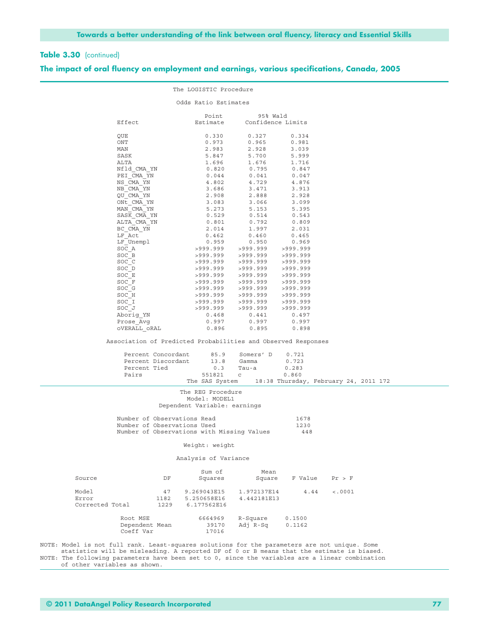### **The impact of oral fluency on employment and earnings, various specifications, Canada, 2005**

|                 |                                                                                                                                                                                                                |                             | The LOGISTIC Procedure             |                                                                                                                                                                                                                                                                                                |                |                 |  |
|-----------------|----------------------------------------------------------------------------------------------------------------------------------------------------------------------------------------------------------------|-----------------------------|------------------------------------|------------------------------------------------------------------------------------------------------------------------------------------------------------------------------------------------------------------------------------------------------------------------------------------------|----------------|-----------------|--|
|                 |                                                                                                                                                                                                                |                             | Odds Ratio Estimates               |                                                                                                                                                                                                                                                                                                |                |                 |  |
|                 | Effect                                                                                                                                                                                                         |                             | Point<br>Estimate                  | 95% Wald<br>Confidence Limits                                                                                                                                                                                                                                                                  |                |                 |  |
|                 | QUE                                                                                                                                                                                                            |                             |                                    | $0.330$ $0.327$ $0.334$                                                                                                                                                                                                                                                                        |                |                 |  |
|                 | ONT                                                                                                                                                                                                            |                             | 0.973                              | 0.965                                                                                                                                                                                                                                                                                          | 0.981          |                 |  |
|                 | MAN                                                                                                                                                                                                            |                             | 2.983                              | 2.928<br>5.700                                                                                                                                                                                                                                                                                 | 3.039<br>5.999 |                 |  |
|                 | SASK                                                                                                                                                                                                           |                             | 5.847                              |                                                                                                                                                                                                                                                                                                |                |                 |  |
|                 | ALTA                                                                                                                                                                                                           |                             |                                    |                                                                                                                                                                                                                                                                                                |                |                 |  |
|                 | Nfld CMA YN                                                                                                                                                                                                    |                             |                                    |                                                                                                                                                                                                                                                                                                |                |                 |  |
|                 | PEI CMA YN                                                                                                                                                                                                     |                             |                                    |                                                                                                                                                                                                                                                                                                |                |                 |  |
|                 | NS CMA YN                                                                                                                                                                                                      |                             |                                    |                                                                                                                                                                                                                                                                                                |                |                 |  |
|                 | $NB$ <sup><math>-MA</math><math>YN</math></sup>                                                                                                                                                                |                             |                                    |                                                                                                                                                                                                                                                                                                |                |                 |  |
|                 | QU CMA YN                                                                                                                                                                                                      |                             |                                    |                                                                                                                                                                                                                                                                                                |                |                 |  |
|                 | $\begin{array}{lll} \multicolumn{3}{l}{{\text{ON}}\overline{\text{t}}}\_ \text{C}\text{M}\overline{\text{A}}\_ \text{YN} \\ \multicolumn{2}{l}{\text{MAN}}\_ \text{C}\text{M}\text{A}\_ \text{YN} \end{array}$ |                             |                                    |                                                                                                                                                                                                                                                                                                |                |                 |  |
|                 |                                                                                                                                                                                                                |                             |                                    |                                                                                                                                                                                                                                                                                                |                |                 |  |
|                 | SASK_CMA_YN<br>ALTA_CMA_YN                                                                                                                                                                                     |                             |                                    |                                                                                                                                                                                                                                                                                                |                |                 |  |
|                 |                                                                                                                                                                                                                |                             |                                    |                                                                                                                                                                                                                                                                                                |                |                 |  |
|                 | BC CMA YN                                                                                                                                                                                                      |                             |                                    |                                                                                                                                                                                                                                                                                                |                |                 |  |
|                 | LF Act                                                                                                                                                                                                         |                             |                                    |                                                                                                                                                                                                                                                                                                |                |                 |  |
|                 | LF Unempl                                                                                                                                                                                                      |                             |                                    |                                                                                                                                                                                                                                                                                                |                |                 |  |
|                 | SOC A                                                                                                                                                                                                          |                             |                                    |                                                                                                                                                                                                                                                                                                |                |                 |  |
|                 | $SOC_B$                                                                                                                                                                                                        |                             |                                    |                                                                                                                                                                                                                                                                                                |                |                 |  |
|                 | SOC C                                                                                                                                                                                                          |                             |                                    |                                                                                                                                                                                                                                                                                                |                |                 |  |
|                 | $\begin{array}{l} {\tt SOC\_D} \ {\tt SOC\_E} \end{array}$                                                                                                                                                     |                             |                                    |                                                                                                                                                                                                                                                                                                |                |                 |  |
|                 | SOC F                                                                                                                                                                                                          |                             |                                    |                                                                                                                                                                                                                                                                                                |                |                 |  |
|                 |                                                                                                                                                                                                                |                             |                                    |                                                                                                                                                                                                                                                                                                |                |                 |  |
|                 | SOC G<br>SOC H                                                                                                                                                                                                 |                             |                                    |                                                                                                                                                                                                                                                                                                |                |                 |  |
|                 | SOC I                                                                                                                                                                                                          |                             |                                    |                                                                                                                                                                                                                                                                                                |                |                 |  |
|                 | $SOC$ $J$                                                                                                                                                                                                      |                             |                                    |                                                                                                                                                                                                                                                                                                |                |                 |  |
|                 |                                                                                                                                                                                                                |                             |                                    |                                                                                                                                                                                                                                                                                                |                |                 |  |
|                 | Aborig_YN<br>Prose Avg                                                                                                                                                                                         |                             |                                    |                                                                                                                                                                                                                                                                                                |                |                 |  |
|                 | OVERALL ORAL                                                                                                                                                                                                   |                             | 0.896                              | $\begin{array}{cccccccc} 2.984 & 2.926 & 3.039 \\ 5.847 & 5.700 & 5.999 \\ 1.696 & 1.676 & 1.716 \\ 0.820 & 0.795 & 0.847 \\ 0.044 & 0.041 & 0.047 \\ 4.802 & 4.729 & 4.873 \\ 3.686 & 3.471 & 3.913 \\ 2.908 & 2.888 & 2.928 \\ 3.083 & 3.066 & 3.099 \\ 5.273 & 5.153 & 5.395 \\ 0$<br>0.895 | 0.898          |                 |  |
|                 |                                                                                                                                                                                                                |                             |                                    | Association of Predicted Probabilities and Observed Responses                                                                                                                                                                                                                                  |                |                 |  |
|                 |                                                                                                                                                                                                                |                             |                                    |                                                                                                                                                                                                                                                                                                |                |                 |  |
|                 |                                                                                                                                                                                                                | Percent Concordant          |                                    | 85.9 Somers' D 0.721                                                                                                                                                                                                                                                                           |                |                 |  |
|                 |                                                                                                                                                                                                                | Percent Discordant          |                                    | 13.8 Gamma                                                                                                                                                                                                                                                                                     | 0.723          |                 |  |
|                 |                                                                                                                                                                                                                | Percent Tied                |                                    | $0.3$ Tau-a                                                                                                                                                                                                                                                                                    | 0.283          |                 |  |
|                 | Pairs                                                                                                                                                                                                          |                             |                                    | 551821 c 0.860<br>The SAS System 18:38 Thursday, February 24, 2011 172                                                                                                                                                                                                                         |                |                 |  |
|                 |                                                                                                                                                                                                                |                             |                                    |                                                                                                                                                                                                                                                                                                |                |                 |  |
|                 |                                                                                                                                                                                                                |                             | The REG Procedure<br>Model: MODEL1 |                                                                                                                                                                                                                                                                                                |                |                 |  |
|                 |                                                                                                                                                                                                                |                             | Dependent Variable: earnings       |                                                                                                                                                                                                                                                                                                |                |                 |  |
|                 |                                                                                                                                                                                                                |                             |                                    |                                                                                                                                                                                                                                                                                                |                |                 |  |
|                 |                                                                                                                                                                                                                | Number of Observations Read |                                    |                                                                                                                                                                                                                                                                                                | 1678           |                 |  |
|                 |                                                                                                                                                                                                                | Number of Observations Used |                                    |                                                                                                                                                                                                                                                                                                | 1230           |                 |  |
|                 |                                                                                                                                                                                                                |                             |                                    | Number of Observations with Missing Values                                                                                                                                                                                                                                                     | -448           |                 |  |
|                 |                                                                                                                                                                                                                |                             | Weight: weight                     |                                                                                                                                                                                                                                                                                                |                |                 |  |
|                 |                                                                                                                                                                                                                |                             | Analysis of Variance               |                                                                                                                                                                                                                                                                                                |                |                 |  |
|                 |                                                                                                                                                                                                                |                             | Sum of                             | Mean                                                                                                                                                                                                                                                                                           |                |                 |  |
| Source          |                                                                                                                                                                                                                | DF                          | Squares                            |                                                                                                                                                                                                                                                                                                | Square F Value | Pr > F          |  |
| Model           |                                                                                                                                                                                                                | 47                          | 9.269043E15                        | 1.972137E14                                                                                                                                                                                                                                                                                    |                | 4.44<br>< .0001 |  |
| Error           |                                                                                                                                                                                                                | 1182                        | 5.250658E16                        | 4.442181E13                                                                                                                                                                                                                                                                                    |                |                 |  |
| Corrected Total |                                                                                                                                                                                                                | 1229                        | 6.177562E16                        |                                                                                                                                                                                                                                                                                                |                |                 |  |
|                 |                                                                                                                                                                                                                |                             |                                    |                                                                                                                                                                                                                                                                                                |                |                 |  |
|                 | Root MSE                                                                                                                                                                                                       |                             | 6664969                            | R-Square                                                                                                                                                                                                                                                                                       | 0.1500         |                 |  |
|                 | Dependent Mean                                                                                                                                                                                                 |                             | 39170                              | Adj R-Sq                                                                                                                                                                                                                                                                                       | 0.1162         |                 |  |
|                 | Coeff Var                                                                                                                                                                                                      |                             | 17016                              |                                                                                                                                                                                                                                                                                                |                |                 |  |
|                 |                                                                                                                                                                                                                |                             |                                    |                                                                                                                                                                                                                                                                                                |                |                 |  |

NOTE: Model is not full rank. Least-squares solutions for the parameters are not unique. Some statistics will be misleading. A reported DF of 0 or B means that the estimate is biased. NOTE: The following parameters have been set to 0, since the variables are a linear combination of other variables as shown.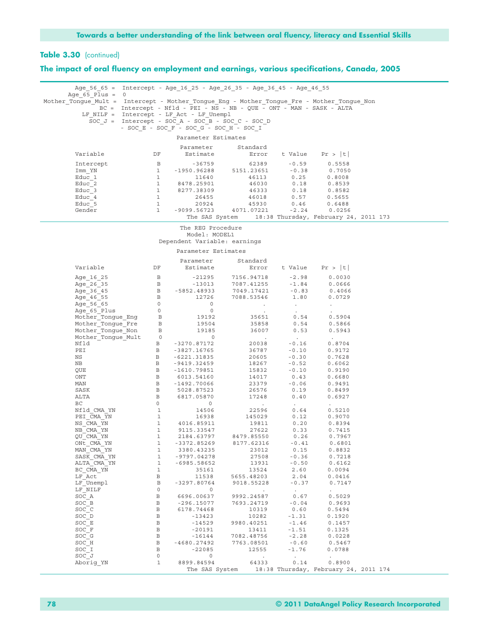**The impact of oral fluency on employment and earnings, various specifications, Canada, 2005**

| Age 56 65 = Intercept - Age 16 25 - Age 26 35 - Age 36 45 - Age 46 55                                                    |                                                                                                                                                                     |                                                                                                                                |                                                      |                                              |                          |  |  |  |  |  |
|--------------------------------------------------------------------------------------------------------------------------|---------------------------------------------------------------------------------------------------------------------------------------------------------------------|--------------------------------------------------------------------------------------------------------------------------------|------------------------------------------------------|----------------------------------------------|--------------------------|--|--|--|--|--|
| Age $65$ Plus = 0                                                                                                        |                                                                                                                                                                     |                                                                                                                                |                                                      |                                              |                          |  |  |  |  |  |
|                                                                                                                          | Mother Tongue Mult = Intercept - Mother Tongue Eng - Mother Tongue Fre - Mother Tongue Non<br>BC = Intercept - Nfld - PEI - NS - NB - QUE - ONT - MAN - SASK - ALTA |                                                                                                                                |                                                      |                                              |                          |  |  |  |  |  |
|                                                                                                                          | LF NILF = Intercept - LF Act - LF Unempl                                                                                                                            |                                                                                                                                |                                                      |                                              |                          |  |  |  |  |  |
|                                                                                                                          |                                                                                                                                                                     |                                                                                                                                | SOC $J =$ Intercept - SOC A - SOC B - SOC C - SOC D  |                                              |                          |  |  |  |  |  |
|                                                                                                                          |                                                                                                                                                                     |                                                                                                                                | - SOC E - SOC F - SOC G - SOC H - SOC I              |                                              |                          |  |  |  |  |  |
| Parameter Estimates                                                                                                      |                                                                                                                                                                     |                                                                                                                                |                                                      |                                              |                          |  |  |  |  |  |
|                                                                                                                          |                                                                                                                                                                     |                                                                                                                                |                                                      |                                              |                          |  |  |  |  |  |
|                                                                                                                          |                                                                                                                                                                     | Parameter                                                                                                                      | Standard                                             |                                              |                          |  |  |  |  |  |
| Variable                                                                                                                 | DF                                                                                                                                                                  | Estimate                                                                                                                       |                                                      |                                              | Error t Value $Pr >  t $ |  |  |  |  |  |
| Intercept                                                                                                                | $\Box$                                                                                                                                                              | $-36759$                                                                                                                       | 62389                                                | $-0.59$                                      | 0.5558                   |  |  |  |  |  |
| Imm YN                                                                                                                   | $\mathbf{1}$                                                                                                                                                        |                                                                                                                                | -1950.96288 5151.23651 -0.38<br>11640 46113 0.25     |                                              | 0.7050                   |  |  |  |  |  |
| Educ 1                                                                                                                   | $\mathbf{1}$                                                                                                                                                        |                                                                                                                                |                                                      |                                              | 0.8008                   |  |  |  |  |  |
| Educ 2                                                                                                                   | $\mathbf{1}$                                                                                                                                                        | 8478.25901                                                                                                                     |                                                      |                                              | 0.8539                   |  |  |  |  |  |
| Educ 3<br>Educ 4                                                                                                         | $\mathbf{1}$<br>1                                                                                                                                                   | 8277.38309<br>26455                                                                                                            |                                                      | $46030$ 0.18<br>$46333$ 0.18<br>$46018$ 0.57 | 0.8582<br>0.5655         |  |  |  |  |  |
| Educ 5                                                                                                                   | $\mathbf{1}$                                                                                                                                                        | 20924                                                                                                                          | 45930                                                | 0.46                                         | 0.6488                   |  |  |  |  |  |
| Gender                                                                                                                   | $\mathbf{1}$                                                                                                                                                        |                                                                                                                                | $-9099.56723$ $4071.07221$                           | $-2.24$                                      | 0.0256                   |  |  |  |  |  |
|                                                                                                                          |                                                                                                                                                                     |                                                                                                                                | The SAS System 18:38 Thursday, February 24, 2011 173 |                                              |                          |  |  |  |  |  |
|                                                                                                                          |                                                                                                                                                                     |                                                                                                                                |                                                      |                                              |                          |  |  |  |  |  |
|                                                                                                                          |                                                                                                                                                                     | The REG Procedure<br>Model: MODEL1                                                                                             |                                                      |                                              |                          |  |  |  |  |  |
|                                                                                                                          |                                                                                                                                                                     |                                                                                                                                | Dependent Variable: earnings                         |                                              |                          |  |  |  |  |  |
|                                                                                                                          |                                                                                                                                                                     |                                                                                                                                |                                                      |                                              |                          |  |  |  |  |  |
|                                                                                                                          |                                                                                                                                                                     | Parameter Estimates                                                                                                            |                                                      |                                              |                          |  |  |  |  |  |
|                                                                                                                          |                                                                                                                                                                     | Parameter                                                                                                                      | Standard                                             |                                              |                          |  |  |  |  |  |
| Variable                                                                                                                 | DF                                                                                                                                                                  | Estimate                                                                                                                       |                                                      |                                              | Error t Value $Pr >  t $ |  |  |  |  |  |
| Age 16 25                                                                                                                |                                                                                                                                                                     |                                                                                                                                |                                                      |                                              | 0.0030                   |  |  |  |  |  |
| Age 26 35                                                                                                                |                                                                                                                                                                     |                                                                                                                                |                                                      |                                              | 0.0666                   |  |  |  |  |  |
| Age 36 45                                                                                                                |                                                                                                                                                                     |                                                                                                                                |                                                      |                                              | 0.4066                   |  |  |  |  |  |
| Age 46 55                                                                                                                |                                                                                                                                                                     |                                                                                                                                |                                                      |                                              | 0.0729                   |  |  |  |  |  |
| Age 56 65                                                                                                                | $\overline{0}$                                                                                                                                                      | $\overline{0}$                                                                                                                 | $\sim 100$ km s $^{-1}$                              | <b>Contractor</b>                            | $\cdot$                  |  |  |  |  |  |
|                                                                                                                          |                                                                                                                                                                     | $\overline{0}$                                                                                                                 | $\sim 100$                                           | $\sim 10^{-10}$                              |                          |  |  |  |  |  |
| ---y-_v <sup>_</sup> _Plus<br>Mother_Tongue_Eng  B<br>Mother_Tongue_Fre  B<br>Mother_Tongue_Non  B<br>Mother_Tonque_Mult |                                                                                                                                                                     | 19192                                                                                                                          |                                                      | 35651 0.54                                   | 0.5904                   |  |  |  |  |  |
|                                                                                                                          |                                                                                                                                                                     | 19504<br>19185                                                                                                                 | 35858<br>36007                                       | 0.54<br>0.53                                 | 0.5866                   |  |  |  |  |  |
|                                                                                                                          |                                                                                                                                                                     | $\overline{0}$                                                                                                                 | <b>Contractor</b>                                    | $\sim 100$ km s $^{-1}$                      | 0.5943<br>$\sim$         |  |  |  |  |  |
| Nfld                                                                                                                     | $\mathbf{B}$                                                                                                                                                        | -3270.87172                                                                                                                    |                                                      | $-0.16$                                      | 0.8704                   |  |  |  |  |  |
| PEI                                                                                                                      | $\mathbf{B}$                                                                                                                                                        | -3827.16765                                                                                                                    | 20038<br>36787                                       | $-0.10$                                      | 0.9172                   |  |  |  |  |  |
| NS                                                                                                                       | B                                                                                                                                                                   | $-6221.31835$                                                                                                                  | 20605                                                | $-0.30$                                      | 0.7628                   |  |  |  |  |  |
| ΝB                                                                                                                       | $\mathbf{B}$                                                                                                                                                        | -9419.32459                                                                                                                    | 18267<br>15832                                       | $-0.52$                                      | 0.6062                   |  |  |  |  |  |
| QUE                                                                                                                      | B                                                                                                                                                                   | -1610.79851                                                                                                                    |                                                      | $-0.10$                                      | 0.9190                   |  |  |  |  |  |
| ONT                                                                                                                      |                                                                                                                                                                     | B 6013.54160                                                                                                                   | 14017<br>23379                                       | 0.43                                         | 0.6680                   |  |  |  |  |  |
| MAN                                                                                                                      | $\mathbf{B}$<br>$\overline{B}$                                                                                                                                      | -1492.70066                                                                                                                    |                                                      | $-0.06$                                      | 0.9491                   |  |  |  |  |  |
| SASK<br>ALTA                                                                                                             | $\mathbf{B}$                                                                                                                                                        | 5028.87523<br>6817.05870                                                                                                       | 26576<br>17248                                       | 0.19<br>0.40                                 | 0.8499<br>0.6927         |  |  |  |  |  |
| ВC                                                                                                                       | $\overline{0}$                                                                                                                                                      | $\circ$                                                                                                                        | $\sim 10^{-1}$                                       | $\sim 100$                                   |                          |  |  |  |  |  |
| Nfld CMA YN                                                                                                              |                                                                                                                                                                     |                                                                                                                                | 22596                                                | 0.64                                         | 0.5210                   |  |  |  |  |  |
| PEI CMA YN                                                                                                               |                                                                                                                                                                     |                                                                                                                                |                                                      | 145029 0.12                                  | 0.9070                   |  |  |  |  |  |
| NS CMA YN                                                                                                                |                                                                                                                                                                     | $\begin{array}{cccc} 0 & 0 & 0 \\ 1 & 14506 \\ 1 & 16938 \\ 1 & 4016.85911 \\ 1 & 9115.33547 \\ 1 & 2184.63797 \\ \end{array}$ | 19811                                                | 0.20                                         | 0.8394                   |  |  |  |  |  |
| NB CMA YN                                                                                                                |                                                                                                                                                                     |                                                                                                                                | 27622                                                | 0.33                                         | 0.7415                   |  |  |  |  |  |
| QU CMA YN                                                                                                                |                                                                                                                                                                     |                                                                                                                                | 8479.85550                                           | 0.26                                         | 0.7967                   |  |  |  |  |  |
| ONt CMA YN<br>MAN CMA YN                                                                                                 | $\mathbf{1}$                                                                                                                                                        | 1 -3372.85269<br>3380.43235                                                                                                    | 8177.62316<br>23012                                  | $-0.41$<br>0.15                              | 0.6801<br>0.8832         |  |  |  |  |  |
| SASK CMA YN                                                                                                              | $\mathbf{1}$                                                                                                                                                        | -9797.04278                                                                                                                    | 27508                                                | $-0.36$                                      | 0.7218                   |  |  |  |  |  |
| ALTA CMA YN                                                                                                              | $\mathbf{1}$                                                                                                                                                        | $-6985.58652$                                                                                                                  | 13931                                                | $-0.50$                                      | 0.6162                   |  |  |  |  |  |
| BC CMA YN                                                                                                                | $\mathbf{1}$                                                                                                                                                        | 35161                                                                                                                          | 13524                                                | 2.60                                         | 0.0094                   |  |  |  |  |  |
| LF Act                                                                                                                   | $\, {\bf B}$                                                                                                                                                        | 11538                                                                                                                          | 5655.48203                                           | 2.04                                         | 0.0416                   |  |  |  |  |  |
| LF Unempl                                                                                                                | $\, {\bf B}$                                                                                                                                                        | $-3297.80764$                                                                                                                  | 9018.55228                                           | $-0.37$                                      | 0.7147                   |  |  |  |  |  |
| LF NILF                                                                                                                  | $\circ$                                                                                                                                                             | $\circ$                                                                                                                        | $\sim$                                               | $\sim$                                       |                          |  |  |  |  |  |
| SOC A                                                                                                                    | $\, {\bf B}$                                                                                                                                                        | 6696.00637                                                                                                                     | 9992.24587                                           | 0.67                                         | 0.5029                   |  |  |  |  |  |
| SOC B<br>SOC C                                                                                                           | $\, {\bf B}$<br>$\, {\bf B}$                                                                                                                                        | $-296.15077$                                                                                                                   | 7693.24719                                           | $-0.04$                                      | 0.9693                   |  |  |  |  |  |
| SOC D                                                                                                                    | $\, {\bf B}$                                                                                                                                                        | 6178.74468<br>$-13423$                                                                                                         | 10319<br>10282                                       | 0.60<br>$-1.31$                              | 0.5494<br>0.1920         |  |  |  |  |  |
| SOC E                                                                                                                    | $\, {\bf B}$                                                                                                                                                        | $-14529$                                                                                                                       | 9980.40251                                           | $-1.46$                                      | 0.1457                   |  |  |  |  |  |
| SOC F                                                                                                                    | $\, {\bf B}$                                                                                                                                                        | $-20191$                                                                                                                       | 13411                                                | $-1.51$                                      | 0.1325                   |  |  |  |  |  |
| SOC G                                                                                                                    | $\, {\bf B}$                                                                                                                                                        | $-16144$                                                                                                                       | 7082.48756                                           | $-2.28$                                      | 0.0228                   |  |  |  |  |  |
| SOC H                                                                                                                    | $\, {\bf B}$                                                                                                                                                        | $-4680.27492$                                                                                                                  | 7763.08501                                           | $-0.60$                                      | 0.5467                   |  |  |  |  |  |
| SOC I                                                                                                                    | $\, {\bf B}$                                                                                                                                                        | $-22085$                                                                                                                       | 12555                                                | $-1.76$                                      | 0.0788                   |  |  |  |  |  |
| SOC J                                                                                                                    | $\circ$                                                                                                                                                             | $\circ$                                                                                                                        | $\sim$                                               | $\sim$                                       | $\mathcal{L}$            |  |  |  |  |  |
| Aborig YN                                                                                                                | $\mathbf{1}$                                                                                                                                                        | 8899.84594                                                                                                                     | 64333                                                | 0.14                                         | 0.8900                   |  |  |  |  |  |
|                                                                                                                          |                                                                                                                                                                     |                                                                                                                                | The SAS System 18:38 Thursday, February 24, 2011 174 |                                              |                          |  |  |  |  |  |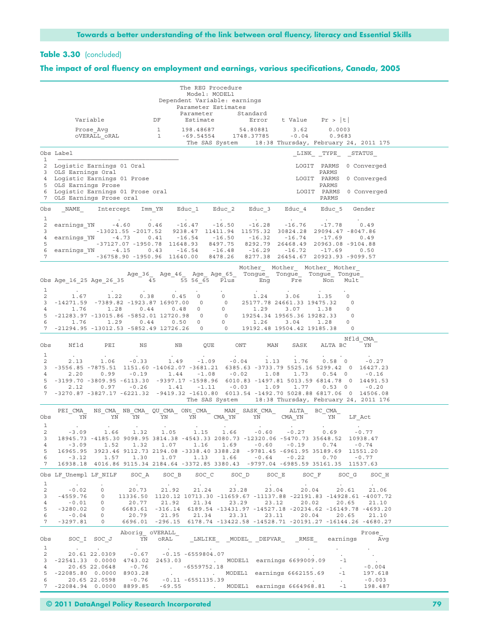# **Table 3.30** (concluded)

## **The impact of oral fluency on employment and earnings, various specifications, Canada, 2005**

|                   |                                                                     |                           |                         |                                  | The REG Procedure<br>Model: MODEL1<br>Dependent Variable: earnings |                  |                   |                                                                                                                                                                                                            |                                                                                                                                                     |                |  |
|-------------------|---------------------------------------------------------------------|---------------------------|-------------------------|----------------------------------|--------------------------------------------------------------------|------------------|-------------------|------------------------------------------------------------------------------------------------------------------------------------------------------------------------------------------------------------|-----------------------------------------------------------------------------------------------------------------------------------------------------|----------------|--|
|                   |                                                                     |                           |                         |                                  | Parameter Estimates<br>Parameter                                   |                  | Standard          |                                                                                                                                                                                                            |                                                                                                                                                     |                |  |
|                   |                                                                     | Variable                  |                         | DF                               | Estimate                                                           |                  |                   | Error t-Value Pr >  t                                                                                                                                                                                      |                                                                                                                                                     |                |  |
|                   |                                                                     | Prose Avq<br>OVERALL ORAL |                         | $\overline{1}$<br>$\overline{1}$ | 198.48687 54.80881<br>$-69.54554$ 1748.37785                       |                  |                   | 3.62<br>$-0.04$                                                                                                                                                                                            | 0.0003<br>0.9683<br>The SAS System 18:38 Thursday, February 24, 2011 175                                                                            |                |  |
|                   | Obs Label                                                           |                           |                         |                                  |                                                                    |                  |                   |                                                                                                                                                                                                            | LINK TYPE STATUS                                                                                                                                    |                |  |
| $\mathbf{1}$<br>2 | Logistic Earnings 01 Oral                                           |                           |                         |                                  |                                                                    |                  |                   |                                                                                                                                                                                                            | LOGIT PARMS 0 Converged                                                                                                                             |                |  |
| 3<br>4            | OLS Earnings Oral<br>Logistic Earnings 01 Prose                     |                           |                         |                                  |                                                                    |                  |                   |                                                                                                                                                                                                            | PARMS<br>LOGIT PARMS 0 Converged                                                                                                                    |                |  |
| 5                 | OLS Earnings Prose<br>Logistic Earnings 01 Prose oral               |                           |                         |                                  |                                                                    |                  |                   |                                                                                                                                                                                                            | PARMS<br>LOGIT PARMS                                                                                                                                | 0 Converged    |  |
| 6<br>7            | OLS Earnings Prose oral                                             |                           |                         |                                  |                                                                    |                  |                   |                                                                                                                                                                                                            | PARMS                                                                                                                                               |                |  |
| Obs               |                                                                     | NAME Intercept            | Imm YN                  |                                  |                                                                    |                  |                   | Educ 1     Educ 2     Educ 3     Educ 4                                                                                                                                                                    | Educ 5                                                                                                                                              | Gender         |  |
| 1<br>2            | earnings $YN$ $-4.60$ $0.46$                                        |                           |                         | <b>Contract</b>                  | $-16.47$ $-16.50$ $-16.28$ $-16.76$                                | $\sim$ 100 $\pm$ | $\sim$            |                                                                                                                                                                                                            | $-17.78$                                                                                                                                            | 0.49           |  |
| 3                 |                                                                     |                           | -13021.55 -2017.52      |                                  |                                                                    |                  |                   |                                                                                                                                                                                                            | 9238.47 11411.94 11575.32 30824.28 29094.47 -8047.86                                                                                                |                |  |
| 4<br>5            | earnings YN                                                         |                           | 0.41<br>$-4.73$         |                                  | $-16.54 - 16.50$                                                   |                  | $-16.32$          | $-16.74$                                                                                                                                                                                                   | $-17.69$<br>-37127.07 -1950.78 11648.93 8497.75 8292.79 26468.49 20963.08 -9104.88                                                                  | 0.49           |  |
| 6<br>7            | earnings YN -4.15                                                   |                           |                         | 0.43                             | $-16.54 - 16.48$                                                   |                  |                   | $-16.29 -16.72$                                                                                                                                                                                            | $-17.69$<br>-36758.90 -1950.96 11640.00 8478.26 8277.38 26454.67 20923.93 -9099.57                                                                  | 0.50           |  |
|                   |                                                                     |                           |                         |                                  |                                                                    |                  |                   |                                                                                                                                                                                                            |                                                                                                                                                     |                |  |
|                   |                                                                     |                           |                         |                                  |                                                                    |                  |                   |                                                                                                                                                                                                            | Mother Mother Mother Mother<br>Age_36_ Age_46_ Age_ Age_65_ Tongue_ Tongue_ Tongue_ Tongue_                                                         |                |  |
|                   | Obs Age_16_25 Age_26_35 $-$ 45 $-$ 55 56_65 Plus Eng Fre            |                           |                         |                                  |                                                                    |                  |                   |                                                                                                                                                                                                            | Mult<br>Non                                                                                                                                         |                |  |
| 1<br>2            | 1.67                                                                | 1.22                      | 0.38                    |                                  | 0.45 0                                                             | $\overline{0}$   | 1.24              | 3.06                                                                                                                                                                                                       | 1.35<br>$\circ$                                                                                                                                     |                |  |
| 3                 | $-14271.59$ $-7389.82$ $-1923.87$ 16907.00 0                        |                           |                         |                                  |                                                                    |                  |                   | $(0.700 \ 0 \ 0 \ 0 \ 0 \ 0 \ 0 \ 0 \ 0 \ 1.29 \ 3.07 \ 1.38$<br>$(20.98 \ 0 \ 0 \ 0 \ 1.29 \ 3.07 \ 1.38)$<br>$(20.98 \ 0 \ 0 \ 19254.34 \ 19565.36 \ 19282.33)$<br>$(0.50 \ 0 \ 0 \ 1.26 \ 3.04 \ 1.28)$ | 0                                                                                                                                                   |                |  |
| 4<br>5            | 1.76<br>$-21283.97 -13015.86 -5852.01 12720.98 0$                   | 1.28                      | 0.44                    |                                  |                                                                    |                  |                   |                                                                                                                                                                                                            | $\circ$<br>$\circ$                                                                                                                                  |                |  |
| 6                 | 1.76                                                                | 1.29                      | 0.44                    |                                  |                                                                    |                  |                   |                                                                                                                                                                                                            | $\circ$                                                                                                                                             |                |  |
|                   |                                                                     |                           |                         |                                  |                                                                    |                  |                   |                                                                                                                                                                                                            | 7 -21294.95 -13012.53 -5852.49 12726.26 0 0 19192.48 19504.42 19185.38 0                                                                            |                |  |
| Obs<br>1          | Nfld<br>$\sim$                                                      | PEI<br>$\sim$             | NS                      | NB                               | QUE                                                                | ONT              | MAN<br>$\sim 100$ | SASK<br>$\sim$                                                                                                                                                                                             | ALTA BC                                                                                                                                             | Nfld CMA<br>YN |  |
| 2                 | 2.13                                                                |                           | $1.06 - 0.33$           | 1.49                             | $-1.09$                                                            | $-0.04$          | 1.13              | 1.76                                                                                                                                                                                                       | $0.58 \t 0$                                                                                                                                         | $-0.27$        |  |
| 3<br>4            | 2.20                                                                |                           | $0.99 - 0.19$           | 1.44                             | $-1.08$                                                            | $-0.02$          | 1.08              | 1.73                                                                                                                                                                                                       | -3556.85 -7875.51 1151.60 -14062.07 -3681.21 6385.63 -3733.79 5525.16 5299.42 0 16427.23<br>$0.54 \quad 0$                                          | -0.16          |  |
| 5                 |                                                                     |                           |                         |                                  |                                                                    |                  |                   |                                                                                                                                                                                                            | -3199.70 -3809.95 -6113.30 -9397.17 -1598.96 6010.83 -1497.81 5013.59 6814.78 0 14491.53                                                            |                |  |
| 6                 | 2.12                                                                | 0.97                      |                         | $-0.26$ 1.41                     | $-1.11$                                                            | $-0.03$          | 1.09              | 1.77                                                                                                                                                                                                       | $0.53 \quad 0$<br>7 -3270.87 -3827.17 -6221.32 -9419.32 -1610.80 6013.54 -1492.70 5028.88 6817.06 0 14506.08                                        | $-0.20$        |  |
|                   |                                                                     |                           |                         |                                  |                                                                    |                  |                   |                                                                                                                                                                                                            | The SAS System 18:38 Thursday, February 24, 2011 176                                                                                                |                |  |
| Obs               | PEI CMA<br>YN                                                       | YN                        | YN                      |                                  | NS_CMA_ NB_CMA_ QU_CMA_ ONt_CMA_ MAN_ SASK_CMA_<br>YN YN CMA_YN YN |                  |                   | <b>ALTA</b><br>$CMA_YN$                                                                                                                                                                                    | BC CMA<br>YN                                                                                                                                        | LF Act         |  |
| 1<br>2            | $-3.09$                                                             |                           | 1.66 1.32               |                                  |                                                                    |                  |                   | $1.05$ $1.15$ $1.66$ $-0.60$ $-0.27$ 0.69                                                                                                                                                                  |                                                                                                                                                     | $-0.77$        |  |
| 3                 |                                                                     |                           |                         |                                  |                                                                    |                  |                   |                                                                                                                                                                                                            | 18945.73 -4185.30 9098.95 3814.38 -4543.33 2080.73 -12320.06 -5470.73 35648.52 10938.47                                                             |                |  |
| 4<br>5            |                                                                     | $-3.09$ 1.52              |                         |                                  |                                                                    |                  |                   |                                                                                                                                                                                                            | $1.32$ $1.07$ $1.16$ $1.69$ $-0.60$ $-0.19$ $0.74$ $-0.74$<br>16965.95 3923.46 9112.73 2194.08 -3338.40 3388.28 -9781.45 -6961.95 35189.69 11551.20 |                |  |
| 6<br>7            |                                                                     |                           |                         |                                  |                                                                    |                  |                   | $-3.12$ 1.57 1.30 1.07 1.13 1.66 -0.64 -0.22 0.70                                                                                                                                                          | 16938.18 4016.86 9115.34 2184.64 -3372.85 3380.43 -9797.04 -6985.59 35161.35 11537.63                                                               | $-0.77$        |  |
|                   | Obs LF Unempl LF NILF SOC A                                         |                           |                         |                                  |                                                                    |                  |                   |                                                                                                                                                                                                            | SOC B SOC C SOC D SOC E SOC F SOC G                                                                                                                 | SOC H          |  |
| 1<br>2            | $\sim 100$ km s $^{-1}$<br>$-0.02$                                  | $\circ$                   | $\sim 100$ km s $^{-1}$ | <b>Contractor</b>                | <b>Contract</b>                                                    | <b>Contract</b>  |                   |                                                                                                                                                                                                            | 20.73 21.92 21.24 23.28 23.04 20.04 20.61 21.06                                                                                                     |                |  |
| 3                 | $-4559.76$                                                          | $\circ$                   |                         |                                  |                                                                    |                  |                   |                                                                                                                                                                                                            | 11336.50 1120.12 10713.30 -11659.67 -11137.88 -22191.83 -14928.61 -4007.72                                                                          |                |  |
| 4<br>5            | $-0.01$<br>$-3280.02$ 0                                             | $\circ$                   |                         | 20.77 21.92                      | 21.34                                                              | 23.29            |                   | 23.12<br>20.02                                                                                                                                                                                             | 20.65<br>6683.61 -316.14 6189.54 -13431.97 -14527.18 -20234.62 -16149.78 -4693.20                                                                   | 21.10          |  |
| 6                 | $-0.04$ 0                                                           |                           |                         |                                  |                                                                    |                  |                   |                                                                                                                                                                                                            | 20.79 21.95 21.34 23.31 23.11 20.04 20.65 21.10                                                                                                     |                |  |
| $7\phantom{.0}$   | $-3297.81$                                                          | $\overline{0}$            |                         |                                  |                                                                    |                  |                   |                                                                                                                                                                                                            | 6696.01 -296.15 6178.74 -13422.58 -14528.71 -20191.27 -16144.26 -4680.27                                                                            |                |  |
| Obs               |                                                                     | SOC I SOC J               | Aborig OVERALL          | YN ORAL                          |                                                                    |                  |                   |                                                                                                                                                                                                            | _LNLIKE_ _MODEL_ _DEPVAR_ _RMSE_ earnings                                                                                                           | Prose<br>Avg   |  |
| $\mathbf{1}$<br>2 |                                                                     |                           |                         |                                  | 20.61 22.0309 -0.67 -0.15 -6559804.07                              |                  |                   |                                                                                                                                                                                                            | $\sim$                                                                                                                                              | $\sim$         |  |
| 3<br>4            |                                                                     |                           |                         |                                  | 20.65 22.0648 -0.76 -6559752.18                                    |                  |                   |                                                                                                                                                                                                            | $-1$<br>$\Delta \sim 10$                                                                                                                            | $-0.004$       |  |
| 5                 | $-22085.80$ 0.0000 8903.28<br>20.65 22.0598 -0.76 -0.11 -6551135.39 |                           |                         |                                  |                                                                    |                  |                   |                                                                                                                                                                                                            | $-1$                                                                                                                                                | 197.618        |  |
| 6                 |                                                                     |                           |                         |                                  |                                                                    |                  |                   |                                                                                                                                                                                                            | <b>Contractor</b><br>7 -22084.94 0.0000 8899.85 -69.55 . MODEL1 earnings 6664968.81 -1 198.487                                                      | $-0.003$       |  |
|                   |                                                                     |                           |                         |                                  |                                                                    |                  |                   |                                                                                                                                                                                                            |                                                                                                                                                     |                |  |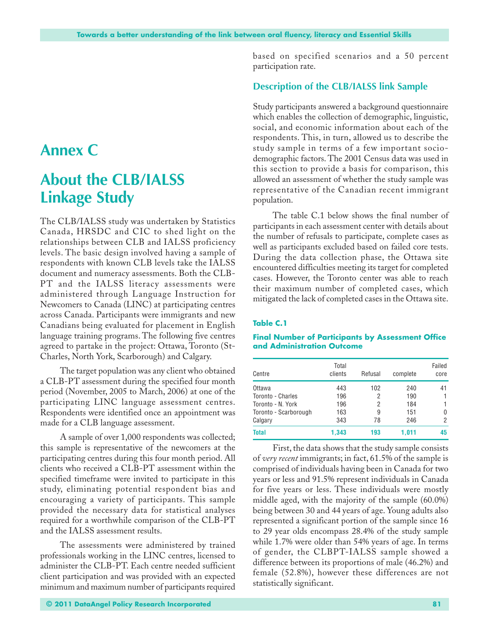# **Annex C**

# **About the CLB/IALSS Linkage Study**

The CLB/IALSS study was undertaken by Statistics Canada, HRSDC and CIC to shed light on the relationships between CLB and IALSS proficiency levels. The basic design involved having a sample of respondents with known CLB levels take the IALSS document and numeracy assessments. Both the CLB-PT and the IALSS literacy assessments were administered through Language Instruction for Newcomers to Canada (LINC) at participating centres across Canada. Participants were immigrants and new Canadians being evaluated for placement in English language training programs. The following five centres agreed to partake in the project: Ottawa, Toronto (St-Charles, North York, Scarborough) and Calgary.

The target population was any client who obtained a CLB-PT assessment during the specified four month period (November, 2005 to March, 2006) at one of the participating LINC language assessment centres. Respondents were identified once an appointment was made for a CLB language assessment.

A sample of over 1,000 respondents was collected; this sample is representative of the newcomers at the participating centres during this four month period. All clients who received a CLB-PT assessment within the specified timeframe were invited to participate in this study, eliminating potential respondent bias and encouraging a variety of participants. This sample provided the necessary data for statistical analyses required for a worthwhile comparison of the CLB-PT and the IALSS assessment results.

The assessments were administered by trained professionals working in the LINC centres, licensed to administer the CLB-PT. Each centre needed sufficient client participation and was provided with an expected minimum and maximum number of participants required based on specified scenarios and a 50 percent participation rate.

# **Description of the CLB/IALSS link Sample**

Study participants answered a background questionnaire which enables the collection of demographic, linguistic, social, and economic information about each of the respondents. This, in turn, allowed us to describe the study sample in terms of a few important sociodemographic factors. The 2001 Census data was used in this section to provide a basis for comparison, this allowed an assessment of whether the study sample was representative of the Canadian recent immigrant population.

The table C.1 below shows the final number of participants in each assessment center with details about the number of refusals to participate, complete cases as well as participants excluded based on failed core tests. During the data collection phase, the Ottawa site encountered difficulties meeting its target for completed cases. However, the Toronto center was able to reach their maximum number of completed cases, which mitigated the lack of completed cases in the Ottawa site.

### **Table C.1**

#### **Final Number of Participants by Assessment Office and Administration Outcome**

| Centre                | Total<br>clients | Refusal | complete | Failed<br>core |
|-----------------------|------------------|---------|----------|----------------|
| Ottawa                | 443              | 102     | 240      | 41             |
| Toronto - Charles     | 196              | 2       | 190      | 1              |
| Toronto - N. York     | 196              | 2       | 184      |                |
| Toronto - Scarborough | 163              | 9       | 151      | 0              |
| Calgary               | 343              | 78      | 246      | 2              |
| <b>Total</b>          | 1,343            | 193     | 1,011    | 45             |

First, the data shows that the study sample consists of *very recent* immigrants; in fact, 61.5% of the sample is comprised of individuals having been in Canada for two years or less and 91.5% represent individuals in Canada for five years or less. These individuals were mostly middle aged, with the majority of the sample (60.0%) being between 30 and 44 years of age. Young adults also represented a significant portion of the sample since 16 to 29 year olds encompass 28.4% of the study sample while 1.7% were older than 54% years of age. In terms of gender, the CLBPT-IALSS sample showed a difference between its proportions of male (46.2%) and female (52.8%), however these differences are not statistically significant.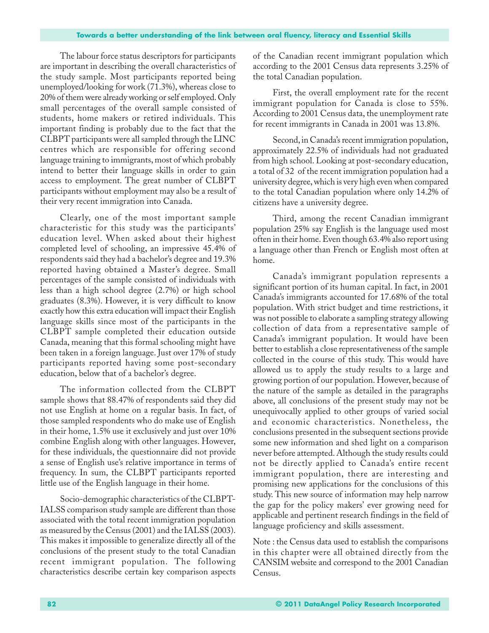### **Towards a better understanding of the link between oral fluency, literacy and Essential Skills**

The labour force status descriptors for participants are important in describing the overall characteristics of the study sample. Most participants reported being unemployed/looking for work (71.3%), whereas close to 20% of them were already working or self employed. Only small percentages of the overall sample consisted of students, home makers or retired individuals. This important finding is probably due to the fact that the CLBPT participants were all sampled through the LINC centres which are responsible for offering second language training to immigrants, most of which probably intend to better their language skills in order to gain access to employment. The great number of CLBPT participants without employment may also be a result of their very recent immigration into Canada.

Clearly, one of the most important sample characteristic for this study was the participants' education level. When asked about their highest completed level of schooling, an impressive 45.4% of respondents said they had a bachelor's degree and 19.3% reported having obtained a Master's degree. Small percentages of the sample consisted of individuals with less than a high school degree (2.7%) or high school graduates (8.3%). However, it is very difficult to know exactly how this extra education will impact their English language skills since most of the participants in the CLBPT sample completed their education outside Canada, meaning that this formal schooling might have been taken in a foreign language. Just over 17% of study participants reported having some post-secondary education, below that of a bachelor's degree.

The information collected from the CLBPT sample shows that 88.47% of respondents said they did not use English at home on a regular basis. In fact, of those sampled respondents who do make use of English in their home, 1.5% use it exclusively and just over 10% combine English along with other languages. However, for these individuals, the questionnaire did not provide a sense of English use's relative importance in terms of frequency. In sum, the CLBPT participants reported little use of the English language in their home.

Socio-demographic characteristics of the CLBPT-IALSS comparison study sample are different than those associated with the total recent immigration population as measured by the Census (2001) and the IALSS (2003). This makes it impossible to generalize directly all of the conclusions of the present study to the total Canadian recent immigrant population. The following characteristics describe certain key comparison aspects

of the Canadian recent immigrant population which according to the 2001 Census data represents 3.25% of the total Canadian population.

First, the overall employment rate for the recent immigrant population for Canada is close to 55%. According to 2001 Census data, the unemployment rate for recent immigrants in Canada in 2001 was 13.8%.

Second, in Canada's recent immigration population, approximately 22.5% of individuals had not graduated from high school. Looking at post-secondary education, a total of 32 of the recent immigration population had a university degree, which is very high even when compared to the total Canadian population where only 14.2% of citizens have a university degree.

Third, among the recent Canadian immigrant population 25% say English is the language used most often in their home. Even though 63.4% also report using a language other than French or English most often at home.

Canada's immigrant population represents a significant portion of its human capital. In fact, in 2001 Canada's immigrants accounted for 17.68% of the total population. With strict budget and time restrictions, it was not possible to elaborate a sampling strategy allowing collection of data from a representative sample of Canada's immigrant population. It would have been better to establish a close representativeness of the sample collected in the course of this study. This would have allowed us to apply the study results to a large and growing portion of our population. However, because of the nature of the sample as detailed in the paragraphs above, all conclusions of the present study may not be unequivocally applied to other groups of varied social and economic characteristics. Nonetheless, the conclusions presented in the subsequent sections provide some new information and shed light on a comparison never before attempted. Although the study results could not be directly applied to Canada's entire recent immigrant population, there are interesting and promising new applications for the conclusions of this study. This new source of information may help narrow the gap for the policy makers' ever growing need for applicable and pertinent research findings in the field of language proficiency and skills assessment.

Note : the Census data used to establish the comparisons in this chapter were all obtained directly from the CANSIM website and correspond to the 2001 Canadian Census.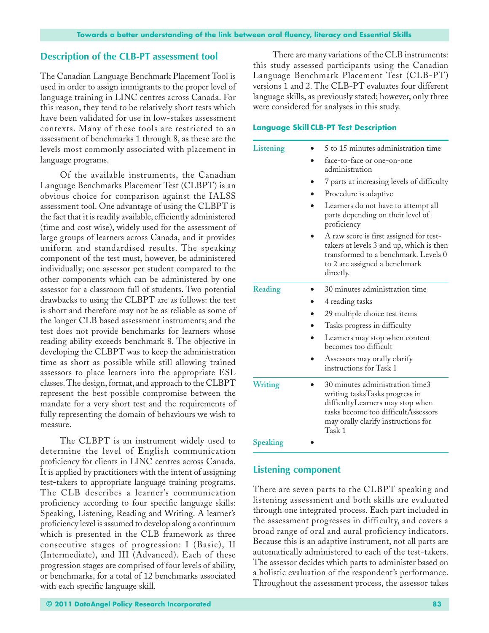# **Description of the CLB-PT assessment tool**

The Canadian Language Benchmark Placement Tool is used in order to assign immigrants to the proper level of language training in LINC centres across Canada. For this reason, they tend to be relatively short tests which have been validated for use in low-stakes assessment contexts. Many of these tools are restricted to an assessment of benchmarks 1 through 8, as these are the levels most commonly associated with placement in language programs.

Of the available instruments, the Canadian Language Benchmarks Placement Test (CLBPT) is an obvious choice for comparison against the IALSS assessment tool. One advantage of using the CLBPT is the fact that it is readily available, efficiently administered (time and cost wise), widely used for the assessment of large groups of learners across Canada, and it provides uniform and standardised results. The speaking component of the test must, however, be administered individually; one assessor per student compared to the other components which can be administered by one assessor for a classroom full of students. Two potential drawbacks to using the CLBPT are as follows: the test is short and therefore may not be as reliable as some of the longer CLB based assessment instruments; and the test does not provide benchmarks for learners whose reading ability exceeds benchmark 8. The objective in developing the CLBPT was to keep the administration time as short as possible while still allowing trained assessors to place learners into the appropriate ESL classes. The design, format, and approach to the CLBPT represent the best possible compromise between the mandate for a very short test and the requirements of fully representing the domain of behaviours we wish to measure.

The CLBPT is an instrument widely used to determine the level of English communication proficiency for clients in LINC centres across Canada. It is applied by practitioners with the intent of assigning test-takers to appropriate language training programs. The CLB describes a learner's communication proficiency according to four specific language skills: Speaking, Listening, Reading and Writing. A learner's proficiency level is assumed to develop along a continuum which is presented in the CLB framework as three consecutive stages of progression: I (Basic), II (Intermediate), and III (Advanced). Each of these progression stages are comprised of four levels of ability, or benchmarks, for a total of 12 benchmarks associated with each specific language skill.

There are many variations of the CLB instruments: this study assessed participants using the Canadian Language Benchmark Placement Test (CLB-PT) versions 1 and 2. The CLB-PT evaluates four different language skills, as previously stated; however, only three were considered for analyses in this study.

# **Language Skill CLB-PT Test Description**

| Listening        | 5 to 15 minutes administration time                                                                                                                                                           |
|------------------|-----------------------------------------------------------------------------------------------------------------------------------------------------------------------------------------------|
|                  | face-to-face or one-on-one<br>administration                                                                                                                                                  |
|                  | 7 parts at increasing levels of difficulty                                                                                                                                                    |
|                  | Procedure is adaptive                                                                                                                                                                         |
|                  | Learners do not have to attempt all<br>parts depending on their level of<br>proficiency                                                                                                       |
|                  | A raw score is first assigned for test-<br>takers at levels 3 and up, which is then<br>transformed to a benchmark. Levels 0<br>to 2 are assigned a benchmark<br>directly.                     |
| Reading          | 30 minutes administration time                                                                                                                                                                |
|                  | 4 reading tasks                                                                                                                                                                               |
|                  | 29 multiple choice test items                                                                                                                                                                 |
|                  | Tasks progress in difficulty                                                                                                                                                                  |
|                  | Learners may stop when content<br>becomes too difficult                                                                                                                                       |
|                  | Assessors may orally clarify<br>instructions for Task 1                                                                                                                                       |
| <b>Writing</b>   | 30 minutes administration time3<br>writing tasksTasks progress in<br>difficultyLearners may stop when<br>tasks become too difficultAssessors<br>may orally clarify instructions for<br>Task 1 |
| $C_{\text{max}}$ |                                                                                                                                                                                               |

**Speaking** •

# **Listening component**

There are seven parts to the CLBPT speaking and listening assessment and both skills are evaluated through one integrated process. Each part included in the assessment progresses in difficulty, and covers a broad range of oral and aural proficiency indicators. Because this is an adaptive instrument, not all parts are automatically administered to each of the test-takers. The assessor decides which parts to administer based on a holistic evaluation of the respondent's performance. Throughout the assessment process, the assessor takes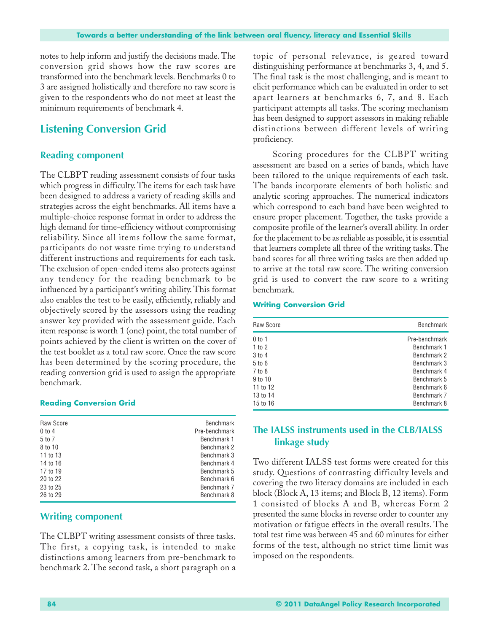notes to help inform and justify the decisions made. The conversion grid shows how the raw scores are transformed into the benchmark levels. Benchmarks 0 to 3 are assigned holistically and therefore no raw score is given to the respondents who do not meet at least the minimum requirements of benchmark 4.

# **Listening Conversion Grid**

## **Reading component**

The CLBPT reading assessment consists of four tasks which progress in difficulty. The items for each task have been designed to address a variety of reading skills and strategies across the eight benchmarks. All items have a multiple-choice response format in order to address the high demand for time-efficiency without compromising reliability. Since all items follow the same format, participants do not waste time trying to understand different instructions and requirements for each task. The exclusion of open-ended items also protects against any tendency for the reading benchmark to be influenced by a participant's writing ability. This format also enables the test to be easily, efficiently, reliably and objectively scored by the assessors using the reading answer key provided with the assessment guide. Each item response is worth 1 (one) point, the total number of points achieved by the client is written on the cover of the test booklet as a total raw score. Once the raw score has been determined by the scoring procedure, the reading conversion grid is used to assign the appropriate benchmark.

#### **Reading Conversion Grid**

| Raw Score  | <b>Benchmark</b> |
|------------|------------------|
| $0$ to $4$ | Pre-benchmark    |
| 5 to 7     | Benchmark 1      |
| 8 to 10    | Benchmark 2      |
| 11 to 13   | Benchmark 3      |
| 14 to 16   | Benchmark 4      |
| 17 to 19   | Benchmark 5      |
| 20 to 22   | Benchmark 6      |
| 23 to 25   | Benchmark 7      |
| 26 to 29   | Benchmark 8      |
|            |                  |

# **Writing component**

The CLBPT writing assessment consists of three tasks. The first, a copying task, is intended to make distinctions among learners from pre-benchmark to benchmark 2. The second task, a short paragraph on a topic of personal relevance, is geared toward distinguishing performance at benchmarks 3, 4, and 5. The final task is the most challenging, and is meant to elicit performance which can be evaluated in order to set apart learners at benchmarks 6, 7, and 8. Each participant attempts all tasks. The scoring mechanism has been designed to support assessors in making reliable distinctions between different levels of writing proficiency.

Scoring procedures for the CLBPT writing assessment are based on a series of bands, which have been tailored to the unique requirements of each task. The bands incorporate elements of both holistic and analytic scoring approaches. The numerical indicators which correspond to each band have been weighted to ensure proper placement. Together, the tasks provide a composite profile of the learner's overall ability. In order for the placement to be as reliable as possible, it is essential that learners complete all three of the writing tasks. The band scores for all three writing tasks are then added up to arrive at the total raw score. The writing conversion grid is used to convert the raw score to a writing benchmark.

#### **Writing Conversion Grid**

| Raw Score  | <b>Benchmark</b> |  |
|------------|------------------|--|
| $0$ to 1   | Pre-benchmark    |  |
| 1 to 2     | Benchmark 1      |  |
| $3$ to $4$ | Benchmark 2      |  |
| $5$ to $6$ | Benchmark 3      |  |
| 7 to 8     | Benchmark 4      |  |
| 9 to 10    | Benchmark 5      |  |
| 11 to 12   | Benchmark 6      |  |
| 13 to 14   | Benchmark 7      |  |
| 15 to 16   | Benchmark 8      |  |

# **The IALSS instruments used in the CLB/IALSS linkage study**

Two different IALSS test forms were created for this study. Questions of contrasting difficulty levels and covering the two literacy domains are included in each block (Block A, 13 items; and Block B, 12 items). Form 1 consisted of blocks A and B, whereas Form 2 presented the same blocks in reverse order to counter any motivation or fatigue effects in the overall results. The total test time was between 45 and 60 minutes for either forms of the test, although no strict time limit was imposed on the respondents.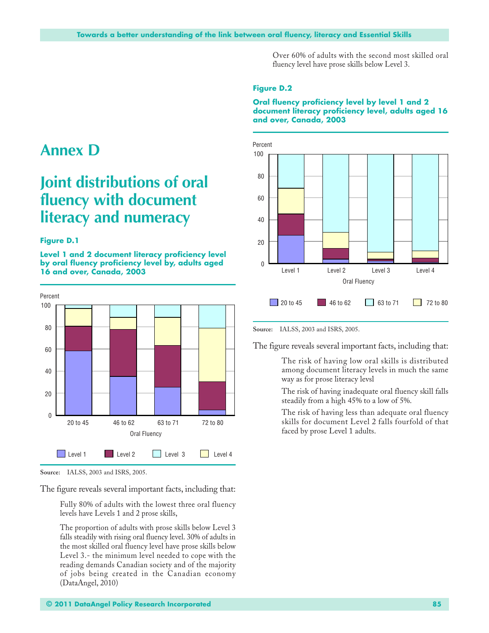Over 60% of adults with the second most skilled oral fluency level have prose skills below Level 3.

### **Figure D.2**

#### **Oral fluency proficiency level by level 1 and 2 document literacy proficiency level, adults aged 16 and over, Canada, 2003**



**Annex D**

# **Joint distributions of oral fluency with document literacy and numeracy**

#### **Figure D.1**

**Level 1 and 2 document literacy proficiency level by oral fluency proficiency level by, adults aged 16 and over, Canada, 2003**



**Source:** IALSS, 2003 and ISRS, 2005.

The figure reveals several important facts, including that:

Fully 80% of adults with the lowest three oral fluency levels have Levels 1 and 2 prose skills,

The proportion of adults with prose skills below Level 3 falls steadily with rising oral fluency level. 30% of adults in the most skilled oral fluency level have prose skills below Level 3.- the minimum level needed to cope with the reading demands Canadian society and of the majority of jobs being created in the Canadian economy (DataAngel, 2010)

**Source:** IALSS, 2003 and ISRS, 2005.

The figure reveals several important facts, including that:

The risk of having low oral skills is distributed among document literacy levels in much the same way as for prose literacy levsl

The risk of having inadequate oral fluency skill falls steadily from a high 45% to a low of 5%.

The risk of having less than adequate oral fluency skills for document Level 2 falls fourfold of that faced by prose Level 1 adults.